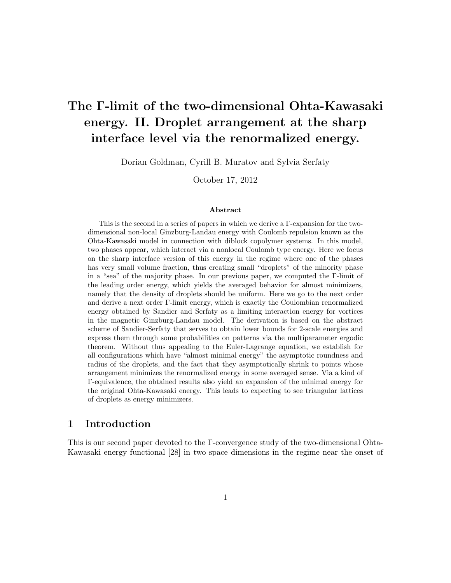# The Γ-limit of the two-dimensional Ohta-Kawasaki energy. II. Droplet arrangement at the sharp interface level via the renormalized energy.

Dorian Goldman, Cyrill B. Muratov and Sylvia Serfaty

October 17, 2012

#### Abstract

This is the second in a series of papers in which we derive a Γ-expansion for the twodimensional non-local Ginzburg-Landau energy with Coulomb repulsion known as the Ohta-Kawasaki model in connection with diblock copolymer systems. In this model, two phases appear, which interact via a nonlocal Coulomb type energy. Here we focus on the sharp interface version of this energy in the regime where one of the phases has very small volume fraction, thus creating small "droplets" of the minority phase in a "sea" of the majority phase. In our previous paper, we computed the Γ-limit of the leading order energy, which yields the averaged behavior for almost minimizers, namely that the density of droplets should be uniform. Here we go to the next order and derive a next order Γ-limit energy, which is exactly the Coulombian renormalized energy obtained by Sandier and Serfaty as a limiting interaction energy for vortices in the magnetic Ginzburg-Landau model. The derivation is based on the abstract scheme of Sandier-Serfaty that serves to obtain lower bounds for 2-scale energies and express them through some probabilities on patterns via the multiparameter ergodic theorem. Without thus appealing to the Euler-Lagrange equation, we establish for all configurations which have "almost minimal energy" the asymptotic roundness and radius of the droplets, and the fact that they asymptotically shrink to points whose arrangement minimizes the renormalized energy in some averaged sense. Via a kind of Γ-equivalence, the obtained results also yield an expansion of the minimal energy for the original Ohta-Kawasaki energy. This leads to expecting to see triangular lattices of droplets as energy minimizers.

### 1 Introduction

This is our second paper devoted to the Γ-convergence study of the two-dimensional Ohta-Kawasaki energy functional [28] in two space dimensions in the regime near the onset of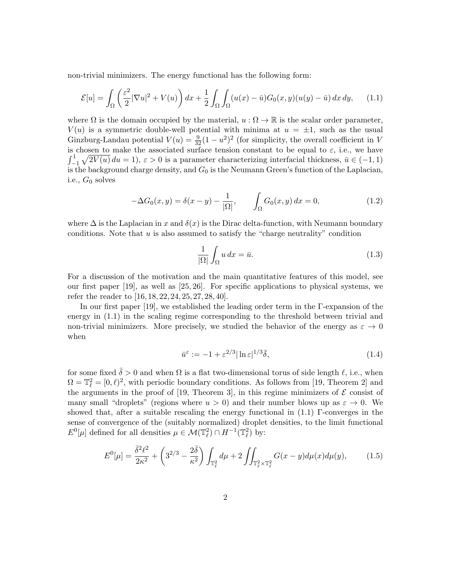non-trivial minimizers. The energy functional has the following form:

$$
\mathcal{E}[u] = \int_{\Omega} \left(\frac{\varepsilon^2}{2} |\nabla u|^2 + V(u)\right) dx + \frac{1}{2} \int_{\Omega} \int_{\Omega} (u(x) - \bar{u}) G_0(x, y)(u(y) - \bar{u}) dx dy, \tag{1.1}
$$

where  $\Omega$  is the domain occupied by the material,  $u : \Omega \to \mathbb{R}$  is the scalar order parameter,  $V(u)$  is a symmetric double-well potential with minima at  $u = \pm 1$ , such as the usual Ginzburg-Landau potential  $V(u) = \frac{9}{32}(1 - u^2)^2$  (for simplicity, the overall coefficient in V is chosen to make the associated surface tension constant to be equal to  $\varepsilon$ , i.e., we have  $\int_{-1}^{1} \sqrt{2V(u)} du = 1$ ,  $\varepsilon > 0$  is a parameter characterizing interfacial thickness,  $\bar{u} \in (-1, 1)$ is the background charge density, and  $G_0$  is the Neumann Green's function of the Laplacian, i.e.,  $G_0$  solves

$$
-\Delta G_0(x, y) = \delta(x - y) - \frac{1}{|\Omega|}, \qquad \int_{\Omega} G_0(x, y) dx = 0,
$$
\n(1.2)

where  $\Delta$  is the Laplacian in x and  $\delta(x)$  is the Dirac delta-function, with Neumann boundary conditions. Note that  $u$  is also assumed to satisfy the "charge neutrality" condition

$$
\frac{1}{|\Omega|} \int_{\Omega} u \, dx = \bar{u}.\tag{1.3}
$$

For a discussion of the motivation and the main quantitative features of this model, see our first paper [19], as well as [25, 26]. For specific applications to physical systems, we refer the reader to [16, 18, 22, 24, 25, 27, 28, 40].

In our first paper [19], we established the leading order term in the Γ-expansion of the energy in (1.1) in the scaling regime corresponding to the threshold between trivial and non-trivial minimizers. More precisely, we studied the behavior of the energy as  $\varepsilon \to 0$ when

$$
\bar{u}^{\varepsilon} := -1 + \varepsilon^{2/3} |\ln \varepsilon|^{1/3} \bar{\delta},\tag{1.4}
$$

for some fixed  $\bar{\delta} > 0$  and when  $\Omega$  is a flat two-dimensional torus of side length  $\ell$ , i.e., when  $\Omega = \mathbb{T}_{\ell}^2 = [0, \ell)^2$ , with periodic boundary conditions. As follows from [19, Theorem 2] and the arguments in the proof of [19, Theorem 3], in this regime minimizers of  $\mathcal E$  consist of many small "droplets" (regions where  $u > 0$ ) and their number blows up as  $\varepsilon \to 0$ . We showed that, after a suitable rescaling the energy functional in  $(1.1)$  Γ-converges in the sense of convergence of the (suitably normalized) droplet densities, to the limit functional  $E^0[\mu]$  defined for all densities  $\mu \in \mathcal{M}(\mathbb{T}_\ell^2) \cap H^{-1}(\mathbb{T}_\ell^2)$  by:

$$
E^{0}[\mu] = \frac{\bar{\delta}^{2} \ell^{2}}{2\kappa^{2}} + \left(3^{2/3} - \frac{2\bar{\delta}}{\kappa^{2}}\right) \int_{\mathbb{T}_{\ell}^{2}} d\mu + 2 \iint_{\mathbb{T}_{\ell}^{2} \times \mathbb{T}_{\ell}^{2}} G(x - y) d\mu(x) d\mu(y), \tag{1.5}
$$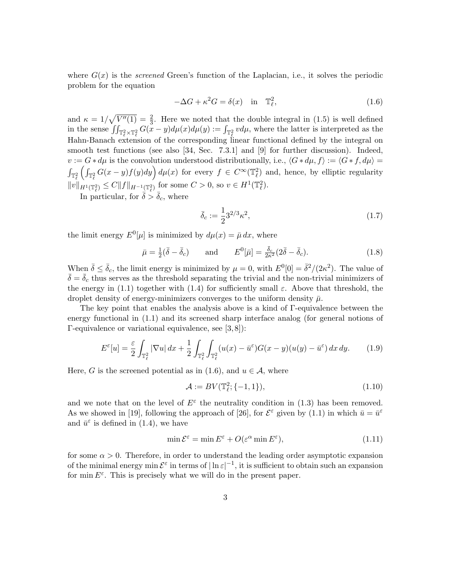where  $G(x)$  is the *screened* Green's function of the Laplacian, i.e., it solves the periodic problem for the equation

$$
-\Delta G + \kappa^2 G = \delta(x) \quad \text{in} \quad \mathbb{T}_{\ell}^2,\tag{1.6}
$$

and  $\kappa = 1/\sqrt{V''(1)} = \frac{2}{3}$ . Here we noted that the double integral in (1.5) is well defined in the sense  $\iint_{\mathbb{T}_\ell^2 \times \mathbb{T}_\ell^2} G(x - y) d\mu(x) d\mu(y) := \int_{\mathbb{T}_\ell^2} v d\mu$ , where the latter is interpreted as the Hahn-Banach extension of the corresponding linear functional defined by the integral on smooth test functions (see also [34, Sec. 7.3.1] and [9] for further discussion). Indeed,  $v := G * d\mu$  is the convolution understood distributionally, i.e.,  $\langle G * d\mu, f \rangle := \langle G * f, d\mu \rangle =$  $\int_{\mathbb{T}_\ell^2} \left( \int_{\mathbb{T}_\ell^2} G(x-y)f(y)dy \right) d\mu(x)$  for every  $f \in C^\infty(\mathbb{T}_\ell^2)$  and, hence, by elliptic regularity  $||v||_{H^1(\mathbb{T}_\ell^2)} \leq C ||f||_{H^{-1}(\mathbb{T}_\ell^2)} \text{ for some } C > 0 \text{, so } v \in H^1(\mathbb{T}_\ell^2).$ 

In particular, for  $\bar{\delta} > \bar{\delta}_c$ , where

$$
\bar{\delta}_c := \frac{1}{2} 3^{2/3} \kappa^2,\tag{1.7}
$$

the limit energy  $E^0[\mu]$  is minimized by  $d\mu(x) = \bar{\mu} dx$ , where

$$
\bar{\mu} = \frac{1}{2}(\bar{\delta} - \bar{\delta}_c) \quad \text{and} \quad E^0[\bar{\mu}] = \frac{\bar{\delta}_c}{2\kappa^2} (2\bar{\delta} - \bar{\delta}_c). \tag{1.8}
$$

When  $\bar{\delta} \leq \bar{\delta}_c$ , the limit energy is minimized by  $\mu = 0$ , with  $E^0[0] = \bar{\delta}^2/(2\kappa^2)$ . The value of  $\bar{\delta} = \bar{\delta}_c$  thus serves as the threshold separating the trivial and the non-trivial minimizers of the energy in (1.1) together with (1.4) for sufficiently small  $\varepsilon$ . Above that threshold, the droplet density of energy-minimizers converges to the uniform density  $\bar{\mu}$ .

The key point that enables the analysis above is a kind of Γ-equivalence between the energy functional in (1.1) and its screened sharp interface analog (for general notions of Γ-equivalence or variational equivalence, see [3, 8]):

$$
E^{\varepsilon}[u] = \frac{\varepsilon}{2} \int_{\mathbb{T}_{\ell}^{2}} |\nabla u| dx + \frac{1}{2} \int_{\mathbb{T}_{\ell}^{2}} \int_{\mathbb{T}_{\ell}^{2}} (u(x) - \bar{u}^{\varepsilon}) G(x - y)(u(y) - \bar{u}^{\varepsilon}) dx dy.
$$
 (1.9)

Here, G is the screened potential as in (1.6), and  $u \in A$ , where

$$
\mathcal{A} := BV(\mathbb{T}_{\ell}^2; \{-1, 1\}),\tag{1.10}
$$

and we note that on the level of  $E^{\varepsilon}$  the neutrality condition in (1.3) has been removed. As we showed in [19], following the approach of [26], for  $\mathcal{E}^{\varepsilon}$  given by (1.1) in which  $\bar{u} = \bar{u}^{\varepsilon}$ and  $\bar{u}^{\varepsilon}$  is defined in (1.4), we have

$$
\min \mathcal{E}^{\varepsilon} = \min E^{\varepsilon} + O(\varepsilon^{\alpha} \min E^{\varepsilon}),\tag{1.11}
$$

for some  $\alpha > 0$ . Therefore, in order to understand the leading order asymptotic expansion of the minimal energy min  $\mathcal{E}^{\varepsilon}$  in terms of  $|\ln \varepsilon|^{-1}$ , it is sufficient to obtain such an expansion for min  $E^{\varepsilon}$ . This is precisely what we will do in the present paper.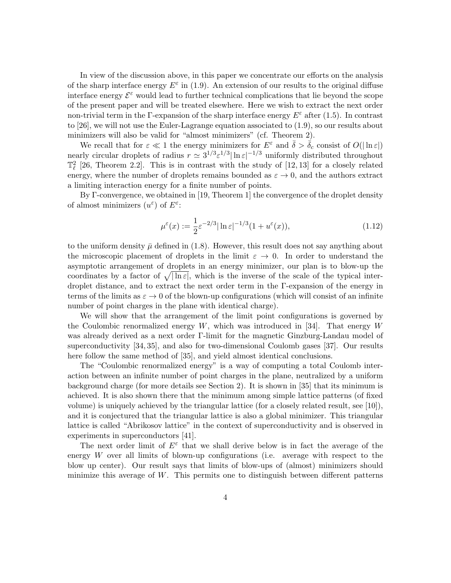In view of the discussion above, in this paper we concentrate our efforts on the analysis of the sharp interface energy  $E^{\varepsilon}$  in (1.9). An extension of our results to the original diffuse interface energy  $\mathcal{E}^{\varepsilon}$  would lead to further technical complications that lie beyond the scope of the present paper and will be treated elsewhere. Here we wish to extract the next order non-trivial term in the Γ-expansion of the sharp interface energy  $E^{\varepsilon}$  after (1.5). In contrast to [26], we will not use the Euler-Lagrange equation associated to (1.9), so our results about minimizers will also be valid for "almost minimizers" (cf. Theorem 2).

We recall that for  $\varepsilon \ll 1$  the energy minimizers for  $E^{\varepsilon}$  and  $\overline{\delta} > \overline{\delta}_{c}$  consist of  $O(|\ln \varepsilon|)$ nearly circular droplets of radius  $r \simeq 3^{1/3} \varepsilon^{1/3} |\ln \varepsilon|^{-1/3}$  uniformly distributed throughout  $\mathbb{T}_{\ell}^2$  [26, Theorem 2.2]. This is in contrast with the study of [12, 13] for a closely related energy, where the number of droplets remains bounded as  $\varepsilon \to 0$ , and the authors extract a limiting interaction energy for a finite number of points.

By Γ-convergence, we obtained in [19, Theorem 1] the convergence of the droplet density of almost minimizers  $(u^{\varepsilon})$  of  $E^{\varepsilon}$ :

$$
\mu^{\varepsilon}(x) := \frac{1}{2} \varepsilon^{-2/3} |\ln \varepsilon|^{-1/3} (1 + u^{\varepsilon}(x)), \tag{1.12}
$$

to the uniform density  $\bar{\mu}$  defined in (1.8). However, this result does not say anything about the microscopic placement of droplets in the limit  $\varepsilon \to 0$ . In order to understand the asymptotic arrangement of droplets in an energy minimizer, our plan is to blow-up the coordinates by a factor of  $\sqrt{\ln \varepsilon}$ , which is the inverse of the scale of the typical interdroplet distance, and to extract the next order term in the Γ-expansion of the energy in terms of the limits as  $\varepsilon \to 0$  of the blown-up configurations (which will consist of an infinite number of point charges in the plane with identical charge).

We will show that the arrangement of the limit point configurations is governed by the Coulombic renormalized energy  $W$ , which was introduced in [34]. That energy  $W$ was already derived as a next order Γ-limit for the magnetic Ginzburg-Landau model of superconductivity [34, 35], and also for two-dimensional Coulomb gases [37]. Our results here follow the same method of [35], and yield almost identical conclusions.

The "Coulombic renormalized energy" is a way of computing a total Coulomb interaction between an infinite number of point charges in the plane, neutralized by a uniform background charge (for more details see Section 2). It is shown in [35] that its minimum is achieved. It is also shown there that the minimum among simple lattice patterns (of fixed volume) is uniquely achieved by the triangular lattice (for a closely related result, see [10]), and it is conjectured that the triangular lattice is also a global minimizer. This triangular lattice is called "Abrikosov lattice" in the context of superconductivity and is observed in experiments in superconductors [41].

The next order limit of  $E^{\varepsilon}$  that we shall derive below is in fact the average of the energy W over all limits of blown-up configurations (i.e. average with respect to the blow up center). Our result says that limits of blow-ups of (almost) minimizers should minimize this average of  $W$ . This permits one to distinguish between different patterns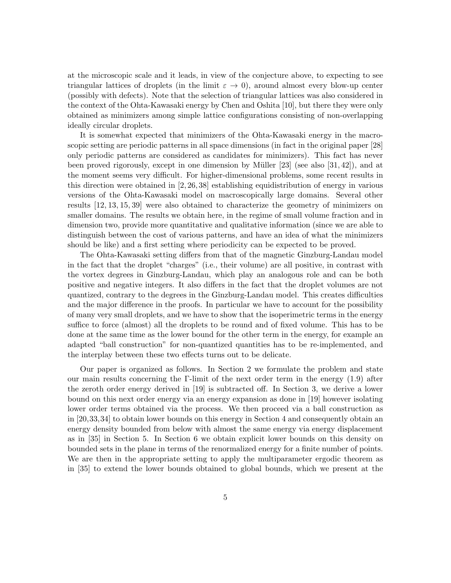at the microscopic scale and it leads, in view of the conjecture above, to expecting to see triangular lattices of droplets (in the limit  $\varepsilon \to 0$ ), around almost every blow-up center (possibly with defects). Note that the selection of triangular lattices was also considered in the context of the Ohta-Kawasaki energy by Chen and Oshita [10], but there they were only obtained as minimizers among simple lattice configurations consisting of non-overlapping ideally circular droplets.

It is somewhat expected that minimizers of the Ohta-Kawasaki energy in the macroscopic setting are periodic patterns in all space dimensions (in fact in the original paper [28] only periodic patterns are considered as candidates for minimizers). This fact has never been proved rigorously, except in one dimension by Müller  $[23]$  (see also  $[31, 42]$ ), and at the moment seems very difficult. For higher-dimensional problems, some recent results in this direction were obtained in [2, 26, 38] establishing equidistribution of energy in various versions of the Ohta-Kawasaki model on macroscopically large domains. Several other results [12, 13, 15, 39] were also obtained to characterize the geometry of minimizers on smaller domains. The results we obtain here, in the regime of small volume fraction and in dimension two, provide more quantitative and qualitative information (since we are able to distinguish between the cost of various patterns, and have an idea of what the minimizers should be like) and a first setting where periodicity can be expected to be proved.

The Ohta-Kawasaki setting differs from that of the magnetic Ginzburg-Landau model in the fact that the droplet "charges" (i.e., their volume) are all positive, in contrast with the vortex degrees in Ginzburg-Landau, which play an analogous role and can be both positive and negative integers. It also differs in the fact that the droplet volumes are not quantized, contrary to the degrees in the Ginzburg-Landau model. This creates difficulties and the major difference in the proofs. In particular we have to account for the possibility of many very small droplets, and we have to show that the isoperimetric terms in the energy suffice to force (almost) all the droplets to be round and of fixed volume. This has to be done at the same time as the lower bound for the other term in the energy, for example an adapted "ball construction" for non-quantized quantities has to be re-implemented, and the interplay between these two effects turns out to be delicate.

Our paper is organized as follows. In Section 2 we formulate the problem and state our main results concerning the Γ-limit of the next order term in the energy  $(1.9)$  after the zeroth order energy derived in [19] is subtracted off. In Section 3, we derive a lower bound on this next order energy via an energy expansion as done in [19] however isolating lower order terms obtained via the process. We then proceed via a ball construction as in [20,33,34] to obtain lower bounds on this energy in Section 4 and consequently obtain an energy density bounded from below with almost the same energy via energy displacement as in [35] in Section 5. In Section 6 we obtain explicit lower bounds on this density on bounded sets in the plane in terms of the renormalized energy for a finite number of points. We are then in the appropriate setting to apply the multiparameter ergodic theorem as in [35] to extend the lower bounds obtained to global bounds, which we present at the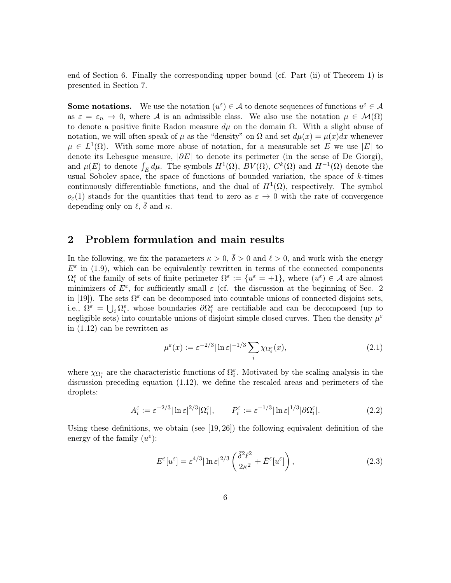end of Section 6. Finally the corresponding upper bound (cf. Part (ii) of Theorem 1) is presented in Section 7.

**Some notations.** We use the notation  $(u^{\varepsilon}) \in A$  to denote sequences of functions  $u^{\varepsilon} \in A$ as  $\varepsilon = \varepsilon_n \to 0$ , where A is an admissible class. We also use the notation  $\mu \in \mathcal{M}(\Omega)$ to denote a positive finite Radon measure  $d\mu$  on the domain  $\Omega$ . With a slight abuse of notation, we will often speak of  $\mu$  as the "density" on  $\Omega$  and set  $d\mu(x) = \mu(x)dx$  whenever  $\mu \in L^1(\Omega)$ . With some more abuse of notation, for a measurable set E we use |E| to denote its Lebesgue measure,  $|\partial E|$  to denote its perimeter (in the sense of De Giorgi), and  $\mu(E)$  to denote  $\int_E d\mu$ . The symbols  $H^1(\Omega)$ ,  $BV(\Omega)$ ,  $C^k(\Omega)$  and  $H^{-1}(\Omega)$  denote the usual Sobolev space, the space of functions of bounded variation, the space of  $k$ -times continuously differentiable functions, and the dual of  $H^1(\Omega)$ , respectively. The symbol  $o_{\varepsilon}(1)$  stands for the quantities that tend to zero as  $\varepsilon \to 0$  with the rate of convergence depending only on  $\ell, \bar{\delta}$  and  $\kappa$ .

### 2 Problem formulation and main results

In the following, we fix the parameters  $\kappa > 0$ ,  $\overline{\delta} > 0$  and  $\ell > 0$ , and work with the energy  $E^{\varepsilon}$  in (1.9), which can be equivalently rewritten in terms of the connected components  $\Omega_i^{\varepsilon}$  of the family of sets of finite perimeter  $\Omega^{\varepsilon} := \{u^{\varepsilon} = +1\}$ , where  $(u^{\varepsilon}) \in \mathcal{A}$  are almost minimizers of  $E^{\varepsilon}$ , for sufficiently small  $\varepsilon$  (cf. the discussion at the beginning of Sec. 2 in [19]). The sets  $\Omega^{\varepsilon}$  can be decomposed into countable unions of connected disjoint sets, i.e.,  $\Omega^{\varepsilon} = \bigcup_i \Omega_i^{\varepsilon}$ , whose boundaries  $\partial \Omega_i^{\varepsilon}$  are rectifiable and can be decomposed (up to negligible sets) into countable unions of disjoint simple closed curves. Then the density  $\mu^{\varepsilon}$ in (1.12) can be rewritten as

$$
\mu^{\varepsilon}(x) := \varepsilon^{-2/3} |\ln \varepsilon|^{-1/3} \sum_{i} \chi_{\Omega_i^{\varepsilon}}(x), \tag{2.1}
$$

where  $\chi_{\Omega_i^{\varepsilon}}$  are the characteristic functions of  $\Omega_i^{\varepsilon}$ . Motivated by the scaling analysis in the discussion preceding equation (1.12), we define the rescaled areas and perimeters of the droplets:

$$
A_i^{\varepsilon} := \varepsilon^{-2/3} |\ln \varepsilon|^{2/3} |\Omega_i^{\varepsilon}|, \qquad P_i^{\varepsilon} := \varepsilon^{-1/3} |\ln \varepsilon|^{1/3} |\partial \Omega_i^{\varepsilon}|. \tag{2.2}
$$

Using these definitions, we obtain (see  $[19, 26]$ ) the following equivalent definition of the energy of the family  $(u^{\varepsilon})$ :

$$
E^{\varepsilon}[u^{\varepsilon}] = \varepsilon^{4/3} |\ln \varepsilon|^{2/3} \left( \frac{\bar{\delta}^2 \ell^2}{2\kappa^2} + \bar{E}^{\varepsilon}[u^{\varepsilon}] \right), \tag{2.3}
$$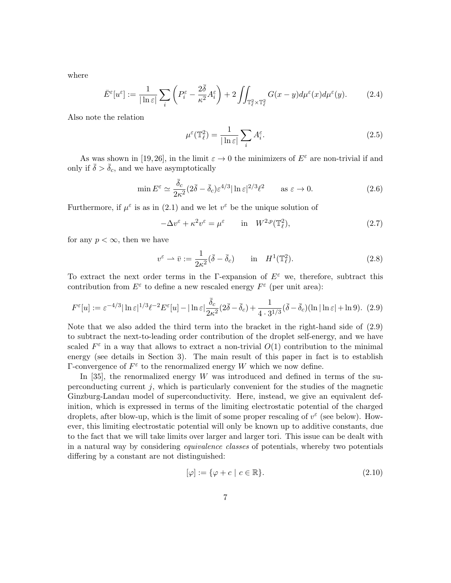where

$$
\bar{E}^{\varepsilon}[u^{\varepsilon}] := \frac{1}{|\ln \varepsilon|} \sum_{i} \left( P^{\varepsilon}_i - \frac{2\bar{\delta}}{\kappa^2} A^{\varepsilon}_i \right) + 2 \iint_{\mathbb{T}^2_{\ell} \times \mathbb{T}^2_{\ell}} G(x - y) d\mu^{\varepsilon}(x) d\mu^{\varepsilon}(y).
$$
 (2.4)

Also note the relation

$$
\mu^{\varepsilon}(\mathbb{T}_{\ell}^{2}) = \frac{1}{|\ln \varepsilon|} \sum_{i} A_{i}^{\varepsilon}.
$$
\n(2.5)

As was shown in [19, 26], in the limit  $\varepsilon \to 0$  the minimizers of  $E^{\varepsilon}$  are non-trivial if and only if  $\bar{\delta} > \bar{\delta}_c$ , and we have asymptotically

$$
\min E^{\varepsilon} \simeq \frac{\bar{\delta}_c}{2\kappa^2} (2\bar{\delta} - \bar{\delta}_c) \varepsilon^{4/3} |\ln \varepsilon|^{2/3} \ell^2 \qquad \text{as } \varepsilon \to 0. \tag{2.6}
$$

Furthermore, if  $\mu^{\varepsilon}$  is as in (2.1) and we let  $v^{\varepsilon}$  be the unique solution of

$$
-\Delta v^{\varepsilon} + \kappa^2 v^{\varepsilon} = \mu^{\varepsilon} \qquad \text{in} \quad W^{2,p}(\mathbb{T}_\ell^2),\tag{2.7}
$$

for any  $p < \infty$ , then we have

$$
v^{\varepsilon} \rightharpoonup \bar{v} := \frac{1}{2\kappa^2} (\bar{\delta} - \bar{\delta}_c) \quad \text{in} \quad H^1(\mathbb{T}_{\ell}^2). \tag{2.8}
$$

To extract the next order terms in the Γ-expansion of  $E^{\varepsilon}$  we, therefore, subtract this contribution from  $E^{\varepsilon}$  to define a new rescaled energy  $F^{\varepsilon}$  (per unit area):

$$
F^{\varepsilon}[u] := \varepsilon^{-4/3} |\ln \varepsilon|^{1/3} \ell^{-2} E^{\varepsilon}[u] - |\ln \varepsilon| \frac{\bar{\delta}_c}{2\kappa^2} (2\bar{\delta} - \bar{\delta}_c) + \frac{1}{4 \cdot 3^{1/3}} (\bar{\delta} - \bar{\delta}_c)(\ln |\ln \varepsilon| + \ln 9). (2.9)
$$

Note that we also added the third term into the bracket in the right-hand side of (2.9) to subtract the next-to-leading order contribution of the droplet self-energy, and we have scaled  $F^{\varepsilon}$  in a way that allows to extract a non-trivial  $O(1)$  contribution to the minimal energy (see details in Section 3). The main result of this paper in fact is to establish  $\Gamma$ -convergence of  $F^{\varepsilon}$  to the renormalized energy W which we now define.

In [35], the renormalized energy  $W$  was introduced and defined in terms of the superconducting current  $j$ , which is particularly convenient for the studies of the magnetic Ginzburg-Landau model of superconductivity. Here, instead, we give an equivalent definition, which is expressed in terms of the limiting electrostatic potential of the charged droplets, after blow-up, which is the limit of some proper rescaling of  $v^{\varepsilon}$  (see below). However, this limiting electrostatic potential will only be known up to additive constants, due to the fact that we will take limits over larger and larger tori. This issue can be dealt with in a natural way by considering equivalence classes of potentials, whereby two potentials differing by a constant are not distinguished:

$$
[\varphi] := \{ \varphi + c \mid c \in \mathbb{R} \}. \tag{2.10}
$$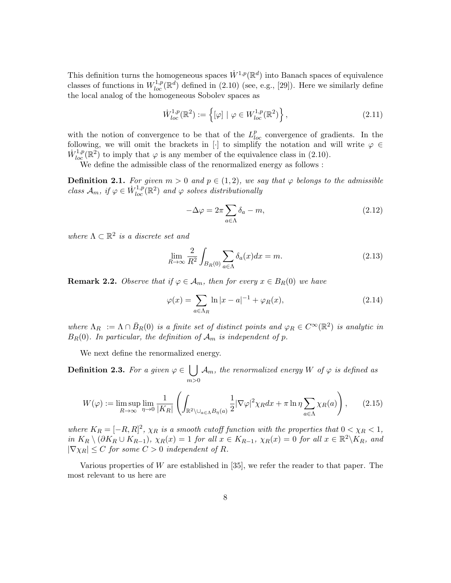This definition turns the homogeneous spaces  $\dot{W}^{1,p}(\mathbb{R}^d)$  into Banach spaces of equivalence classes of functions in  $W_{loc}^{1,p}(\mathbb{R}^d)$  defined in (2.10) (see, e.g., [29]). Here we similarly define the local analog of the homogeneous Sobolev spaces as

$$
\dot{W}_{loc}^{1,p}(\mathbb{R}^2) := \left\{ [\varphi] \mid \varphi \in W_{loc}^{1,p}(\mathbb{R}^2) \right\},\tag{2.11}
$$

with the notion of convergence to be that of the  $L_{loc}^p$  convergence of gradients. In the following, we will omit the brackets in [·] to simplify the notation and will write  $\varphi \in$  $\dot{W}_{loc}^{1,p}(\mathbb{R}^2)$  to imply that  $\varphi$  is any member of the equivalence class in (2.10).

We define the admissible class of the renormalized energy as follows :

**Definition 2.1.** For given  $m > 0$  and  $p \in (1, 2)$ , we say that  $\varphi$  belongs to the admissible class  $\mathcal{A}_m$ , if  $\varphi \in \dot{W}^{1,p}_{loc}(\mathbb{R}^2)$  and  $\varphi$  solves distributionally

$$
-\Delta \varphi = 2\pi \sum_{a \in \Lambda} \delta_a - m,\tag{2.12}
$$

where  $\Lambda \subset \mathbb{R}^2$  is a discrete set and

$$
\lim_{R \to \infty} \frac{2}{R^2} \int_{B_R(0)} \sum_{a \in \Lambda} \delta_a(x) dx = m.
$$
\n(2.13)

**Remark 2.2.** Observe that if  $\varphi \in A_m$ , then for every  $x \in B_R(0)$  we have

$$
\varphi(x) = \sum_{a \in \Lambda_R} \ln|x - a|^{-1} + \varphi_R(x),\tag{2.14}
$$

where  $\Lambda_R := \Lambda \cap \bar{B}_R(0)$  is a finite set of distinct points and  $\varphi_R \in C^{\infty}(\mathbb{R}^2)$  is analytic in  $B_R(0)$ . In particular, the definition of  $A_m$  is independent of p.

We next define the renormalized energy.

Definition 2.3. For a given  $\varphi \in \Box$  $m>0$  $\mathcal{A}_m,$  the renormalized energy  $W$  of  $\varphi$  is defined as

$$
W(\varphi) := \limsup_{R \to \infty} \lim_{\eta \to 0} \frac{1}{|K_R|} \left( \int_{\mathbb{R}^2 \setminus \cup_{a \in \Lambda} B_{\eta}(a)} \frac{1}{2} |\nabla \varphi|^2 \chi_R dx + \pi \ln \eta \sum_{a \in \Lambda} \chi_R(a) \right), \qquad (2.15)
$$

where  $K_R = [-R, R]^2$ ,  $\chi_R$  is a smooth cutoff function with the properties that  $0 < \chi_R < 1$ , in  $K_R \setminus (\partial K_R \cup K_{R-1}), \chi_R(x) = 1$  for all  $x \in K_{R-1}, \chi_R(x) = 0$  for all  $x \in \mathbb{R}^2 \setminus K_R$ , and  $|\nabla \chi_R| \leq C$  for some  $C > 0$  independent of R.

Various properties of  $W$  are established in [35], we refer the reader to that paper. The most relevant to us here are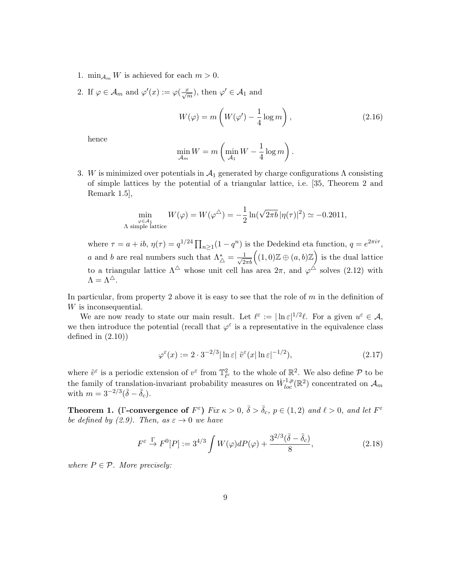- 1.  $\min_{\mathcal{A}_m} W$  is achieved for each  $m > 0$ .
- 2. If  $\varphi \in \mathcal{A}_m$  and  $\varphi'(x) := \varphi(\frac{x}{\sqrt{m}})$ , then  $\varphi' \in \mathcal{A}_1$  and

$$
W(\varphi) = m\left(W(\varphi') - \frac{1}{4}\log m\right),\tag{2.16}
$$

hence

$$
\min_{\mathcal{A}_m} W = m \left( \min_{\mathcal{A}_1} W - \frac{1}{4} \log m \right).
$$

3. W is minimized over potentials in  $\mathcal{A}_1$  generated by charge configurations  $\Lambda$  consisting of simple lattices by the potential of a triangular lattice, i.e. [35, Theorem 2 and Remark 1.5],

$$
\min_{\substack{\varphi \in \mathcal{A}_1 \\ \Lambda \text{ simple lattice}}} W(\varphi) = W(\varphi^{\triangle}) = -\frac{1}{2} \ln(\sqrt{2\pi b} |\eta(\tau)|^2) \simeq -0.2011,
$$

where  $\tau = a + ib$ ,  $\eta(\tau) = q^{1/24} \prod_{n \geq 1} (1 - q^n)$  is the Dedekind eta function,  $q = e^{2\pi i \tau}$ , a and b are real numbers such that  $\Lambda_{\Delta}^* = \frac{1}{\sqrt{2\pi b}} \Big( (1,0) \mathbb{Z} \oplus (a,b) \mathbb{Z} \Big)$  is the dual lattice to a triangular lattice  $\Lambda^{\triangle}$  whose unit cell has area  $2\pi$ , and  $\varphi^{\triangle}$  solves (2.12) with  $\Lambda = \Lambda^{\triangle}$ .

In particular, from property 2 above it is easy to see that the role of  $m$  in the definition of W is inconsequential.

We are now ready to state our main result. Let  $\ell^{\varepsilon} := |\ln \varepsilon|^{1/2} \ell$ . For a given  $u^{\varepsilon} \in A$ , we then introduce the potential (recall that  $\varphi^{\varepsilon}$  is a representative in the equivalence class defined in  $(2.10)$ 

$$
\varphi^{\varepsilon}(x) := 2 \cdot 3^{-2/3} |\ln \varepsilon| \tilde{v}^{\varepsilon}(x) \ln \varepsilon|^{-1/2}, \qquad (2.17)
$$

where  $\tilde{v}^{\varepsilon}$  is a periodic extension of  $v^{\varepsilon}$  from  $\mathbb{T}^2_{\ell^{\varepsilon}}$  to the whole of  $\mathbb{R}^2$ . We also define  $\mathcal P$  to be the family of translation-invariant probability measures on  $\dot{W}_{loc}^{1,p}(\mathbb{R}^2)$  concentrated on  $\mathcal{A}_m$ with  $m = 3^{-2/3}(\bar{\delta} - \bar{\delta}_c)$ .

**Theorem 1.** (Γ-convergence of  $F^{\varepsilon}$ ) Fix  $\kappa > 0$ ,  $\bar{\delta} > \bar{\delta}_{c}$ ,  $p \in (1, 2)$  and  $\ell > 0$ , and let  $F^{\varepsilon}$ be defined by (2.9). Then, as  $\varepsilon \to 0$  we have

$$
F^{\varepsilon} \xrightarrow{\Gamma} F^{0}[P] := 3^{4/3} \int W(\varphi) dP(\varphi) + \frac{3^{2/3} (\bar{\delta} - \bar{\delta}_c)}{8}, \tag{2.18}
$$

where  $P \in \mathcal{P}$ . More precisely: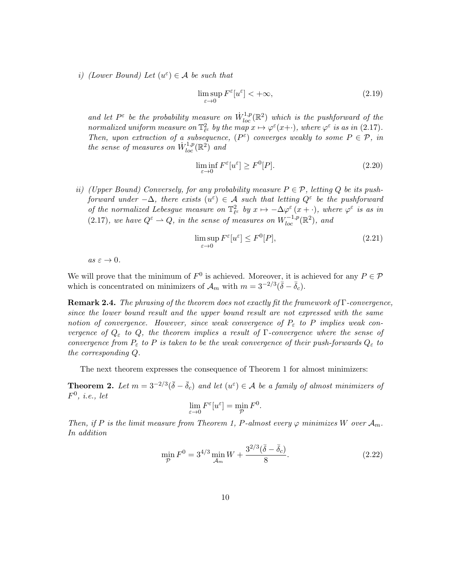i) (Lower Bound) Let  $(u^{\varepsilon}) \in \mathcal{A}$  be such that

$$
\limsup_{\varepsilon \to 0} F^{\varepsilon}[u^{\varepsilon}] < +\infty,
$$
\n(2.19)

and let  $P^{\varepsilon}$  be the probability measure on  $\dot{W}_{loc}^{1,p}(\mathbb{R}^2)$  which is the pushforward of the normalized uniform measure on  $\mathbb{T}^2_{\ell^{\varepsilon}}$  by the map  $x \mapsto \varphi^{\varepsilon}(x+)$ , where  $\varphi^{\varepsilon}$  is as in (2.17). Then, upon extraction of a subsequence,  $(P^{\varepsilon})$  converges weakly to some  $P \in \mathcal{P}$ , in the sense of measures on  $\dot{W}^{1,p}_{loc}(\mathbb{R}^2)$  and

$$
\liminf_{\varepsilon \to 0} F^{\varepsilon}[u^{\varepsilon}] \ge F^0[P].
$$
\n(2.20)

ii) (Upper Bound) Conversely, for any probability measure  $P \in \mathcal{P}$ , letting Q be its pushforward under  $-\Delta$ , there exists  $(u^{\varepsilon}) \in \mathcal{A}$  such that letting  $Q^{\varepsilon}$  be the pushforward of the normalized Lebesgue measure on  $\mathbb{T}^2_{\ell^{\varepsilon}}$  by  $x \mapsto -\Delta \varphi^{\varepsilon}(x + \cdot)$ , where  $\varphi^{\varepsilon}$  is as in (2.17), we have  $Q^{\varepsilon} \to Q$ , in the sense of measures on  $W^{-1,p}_{loc}(\mathbb{R}^2)$ , and

$$
\limsup_{\varepsilon \to 0} F^{\varepsilon}[u^{\varepsilon}] \le F^{0}[P],\tag{2.21}
$$

 $as \varepsilon \to 0.$ 

We will prove that the minimum of  $F^0$  is achieved. Moreover, it is achieved for any  $P \in \mathcal{P}$ which is concentrated on minimizers of  $\mathcal{A}_m$  with  $m = 3^{-2/3}(\bar{\delta} - \bar{\delta}_c)$ .

**Remark 2.4.** The phrasing of the theorem does not exactly fit the framework of  $\Gamma$ -convergence, since the lower bound result and the upper bound result are not expressed with the same notion of convergence. However, since weak convergence of  $P_{\varepsilon}$  to P implies weak convergence of  $Q_{\varepsilon}$  to  $Q$ , the theorem implies a result of  $\Gamma$ -convergence where the sense of convergence from  $P_{\varepsilon}$  to P is taken to be the weak convergence of their push-forwards  $Q_{\varepsilon}$  to the corresponding Q.

The next theorem expresses the consequence of Theorem 1 for almost minimizers:

**Theorem 2.** Let  $m = 3^{-2/3}(\bar{\delta} - \bar{\delta}_c)$  and let  $(u^{\varepsilon}) \in A$  be a family of almost minimizers of  $F^0$ , *i.e.*, let

$$
\lim_{\varepsilon \to 0} F^{\varepsilon}[u^{\varepsilon}] = \min_{\mathcal{P}} F^{0}.
$$

Then, if P is the limit measure from Theorem 1, P-almost every  $\varphi$  minimizes W over  $\mathcal{A}_m$ . In addition

$$
\min_{\mathcal{P}} F^0 = 3^{4/3} \min_{\mathcal{A}_m} W + \frac{3^{2/3} (\bar{\delta} - \bar{\delta}_c)}{8}.
$$
\n(2.22)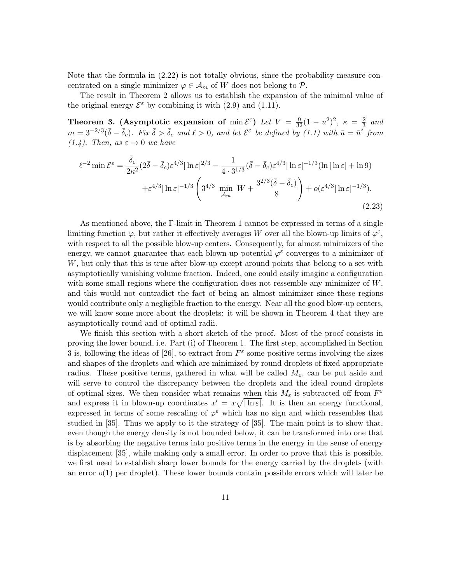Note that the formula in (2.22) is not totally obvious, since the probability measure concentrated on a single minimizer  $\varphi \in A_m$  of W does not belong to  $\mathcal{P}$ .

The result in Theorem 2 allows us to establish the expansion of the minimal value of the original energy  $\mathcal{E}^{\varepsilon}$  by combining it with (2.9) and (1.11).

Theorem 3. (Asymptotic expansion of  $\min \mathcal{E}^{\varepsilon}$ ) Let  $V = \frac{9}{32}(1 - u^2)^2$ ,  $\kappa = \frac{2}{3}$  $rac{2}{3}$  and  $m = 3^{-2/3}(\bar{\delta} - \bar{\delta}_c)$ . Fix  $\bar{\delta} > \bar{\delta}_c$  and  $\ell > 0$ , and let  $\mathcal{E}^{\varepsilon}$  be defined by (1.1) with  $\bar{u} = \bar{u}^{\varepsilon}$  from  $(1.4)$ . Then, as  $\varepsilon \rightarrow 0$  we have

$$
\ell^{-2} \min \mathcal{E}^{\varepsilon} = \frac{\bar{\delta}_{c}}{2\kappa^{2}} (2\bar{\delta} - \bar{\delta}_{c}) \varepsilon^{4/3} |\ln \varepsilon|^{2/3} - \frac{1}{4 \cdot 3^{1/3}} (\bar{\delta} - \bar{\delta}_{c}) \varepsilon^{4/3} |\ln \varepsilon|^{-1/3} (\ln |\ln \varepsilon| + \ln 9) + \varepsilon^{4/3} |\ln \varepsilon|^{-1/3} \left( 3^{4/3} \min_{\mathcal{A}_{m}} W + \frac{3^{2/3} (\bar{\delta} - \bar{\delta}_{c})}{8} \right) + o(\varepsilon^{4/3} |\ln \varepsilon|^{-1/3}).
$$
\n(2.23)

As mentioned above, the Γ-limit in Theorem 1 cannot be expressed in terms of a single limiting function  $\varphi$ , but rather it effectively averages W over all the blown-up limits of  $\varphi^{\varepsilon}$ , with respect to all the possible blow-up centers. Consequently, for almost minimizers of the energy, we cannot guarantee that each blown-up potential  $\varphi^{\varepsilon}$  converges to a minimizer of W, but only that this is true after blow-up except around points that belong to a set with asymptotically vanishing volume fraction. Indeed, one could easily imagine a configuration with some small regions where the configuration does not ressemble any minimizer of  $W$ , and this would not contradict the fact of being an almost minimizer since these regions would contribute only a negligible fraction to the energy. Near all the good blow-up centers, we will know some more about the droplets: it will be shown in Theorem 4 that they are asymptotically round and of optimal radii.

We finish this section with a short sketch of the proof. Most of the proof consists in proving the lower bound, i.e. Part (i) of Theorem 1. The first step, accomplished in Section 3 is, following the ideas of [26], to extract from  $F^{\varepsilon}$  some positive terms involving the sizes and shapes of the droplets and which are minimized by round droplets of fixed appropriate radius. These positive terms, gathered in what will be called  $M_{\varepsilon}$ , can be put aside and will serve to control the discrepancy between the droplets and the ideal round droplets of optimal sizes. We then consider what remains when this  $M_{\varepsilon}$  is subtracted off from  $F^{\varepsilon}$ and express it in blown-up coordinates  $x' = x\sqrt{\ln \varepsilon}$ . It is then an energy functional, expressed in terms of some rescaling of  $\varphi^{\varepsilon}$  which has no sign and which ressembles that studied in [35]. Thus we apply to it the strategy of [35]. The main point is to show that, even though the energy density is not bounded below, it can be transformed into one that is by absorbing the negative terms into positive terms in the energy in the sense of energy displacement [35], while making only a small error. In order to prove that this is possible, we first need to establish sharp lower bounds for the energy carried by the droplets (with an error  $o(1)$  per droplet). These lower bounds contain possible errors which will later be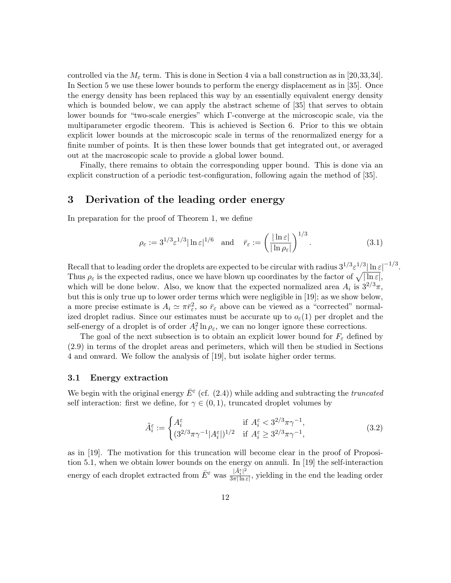controlled via the  $M_{\varepsilon}$  term. This is done in Section 4 via a ball construction as in [20,33,34]. In Section 5 we use these lower bounds to perform the energy displacement as in [35]. Once the energy density has been replaced this way by an essentially equivalent energy density which is bounded below, we can apply the abstract scheme of  $[35]$  that serves to obtain lower bounds for "two-scale energies" which Γ-converge at the microscopic scale, via the multiparameter ergodic theorem. This is achieved is Section 6. Prior to this we obtain explicit lower bounds at the microscopic scale in terms of the renormalized energy for a finite number of points. It is then these lower bounds that get integrated out, or averaged out at the macroscopic scale to provide a global lower bound.

Finally, there remains to obtain the corresponding upper bound. This is done via an explicit construction of a periodic test-configuration, following again the method of [35].

## 3 Derivation of the leading order energy

In preparation for the proof of Theorem 1, we define

$$
\rho_{\varepsilon} := 3^{1/3} \varepsilon^{1/3} |\ln \varepsilon|^{1/6} \quad \text{and} \quad \bar{r}_{\varepsilon} := \left( \frac{|\ln \varepsilon|}{|\ln \rho_{\varepsilon}|} \right)^{1/3}.
$$
 (3.1)

Recall that to leading order the droplets are expected to be circular with radius  $3^{1/3} \varepsilon^{1/3} |\ln \varepsilon|^{-1/3}$ . Thus  $\rho_{\varepsilon}$  is the expected radius, once we have blown up coordinates by the factor of  $\sqrt{|\ln \varepsilon|}$ , which will be done below. Also, we know that the expected normalized area  $A_i$  is  $3^{2/3}\pi$ , but this is only true up to lower order terms which were negligible in [19]; as we show below, a more precise estimate is  $A_i \simeq \pi \bar{r}_{\varepsilon}^2$ , so  $\bar{r}_{\varepsilon}$  above can be viewed as a "corrected" normalized droplet radius. Since our estimates must be accurate up to  $o_{\varepsilon}(1)$  per droplet and the self-energy of a droplet is of order  $A_i^2 \ln \rho_{\varepsilon}$ , we can no longer ignore these corrections.

The goal of the next subsection is to obtain an explicit lower bound for  $F_{\varepsilon}$  defined by (2.9) in terms of the droplet areas and perimeters, which will then be studied in Sections 4 and onward. We follow the analysis of [19], but isolate higher order terms.

### 3.1 Energy extraction

We begin with the original energy  $\bar{E}^{\varepsilon}$  (cf. (2.4)) while adding and subtracting the *truncated* self interaction: first we define, for  $\gamma \in (0,1)$ , truncated droplet volumes by

$$
\tilde{A}_i^{\varepsilon} := \begin{cases}\nA_i^{\varepsilon} & \text{if } A_i^{\varepsilon} < 3^{2/3}\pi\gamma^{-1}, \\
(3^{2/3}\pi\gamma^{-1}|A_i^{\varepsilon}|)^{1/2} & \text{if } A_i^{\varepsilon} \ge 3^{2/3}\pi\gamma^{-1},\n\end{cases}\n\tag{3.2}
$$

as in [19]. The motivation for this truncation will become clear in the proof of Proposition 5.1, when we obtain lower bounds on the energy on annuli. In [19] the self-interaction energy of each droplet extracted from  $\bar{E}^{\varepsilon}$  was  $\frac{|\tilde{A}_{i}^{\varepsilon}|^{2}}{3\pi|\ln n}$  $\frac{|A_i|}{3\pi |\ln \varepsilon|}$ , yielding in the end the leading order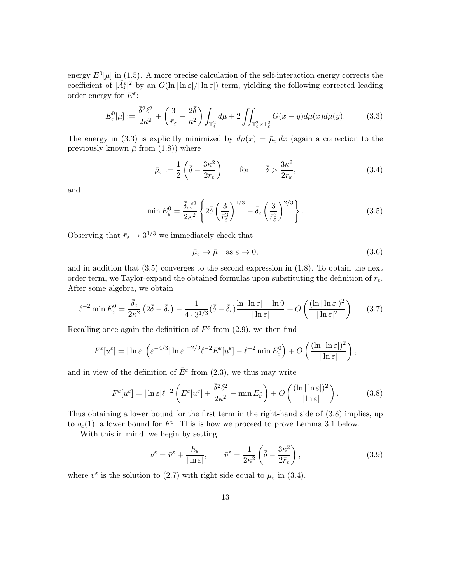energy  $E^0[\mu]$  in (1.5). A more precise calculation of the self-interaction energy corrects the coefficient of  $|\tilde{A}_{i}^{\varepsilon}|^{2}$  by an  $O(\ln |\ln \varepsilon|/|\ln \varepsilon|)$  term, yielding the following corrected leading order energy for  $E^{\varepsilon}$ :

$$
E_{\varepsilon}^{0}[\mu] := \frac{\overline{\delta}^{2}\ell^{2}}{2\kappa^{2}} + \left(\frac{3}{\overline{r}_{\varepsilon}} - \frac{2\overline{\delta}}{\kappa^{2}}\right) \int_{\mathbb{T}_{\ell}^{2}} d\mu + 2 \iint_{\mathbb{T}_{\ell}^{2} \times \mathbb{T}_{\ell}^{2}} G(x - y) d\mu(x) d\mu(y).
$$
 (3.3)

The energy in (3.3) is explicitly minimized by  $d\mu(x) = \bar{\mu}_{\varepsilon} dx$  (again a correction to the previously known  $\bar{\mu}$  from (1.8)) where

$$
\bar{\mu}_{\varepsilon} := \frac{1}{2} \left( \bar{\delta} - \frac{3\kappa^2}{2\bar{r}_{\varepsilon}} \right) \qquad \text{for} \qquad \bar{\delta} > \frac{3\kappa^2}{2\bar{r}_{\varepsilon}}, \tag{3.4}
$$

and

$$
\min E_{\varepsilon}^{0} = \frac{\bar{\delta}_{c} \ell^{2}}{2\kappa^{2}} \left\{ 2\bar{\delta} \left( \frac{3}{\bar{r}_{\varepsilon}^{3}} \right)^{1/3} - \bar{\delta}_{c} \left( \frac{3}{\bar{r}_{\varepsilon}^{3}} \right)^{2/3} \right\}.
$$
\n(3.5)

Observing that  $\bar{r}_{\varepsilon} \to 3^{1/3}$  we immediately check that

$$
\bar{\mu}_{\varepsilon} \to \bar{\mu} \quad \text{as } \varepsilon \to 0,
$$
\n(3.6)

,

and in addition that  $(3.5)$  converges to the second expression in  $(1.8)$ . To obtain the next order term, we Taylor-expand the obtained formulas upon substituting the definition of  $\bar{r}_{\varepsilon}$ . After some algebra, we obtain

$$
\ell^{-2} \min E_{\varepsilon}^{0} = \frac{\bar{\delta}_{c}}{2\kappa^{2}} \left( 2\bar{\delta} - \bar{\delta}_{c} \right) - \frac{1}{4 \cdot 3^{1/3}} (\bar{\delta} - \bar{\delta}_{c}) \frac{\ln|\ln \varepsilon| + \ln 9}{|\ln \varepsilon|} + O\left( \frac{(\ln|\ln \varepsilon|)^{2}}{|\ln \varepsilon|^{2}} \right). \tag{3.7}
$$

Recalling once again the definition of  $F^{\varepsilon}$  from (2.9), we then find

$$
F^{\varepsilon}[u^{\varepsilon}] = |\ln \varepsilon| \left( \varepsilon^{-4/3} |\ln \varepsilon|^{-2/3} \ell^{-2} E^{\varepsilon}[u^{\varepsilon}] - \ell^{-2} \min E_{\varepsilon}^{0} \right) + O\left( \frac{(\ln |\ln \varepsilon|)^{2}}{|\ln \varepsilon|} \right)
$$

and in view of the definition of  $\bar{E}^{\varepsilon}$  from (2.3), we thus may write

$$
F^{\varepsilon}[u^{\varepsilon}] = |\ln \varepsilon| \ell^{-2} \left( \bar{E}^{\varepsilon}[u^{\varepsilon}] + \frac{\bar{\delta}^2 \ell^2}{2\kappa^2} - \min E_{\varepsilon}^0 \right) + O\left( \frac{(\ln |\ln \varepsilon|)^2}{|\ln \varepsilon|} \right). \tag{3.8}
$$

Thus obtaining a lower bound for the first term in the right-hand side of (3.8) implies, up to  $o_{\varepsilon}(1)$ , a lower bound for  $F^{\varepsilon}$ . This is how we proceed to prove Lemma 3.1 below.

With this in mind, we begin by setting

$$
v^{\varepsilon} = \bar{v}^{\varepsilon} + \frac{h_{\varepsilon}}{|\ln \varepsilon|}, \qquad \bar{v}^{\varepsilon} = \frac{1}{2\kappa^2} \left( \bar{\delta} - \frac{3\kappa^2}{2\bar{r}_{\varepsilon}} \right), \tag{3.9}
$$

where  $\bar{v}^{\varepsilon}$  is the solution to (2.7) with right side equal to  $\bar{\mu}_{\varepsilon}$  in (3.4).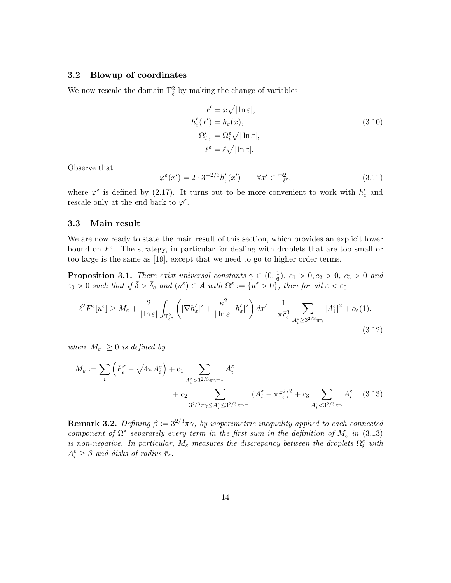### 3.2 Blowup of coordinates

We now rescale the domain  $\mathbb{T}^2_\ell$  by making the change of variables

$$
x' = x\sqrt{|\ln \varepsilon|},
$$
  
\n
$$
h'_{\varepsilon}(x') = h_{\varepsilon}(x),
$$
  
\n
$$
\Omega'_{i,\varepsilon} = \Omega_i^{\varepsilon} \sqrt{|\ln \varepsilon|},
$$
  
\n
$$
\ell^{\varepsilon} = \ell \sqrt{|\ln \varepsilon|}.
$$
\n(3.10)

Observe that

$$
\varphi^{\varepsilon}(x') = 2 \cdot 3^{-2/3} h_{\varepsilon}'(x') \qquad \forall x' \in \mathbb{T}_{\varepsilon}^2,
$$
\n(3.11)

where  $\varphi^{\varepsilon}$  is defined by (2.17). It turns out to be more convenient to work with  $h'_{\varepsilon}$  and rescale only at the end back to  $\varphi^{\varepsilon}$ .

#### 3.3 Main result

We are now ready to state the main result of this section, which provides an explicit lower bound on  $F^{\varepsilon}$ . The strategy, in particular for dealing with droplets that are too small or too large is the same as [19], except that we need to go to higher order terms.

**Proposition 3.1.** There exist universal constants  $\gamma \in (0, \frac{1}{6})$  $(\frac{1}{6}), c_1 > 0, c_2 > 0, c_3 > 0$  and  $\varepsilon_0 > 0$  such that if  $\bar{\delta} > \bar{\delta}_c$  and  $(u^{\varepsilon}) \in \mathcal{A}$  with  $\Omega^{\varepsilon} := \{u^{\varepsilon} > 0\}$ , then for all  $\varepsilon < \varepsilon_0$ 

$$
\ell^2 F^{\varepsilon}[u^{\varepsilon}] \ge M_{\varepsilon} + \frac{2}{|\ln \varepsilon|} \int_{\mathbb{T}_{\varepsilon}^2} \left( |\nabla h_{\varepsilon}'|^2 + \frac{\kappa^2}{|\ln \varepsilon|} |h_{\varepsilon}'|^2 \right) dx' - \frac{1}{\pi \bar{r}_{\varepsilon}^3} \sum_{A_{i}^{\varepsilon} \ge 3^{2/3} \pi \gamma} |\tilde{A}_{i}^{\varepsilon}|^2 + o_{\varepsilon}(1),\tag{3.12}
$$

where  $M_{\varepsilon} \geq 0$  is defined by

$$
M_{\varepsilon} := \sum_{i} \left( P_i^{\varepsilon} - \sqrt{4\pi A_i^{\varepsilon}} \right) + c_1 \sum_{A_i^{\varepsilon} > 3^{2/3}\pi\gamma^{-1}} A_i^{\varepsilon}
$$
  
+ 
$$
c_2 \sum_{3^{2/3}\pi\gamma \le A_i^{\varepsilon} \le 3^{2/3}\pi\gamma^{-1}} (A_i^{\varepsilon} - \pi \bar{r}_{\varepsilon}^2)^2 + c_3 \sum_{A_i^{\varepsilon} < 3^{2/3}\pi\gamma} A_i^{\varepsilon}.
$$
 (3.13)

**Remark 3.2.** Defining  $\beta := 3^{2/3}\pi\gamma$ , by isoperimetric inequality applied to each connected component of  $\Omega^{\varepsilon}$  separately every term in the first sum in the definition of  $M_{\varepsilon}$  in (3.13) is non-negative. In particular,  $M_{\varepsilon}$  measures the discrepancy between the droplets  $\Omega_i^{\varepsilon}$  with  $A_i^{\varepsilon} \geq \beta$  and disks of radius  $\bar{r}_{\varepsilon}$ .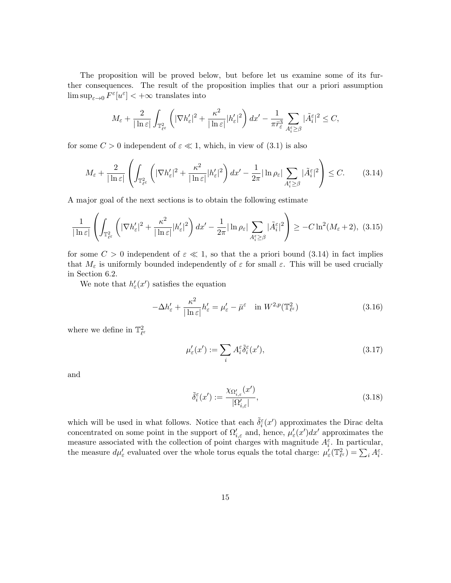The proposition will be proved below, but before let us examine some of its further consequences. The result of the proposition implies that our a priori assumption  $\limsup_{\varepsilon\to 0} F^{\varepsilon}[u^{\varepsilon}] < +\infty$  translates into

$$
M_{\varepsilon} + \frac{2}{|\ln \varepsilon|} \int_{\mathbb{T}_{\varepsilon}^2} \left( |\nabla h_{\varepsilon}'|^2 + \frac{\kappa^2}{|\ln \varepsilon|} |h_{\varepsilon}'|^2 \right) dx' - \frac{1}{\pi \bar{r}_{\varepsilon}^3} \sum_{A_{i}^{\varepsilon} \geq \beta} |\tilde{A}_{i}^{\varepsilon}|^2 \leq C,
$$

for some  $C > 0$  independent of  $\varepsilon \ll 1$ , which, in view of  $(3.1)$  is also

$$
M_{\varepsilon} + \frac{2}{|\ln \varepsilon|} \left( \int_{\mathbb{T}_{\varepsilon}^2} \left( |\nabla h_{\varepsilon}'|^2 + \frac{\kappa^2}{|\ln \varepsilon|} |h_{\varepsilon}'|^2 \right) dx' - \frac{1}{2\pi} |\ln \rho_{\varepsilon}| \sum_{A_{i}^{\varepsilon} \geq \beta} |\tilde{A}_{i}^{\varepsilon}|^2 \right) \leq C. \tag{3.14}
$$

A major goal of the next sections is to obtain the following estimate

$$
\frac{1}{|\ln \varepsilon|} \left( \int_{\mathbb{T}^2_{\ell^{\varepsilon}}} \left( |\nabla h_{\varepsilon}'|^2 + \frac{\kappa^2}{|\ln \varepsilon|} |h_{\varepsilon}'|^2 \right) dx' - \frac{1}{2\pi} |\ln \rho_{\varepsilon}| \sum_{A_i^{\varepsilon} \ge \beta} |\tilde{A}_i^{\varepsilon}|^2 \right) \ge -C \ln^2(M_{\varepsilon} + 2), \tag{3.15}
$$

for some  $C > 0$  independent of  $\varepsilon \ll 1$ , so that the a priori bound (3.14) in fact implies that  $M_{\varepsilon}$  is uniformly bounded independently of  $\varepsilon$  for small  $\varepsilon$ . This will be used crucially in Section 6.2.

We note that  $h'_{\varepsilon}(x')$  satisfies the equation

$$
-\Delta h'_{\varepsilon} + \frac{\kappa^2}{|\ln \varepsilon|} h'_{\varepsilon} = \mu'_{\varepsilon} - \bar{\mu}^{\varepsilon} \quad \text{in } W^{2,p}(\mathbb{T}^2_{\ell^{\varepsilon}})
$$
(3.16)

where we define in  $\mathbb{T}^2_{\ell^{\varepsilon}}$ 

$$
\mu'_{\varepsilon}(x') := \sum_{i} A_i^{\varepsilon} \tilde{\delta}_i^{\varepsilon}(x'),\tag{3.17}
$$

and

$$
\tilde{\delta}_i^{\varepsilon}(x') := \frac{\chi_{\Omega_{i,\varepsilon}'}(x')}{|\Omega_{i,\varepsilon}'|},\tag{3.18}
$$

which will be used in what follows. Notice that each  $\tilde{\delta}_i^{\varepsilon}(x')$  approximates the Dirac delta concentrated on some point in the support of  $\Omega'_{i,\varepsilon}$  and, hence,  $\mu'_{\varepsilon}(x')dx'$  approximates the measure associated with the collection of point charges with magnitude  $A_i^{\varepsilon}$ . In particular, the measure  $d\mu'_{\varepsilon}$  evaluated over the whole torus equals the total charge:  $\mu'_{\varepsilon}(\mathbb{T}_{\ell^{\varepsilon}}^2) = \sum_i A_i^{\varepsilon}$ .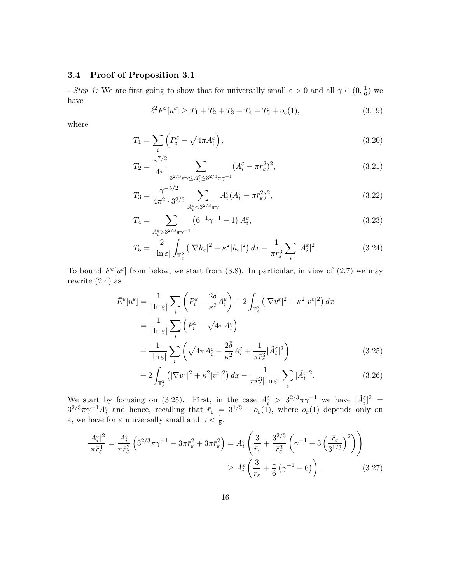### 3.4 Proof of Proposition 3.1

- Step 1: We are first going to show that for universally small  $\varepsilon > 0$  and all  $\gamma \in (0, \frac{1}{6})$  $(\frac{1}{6})$  we have

$$
\ell^2 F^{\varepsilon}[u^{\varepsilon}] \ge T_1 + T_2 + T_3 + T_4 + T_5 + o_{\varepsilon}(1), \tag{3.19}
$$

where

$$
T_1 = \sum_i \left( P_i^{\varepsilon} - \sqrt{4\pi A_i^{\varepsilon}} \right),\tag{3.20}
$$

$$
T_2 = \frac{\gamma^{7/2}}{4\pi} \sum_{3^{2/3}\pi\gamma \le A_i^{\varepsilon} \le 3^{2/3}\pi\gamma^{-1}} (A_i^{\varepsilon} - \pi \bar{r}_{\varepsilon}^2)^2,
$$
\n(3.21)

$$
T_3 = \frac{\gamma^{-5/2}}{4\pi^2 \cdot 3^{2/3}} \sum_{A_i^{\varepsilon} < 3^{2/3}\pi\gamma} A_i^{\varepsilon} (A_i^{\varepsilon} - \pi \bar{r}_{\varepsilon}^2)^2,\tag{3.22}
$$

$$
T_4 = \sum_{A_i^{\varepsilon} > 3^{2/3}\pi\gamma^{-1}} \left(6^{-1}\gamma^{-1} - 1\right) A_i^{\varepsilon},\tag{3.23}
$$

$$
T_5 = \frac{2}{|\ln \varepsilon|} \int_{\mathbb{T}_{\varepsilon}^2} \left( |\nabla h_{\varepsilon}|^2 + \kappa^2 |h_{\varepsilon}|^2 \right) dx - \frac{1}{\pi \bar{r}_{\varepsilon}^3} \sum_i |\tilde{A}_i^{\varepsilon}|^2. \tag{3.24}
$$

To bound  $F^{\varepsilon}[u^{\varepsilon}]$  from below, we start from (3.8). In particular, in view of (2.7) we may rewrite (2.4) as

$$
\bar{E}^{\varepsilon}[u^{\varepsilon}] = \frac{1}{|\ln \varepsilon|} \sum_{i} \left( P^{\varepsilon}_{i} - \frac{2\bar{\delta}}{\kappa^{2}} A^{\varepsilon}_{i} \right) + 2 \int_{\mathbb{T}_{\ell}^{2}} \left( |\nabla v^{\varepsilon}|^{2} + \kappa^{2} |v^{\varepsilon}|^{2} \right) dx
$$
\n
$$
= \frac{1}{|\ln \varepsilon|} \sum_{i} \left( P^{\varepsilon}_{i} - \sqrt{4\pi A^{\varepsilon}_{i}} \right)
$$
\n
$$
+ \frac{1}{|\ln \varepsilon|} \sum_{i} \left( \sqrt{4\pi A^{\varepsilon}_{i}} - \frac{2\bar{\delta}}{\kappa^{2}} A^{\varepsilon}_{i} + \frac{1}{\pi \bar{r}^{3}_{\varepsilon}} |\tilde{A}^{\varepsilon}_{i}|^{2} \right) \tag{3.25}
$$

$$
+2\int_{\mathbb{T}_{\varepsilon}^2} \left( |\nabla v^{\varepsilon}|^2 + \kappa^2 |v^{\varepsilon}|^2 \right) dx - \frac{1}{\pi \bar{r}_{\varepsilon}^3 |\ln \varepsilon|} \sum_i |\tilde{A}_i^{\varepsilon}|^2. \tag{3.26}
$$

We start by focusing on (3.25). First, in the case  $A_i^{\varepsilon} > 3^{2/3}\pi\gamma^{-1}$  we have  $|\tilde{A}_i^{\varepsilon}|^2 =$  $3^{2/3}\pi\gamma^{-1}A_i^{\varepsilon}$  and hence, recalling that  $\bar{r}_{\varepsilon} = 3^{1/3} + o_{\varepsilon}(1)$ , where  $o_{\varepsilon}(1)$  depends only on  $\varepsilon$ , we have for  $\varepsilon$  universally small and  $\gamma < \frac{1}{6}$ :

$$
\frac{|\tilde{A}_{i}^{\varepsilon}|^{2}}{\pi \bar{r}_{\varepsilon}^{3}} = \frac{A_{i}^{\varepsilon}}{\pi \bar{r}_{\varepsilon}^{3}} \left( 3^{2/3} \pi \gamma^{-1} - 3 \pi \bar{r}_{\varepsilon}^{2} + 3 \pi \bar{r}_{\varepsilon}^{2} \right) = A_{i}^{\varepsilon} \left( \frac{3}{\bar{r}_{\varepsilon}} + \frac{3^{2/3}}{\bar{r}_{\varepsilon}^{3}} \left( \gamma^{-1} - 3 \left( \frac{\bar{r}_{\varepsilon}}{3^{1/3}} \right)^{2} \right) \right)
$$

$$
\geq A_{i}^{\varepsilon} \left( \frac{3}{\bar{r}_{\varepsilon}} + \frac{1}{6} \left( \gamma^{-1} - 6 \right) \right). \tag{3.27}
$$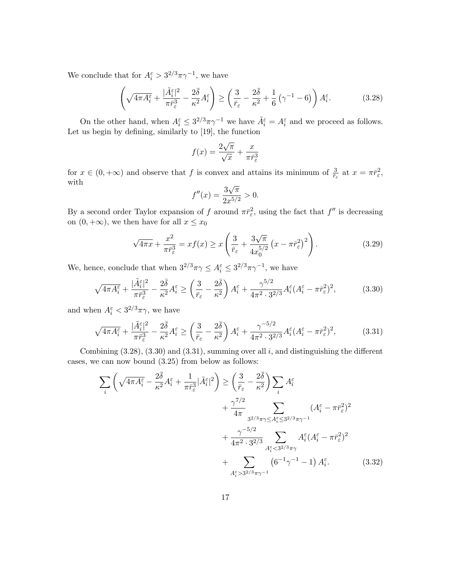We conclude that for  $A_i^{\varepsilon} > 3^{2/3} \pi \gamma^{-1}$ , we have

$$
\left(\sqrt{4\pi A_i^{\varepsilon}} + \frac{|\tilde{A}_i^{\varepsilon}|^2}{\pi \bar{r}_{\varepsilon}^3} - \frac{2\bar{\delta}}{\kappa^2} A_i^{\varepsilon}\right) \ge \left(\frac{3}{\bar{r}_{\varepsilon}} - \frac{2\bar{\delta}}{\kappa^2} + \frac{1}{6}\left(\gamma^{-1} - 6\right)\right) A_i^{\varepsilon}.
$$
 (3.28)

On the other hand, when  $A_i^{\varepsilon} \leq 3^{2/3} \pi \gamma^{-1}$  we have  $\tilde{A}_i^{\varepsilon} = A_i^{\varepsilon}$  and we proceed as follows. Let us begin by defining, similarly to [19], the function

$$
f(x) = \frac{2\sqrt{\pi}}{\sqrt{x}} + \frac{x}{\pi \bar{r}_{\varepsilon}^3}
$$

for  $x \in (0, +\infty)$  and observe that f is convex and attains its minimum of  $\frac{3}{r_{\varepsilon}}$  at  $x = \pi \bar{r}_{\varepsilon}^2$ , with √

$$
f''(x) = \frac{3\sqrt{\pi}}{2x^{5/2}} > 0.
$$

By a second order Taylor expansion of f around  $\pi \bar{r}^2_{\varepsilon}$ , using the fact that  $f''$  is decreasing on  $(0, +\infty)$ , we then have for all  $x \leq x_0$ 

$$
\sqrt{4\pi x} + \frac{x^2}{\pi \bar{r}_{\varepsilon}^3} = x f(x) \ge x \left( \frac{3}{\bar{r}_{\varepsilon}} + \frac{3\sqrt{\pi}}{4x_0^{5/2}} \left( x - \pi \bar{r}_{\varepsilon}^2 \right)^2 \right). \tag{3.29}
$$

We, hence, conclude that when  $3^{2/3}\pi\gamma \leq A_i^{\varepsilon} \leq 3^{2/3}\pi\gamma^{-1}$ , we have

$$
\sqrt{4\pi A_i^{\varepsilon}} + \frac{|\tilde{A}_i^{\varepsilon}|^2}{\pi \bar{r}_{\varepsilon}^3} - \frac{2\bar{\delta}}{\kappa^2} A_i^{\varepsilon} \ge \left(\frac{3}{\bar{r}_{\varepsilon}} - \frac{2\bar{\delta}}{\kappa^2}\right) A_i^{\varepsilon} + \frac{\gamma^{5/2}}{4\pi^2 \cdot 3^{2/3}} A_i^{\varepsilon} (A_i^{\varepsilon} - \pi \bar{r}_{\varepsilon}^2)^2,\tag{3.30}
$$

and when  $A_i^{\varepsilon} < 3^{2/3}\pi\gamma$ , we have

$$
\sqrt{4\pi A_i^{\varepsilon}} + \frac{|\tilde{A}_i^{\varepsilon}|^2}{\pi \bar{r}_{\varepsilon}^3} - \frac{2\bar{\delta}}{\kappa^2} A_i^{\varepsilon} \ge \left(\frac{3}{\bar{r}_{\varepsilon}} - \frac{2\bar{\delta}}{\kappa^2}\right) A_i^{\varepsilon} + \frac{\gamma^{-5/2}}{4\pi^2 \cdot 3^{2/3}} A_i^{\varepsilon} (A_i^{\varepsilon} - \pi \bar{r}_{\varepsilon}^2)^2,\tag{3.31}
$$

Combining  $(3.28)$ ,  $(3.30)$  and  $(3.31)$ , summing over all i, and distinguishing the different cases, we can now bound (3.25) from below as follows:

$$
\sum_{i} \left( \sqrt{4\pi A_i^{\varepsilon}} - \frac{2\overline{\delta}}{\kappa^2} A_i^{\varepsilon} + \frac{1}{\pi \overline{r}_{\varepsilon}^3} |\tilde{A}_i^{\varepsilon}|^2 \right) \ge \left( \frac{3}{\overline{r}_{\varepsilon}} - \frac{2\overline{\delta}}{\kappa^2} \right) \sum_{i} A_i^{\varepsilon} + \frac{\gamma^{7/2}}{4\pi} \sum_{3^{2/3}\pi\gamma \le A_i^{\varepsilon} \le 3^{2/3}\pi\gamma^{-1}} (A_i^{\varepsilon} - \pi \overline{r}_{\varepsilon}^2)^2 + \frac{\gamma^{-5/2}}{4\pi^2 \cdot 3^{2/3}} \sum_{A_i^{\varepsilon} \le 3^{2/3}\pi\gamma} A_i^{\varepsilon} (A_i^{\varepsilon} - \pi \overline{r}_{\varepsilon}^2)^2 + \sum_{A_i^{\varepsilon} > 3^{2/3}\pi\gamma^{-1}} (6^{-1}\gamma^{-1} - 1) A_i^{\varepsilon}.
$$
 (3.32)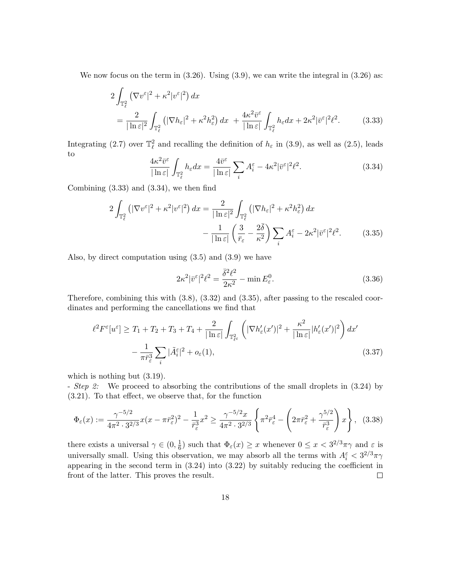We now focus on the term in  $(3.26)$ . Using  $(3.9)$ , we can write the integral in  $(3.26)$  as:

$$
2\int_{\mathbb{T}_{\ell}^{2}} \left(\nabla v^{\varepsilon}|^{2} + \kappa^{2}|v^{\varepsilon}|^{2}\right) dx
$$
  
= 
$$
\frac{2}{|\ln \varepsilon|^{2}} \int_{\mathbb{T}_{\ell}^{2}} \left(|\nabla h_{\varepsilon}|^{2} + \kappa^{2} h_{\varepsilon}^{2}\right) dx + \frac{4\kappa^{2} \bar{v}^{\varepsilon}}{|\ln \varepsilon|} \int_{\mathbb{T}_{\ell}^{2}} h_{\varepsilon} dx + 2\kappa^{2} |\bar{v}^{\varepsilon}|^{2} \ell^{2}.
$$
 (3.33)

Integrating (2.7) over  $\mathbb{T}^2_\ell$  and recalling the definition of  $h_\varepsilon$  in (3.9), as well as (2.5), leads to

$$
\frac{4\kappa^2 \bar{v}^{\varepsilon}}{|\ln \varepsilon|} \int_{\mathbb{T}_{\ell}^2} h_{\varepsilon} dx = \frac{4\bar{v}^{\varepsilon}}{|\ln \varepsilon|} \sum_i A_i^{\varepsilon} - 4\kappa^2 |\bar{v}^{\varepsilon}|^2 \ell^2.
$$
 (3.34)

Combining (3.33) and (3.34), we then find

$$
2\int_{\mathbb{T}_{\ell}^{2}}\left(|\nabla v^{\varepsilon}|^{2}+\kappa^{2}|v^{\varepsilon}|^{2}\right)dx=\frac{2}{|\ln\varepsilon|^{2}}\int_{\mathbb{T}_{\ell}^{2}}\left(|\nabla h_{\varepsilon}|^{2}+\kappa^{2}h_{\varepsilon}^{2}\right)dx
$$

$$
-\frac{1}{|\ln\varepsilon|}\left(\frac{3}{\bar{r}_{\varepsilon}}-\frac{2\bar{\delta}}{\kappa^{2}}\right)\sum_{i}A_{i}^{\varepsilon}-2\kappa^{2}|\bar{v}^{\varepsilon}|^{2}\ell^{2}.
$$
(3.35)

Also, by direct computation using (3.5) and (3.9) we have

$$
2\kappa^2|\bar{v}^{\varepsilon}|^2\ell^2 = \frac{\bar{\delta}^2\ell^2}{2\kappa^2} - \min E_{\varepsilon}^0.
$$
 (3.36)

Therefore, combining this with (3.8), (3.32) and (3.35), after passing to the rescaled coordinates and performing the cancellations we find that

$$
\ell^2 F^{\varepsilon}[u^{\varepsilon}] \ge T_1 + T_2 + T_3 + T_4 + \frac{2}{|\ln \varepsilon|} \int_{\mathbb{T}_{\ell^{\varepsilon}}^2} \left( |\nabla h_{\varepsilon}'(x')|^2 + \frac{\kappa^2}{|\ln \varepsilon|} |h_{\varepsilon}'(x')|^2 \right) dx' - \frac{1}{\pi \bar{r}_{\varepsilon}^3} \sum_{i} |\tilde{A}_{i}^{\varepsilon}|^2 + o_{\varepsilon}(1),
$$
\n(3.37)

which is nothing but  $(3.19)$ .

- *Step 2*: We proceed to absorbing the contributions of the small droplets in  $(3.24)$  by (3.21). To that effect, we observe that, for the function

$$
\Phi_{\varepsilon}(x) := \frac{\gamma^{-5/2}}{4\pi^2 \cdot 3^{2/3}} x(x - \pi \bar{r}_{\varepsilon}^2)^2 - \frac{1}{\bar{r}_{\varepsilon}^3} x^2 \ge \frac{\gamma^{-5/2} x}{4\pi^2 \cdot 3^{2/3}} \left\{ \pi^2 \bar{r}_{\varepsilon}^4 - \left( 2\pi \bar{r}_{\varepsilon}^2 + \frac{\gamma^{5/2}}{\bar{r}_{\varepsilon}^3} \right) x \right\}, \tag{3.38}
$$

there exists a universal  $\gamma \in (0, \frac{1}{6})$  $\frac{1}{6}$ ) such that  $\Phi_{\varepsilon}(x) \geq x$  whenever  $0 \leq x < 3^{2/3}\pi\gamma$  and  $\varepsilon$  is universally small. Using this observation, we may absorb all the terms with  $A_i^{\varepsilon} < 3^{2/3}\pi\gamma$ appearing in the second term in (3.24) into (3.22) by suitably reducing the coefficient in front of the latter. This proves the result.  $\Box$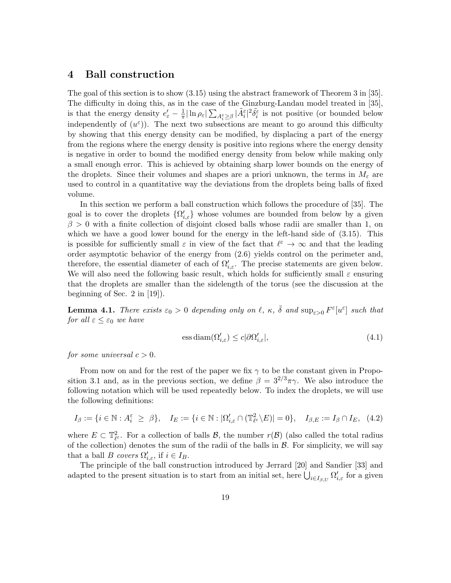### 4 Ball construction

The goal of this section is to show (3.15) using the abstract framework of Theorem 3 in [35]. The difficulty in doing this, as in the case of the Ginzburg-Landau model treated in [35], is that the energy density  $e'_{\varepsilon} - \frac{1}{\pi}$  $\frac{1}{\pi} |\ln \rho_{\varepsilon}| \sum_{A_i^{\varepsilon} \geq \beta} |\tilde{A}_i^{\varepsilon}|^2 \tilde{\delta}_i^{\varepsilon}$  is not positive (or bounded below independently of  $(u^{\varepsilon})$ ). The next two subsections are meant to go around this difficulty by showing that this energy density can be modified, by displacing a part of the energy from the regions where the energy density is positive into regions where the energy density is negative in order to bound the modified energy density from below while making only a small enough error. This is achieved by obtaining sharp lower bounds on the energy of the droplets. Since their volumes and shapes are a priori unknown, the terms in  $M_{\varepsilon}$  are used to control in a quantitative way the deviations from the droplets being balls of fixed volume.

In this section we perform a ball construction which follows the procedure of [35]. The goal is to cover the droplets  $\{\Omega_{i,\varepsilon}'\}$  whose volumes are bounded from below by a given  $\beta > 0$  with a finite collection of disjoint closed balls whose radii are smaller than 1, on which we have a good lower bound for the energy in the left-hand side of (3.15). This is possible for sufficiently small  $\varepsilon$  in view of the fact that  $\ell^{\varepsilon} \to \infty$  and that the leading order asymptotic behavior of the energy from (2.6) yields control on the perimeter and, therefore, the essential diameter of each of  $\Omega'_{i,\varepsilon}$ . The precise statements are given below. We will also need the following basic result, which holds for sufficiently small  $\varepsilon$  ensuring that the droplets are smaller than the sidelength of the torus (see the discussion at the beginning of Sec. 2 in [19]).

**Lemma 4.1.** There exists  $\varepsilon_0 > 0$  depending only on  $\ell$ ,  $\kappa$ ,  $\bar{\delta}$  and  $\sup_{\varepsilon > 0} F^{\varepsilon}[u^{\varepsilon}]$  such that for all  $\varepsilon \leq \varepsilon_0$  we have

$$
\text{ess diam}(\Omega_{i,\varepsilon}') \le c|\partial\Omega_{i,\varepsilon}'|,\tag{4.1}
$$

for some universal  $c > 0$ .

From now on and for the rest of the paper we fix  $\gamma$  to be the constant given in Proposition 3.1 and, as in the previous section, we define  $\beta = 3^{2/3}\pi\gamma$ . We also introduce the following notation which will be used repeatedly below. To index the droplets, we will use the following definitions:

$$
I_{\beta} := \{ i \in \mathbb{N} : A_i^{\varepsilon} \ge \beta \}, \quad I_E := \{ i \in \mathbb{N} : |\Omega'_{i,\varepsilon} \cap (\mathbb{T}_{\ell}^2 \setminus E)| = 0 \}, \quad I_{\beta,E} := I_{\beta} \cap I_E, \tag{4.2}
$$

where  $E \subset \mathbb{T}_{\ell^{\varepsilon}}^2$ . For a collection of balls  $\mathcal{B}$ , the number  $r(\mathcal{B})$  (also called the total radius of the collection) denotes the sum of the radii of the balls in  $\mathcal{B}$ . For simplicity, we will say that a ball B covers  $\Omega'_{i,\varepsilon}$ , if  $i \in I_B$ .

The principle of the ball construction introduced by Jerrard [20] and Sandier [33] and adapted to the present situation is to start from an initial set, here  $\bigcup_{i\in I_{\beta,U}} \Omega'_{i,\varepsilon}$  for a given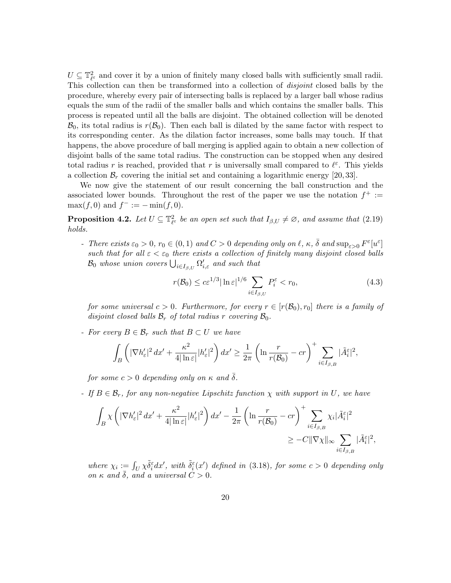$U \subseteq \mathbb{T}_{\ell^{\varepsilon}}^2$  and cover it by a union of finitely many closed balls with sufficiently small radii. This collection can then be transformed into a collection of disjoint closed balls by the procedure, whereby every pair of intersecting balls is replaced by a larger ball whose radius equals the sum of the radii of the smaller balls and which contains the smaller balls. This process is repeated until all the balls are disjoint. The obtained collection will be denoted  $\mathcal{B}_0$ , its total radius is  $r(\mathcal{B}_0)$ . Then each ball is dilated by the same factor with respect to its corresponding center. As the dilation factor increases, some balls may touch. If that happens, the above procedure of ball merging is applied again to obtain a new collection of disjoint balls of the same total radius. The construction can be stopped when any desired total radius r is reached, provided that r is universally small compared to  $\ell^{\varepsilon}$ . This yields a collection  $\mathcal{B}_r$  covering the initial set and containing a logarithmic energy [20, 33].

We now give the statement of our result concerning the ball construction and the associated lower bounds. Throughout the rest of the paper we use the notation  $f^+ :=$  $\max(f, 0)$  and  $f^- := -\min(f, 0)$ .

**Proposition 4.2.** Let  $U \subseteq \mathbb{T}_{\ell^{\varepsilon}}^2$  be an open set such that  $I_{\beta,U} \neq \varnothing$ , and assume that  $(2.19)$ holds.

- There exists  $\varepsilon_0 > 0$ ,  $r_0 \in (0, 1)$  and  $C > 0$  depending only on  $\ell, \kappa, \bar{\delta}$  and  $\sup_{\varepsilon > 0} F^{\varepsilon}[u^{\varepsilon}]$ such that for all  $\varepsilon < \varepsilon_0$  there exists a collection of finitely many disjoint closed balls  $\mathcal{B}_0$  whose union covers  $\bigcup_{i\in I_{\beta,U}} \Omega'_{i,\varepsilon}$  and such that

$$
r(\mathcal{B}_0) \le c\varepsilon^{1/3} |\ln \varepsilon|^{1/6} \sum_{i \in I_{\beta,U}} P_i^{\varepsilon} < r_0,\tag{4.3}
$$

for some universal  $c > 0$ . Furthermore, for every  $r \in [r(\mathcal{B}_0), r_0]$  there is a family of disjoint closed balls  $\mathcal{B}_r$  of total radius r covering  $\mathcal{B}_0$ .

- For every  $B \in \mathcal{B}_r$  such that  $B \subset U$  we have

$$
\int_{B} \left( |\nabla h_{\varepsilon}'|^{2} dx' + \frac{\kappa^{2}}{4|\ln \varepsilon|} |h_{\varepsilon}'|^{2} \right) dx' \ge \frac{1}{2\pi} \left( \ln \frac{r}{r(\mathcal{B}_{0})} - cr \right)^{+} \sum_{i \in I_{\beta, B}} |\tilde{A}_{i}^{\varepsilon}|^{2},
$$

for some  $c > 0$  depending only on  $\kappa$  and  $\delta$ .

- If  $B \in \mathcal{B}_r$ , for any non-negative Lipschitz function  $\chi$  with support in U, we have

$$
\begin{split} \int_{B} \chi & \left( |\nabla h_{\varepsilon}'|^2 \, dx' + \frac{\kappa^2}{4|\ln \varepsilon|} |h_{\varepsilon}'|^2 \right) dx' - \frac{1}{2\pi} \left( \ln \frac{r}{r(\mathcal{B}_0)} - cr \right)^+ \sum_{i \in I_{\beta, B}} \chi_i |\tilde{A}_i^{\varepsilon}|^2 \\ & \geq -C \|\nabla \chi\|_{\infty} \sum_{i \in I_{\beta, B}} |\tilde{A}_i^{\varepsilon}|^2, \end{split}
$$

where  $\chi_i := \int_U \chi \tilde{\delta}_i^{\varepsilon} dx'$ , with  $\tilde{\delta}_i^{\varepsilon}(x')$  defined in (3.18), for some  $c > 0$  depending only on  $\kappa$  and  $\delta$ , and a universal  $C > 0$ .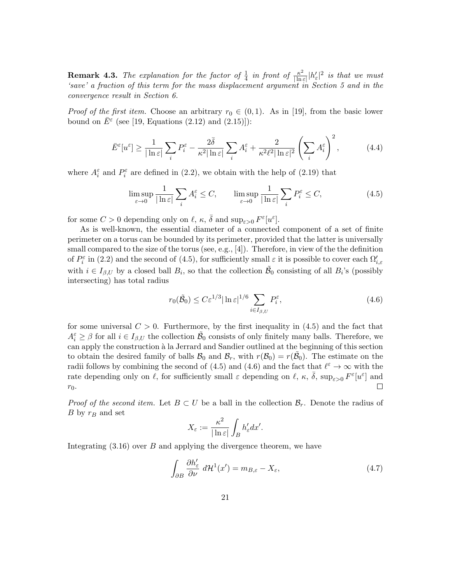**Remark 4.3.** The explanation for the factor of  $\frac{1}{4}$  in front of  $\frac{\kappa^2}{|\ln 4|}$  $\frac{\kappa^2}{|\ln \varepsilon|} |h'_{\varepsilon}|^2$  is that we must 'save' a fraction of this term for the mass displacement argument in Section 5 and in the convergence result in Section 6.

*Proof of the first item.* Choose an arbitrary  $r_0 \in (0,1)$ . As in [19], from the basic lower bound on  $\bar{E}^{\varepsilon}$  (see [19, Equations (2.12) and (2.15)]):

$$
\bar{E}^{\varepsilon}[u^{\varepsilon}] \ge \frac{1}{|\ln \varepsilon|} \sum_{i} P^{\varepsilon}_i - \frac{2\bar{\delta}}{\kappa^2 |\ln \varepsilon|} \sum_{i} A^{\varepsilon}_i + \frac{2}{\kappa^2 \ell^2 |\ln \varepsilon|^2} \left(\sum_{i} A^{\varepsilon}_i\right)^2, \tag{4.4}
$$

where  $A_i^{\varepsilon}$  and  $P_i^{\varepsilon}$  are defined in (2.2), we obtain with the help of (2.19) that

$$
\limsup_{\varepsilon \to 0} \frac{1}{|\ln \varepsilon|} \sum_{i} A_i^{\varepsilon} \le C, \qquad \limsup_{\varepsilon \to 0} \frac{1}{|\ln \varepsilon|} \sum_{i} P_i^{\varepsilon} \le C,
$$
\n(4.5)

for some  $C > 0$  depending only on  $\ell, \kappa, \bar{\delta}$  and  $\sup_{\varepsilon > 0} F^{\varepsilon}[u^{\varepsilon}].$ 

As is well-known, the essential diameter of a connected component of a set of finite perimeter on a torus can be bounded by its perimeter, provided that the latter is universally small compared to the size of the torus (see, e.g.,  $[4]$ ). Therefore, in view of the the definition of  $P_i^{\varepsilon}$  in (2.2) and the second of (4.5), for sufficiently small  $\varepsilon$  it is possible to cover each  $\Omega'_{i,\varepsilon}$ with  $i \in I_{\beta,U}$  by a closed ball  $B_i$ , so that the collection  $\tilde{\mathcal{B}}_0$  consisting of all  $B_i$ 's (possibly intersecting) has total radius

$$
r_0(\tilde{\mathcal{B}}_0) \le C\varepsilon^{1/3} |\ln \varepsilon|^{1/6} \sum_{i \in I_{\beta,U}} P_i^{\varepsilon},\tag{4.6}
$$

for some universal  $C > 0$ . Furthermore, by the first inequality in (4.5) and the fact that  $A_i^{\varepsilon} \geq \beta$  for all  $i \in I_{\beta,U}$  the collection  $\tilde{\mathcal{B}}_0$  consists of only finitely many balls. Therefore, we can apply the construction à la Jerrard and Sandier outlined at the beginning of this section to obtain the desired family of balls  $\mathcal{B}_0$  and  $\mathcal{B}_r$ , with  $r(\mathcal{B}_0) = r(\tilde{\mathcal{B}}_0)$ . The estimate on the radii follows by combining the second of (4.5) and (4.6) and the fact that  $\ell^{\epsilon} \to \infty$  with the rate depending only on  $\ell$ , for sufficiently small  $\varepsilon$  depending on  $\ell$ ,  $\kappa$ ,  $\bar{\delta}$ ,  $\sup_{\varepsilon>0} F^{\varepsilon} [u^{\varepsilon}]$  and  $\Box$  $r_0$ .

*Proof of the second item.* Let  $B \subset U$  be a ball in the collection  $\mathcal{B}_r$ . Denote the radius of  $B$  by  $r_B$  and set

$$
X_{\varepsilon} := \frac{\kappa^2}{|\ln \varepsilon|} \int_B h_{\varepsilon}' dx'.
$$

Integrating  $(3.16)$  over B and applying the divergence theorem, we have

$$
\int_{\partial B} \frac{\partial h'_{\varepsilon}}{\partial \nu} d\mathcal{H}^{1}(x') = m_{B,\varepsilon} - X_{\varepsilon},
$$
\n(4.7)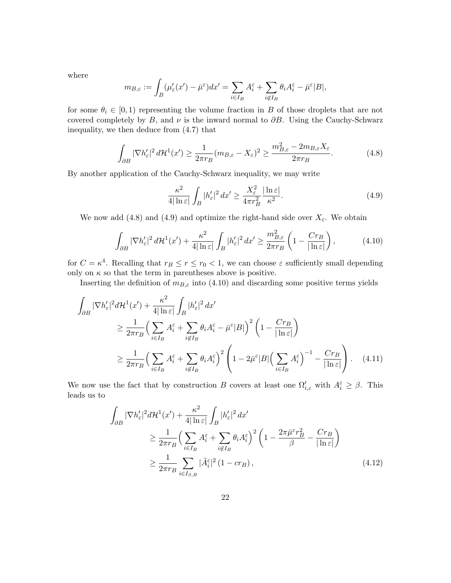where

$$
m_{B,\varepsilon} := \int_B (\mu_{\varepsilon}'(x') - \bar{\mu}^{\varepsilon}) dx' = \sum_{i \in I_B} A_i^{\varepsilon} + \sum_{i \notin I_B} \theta_i A_i^{\varepsilon} - \bar{\mu}^{\varepsilon} |B|,
$$

for some  $\theta_i \in [0,1)$  representing the volume fraction in B of those droplets that are not covered completely by B, and  $\nu$  is the inward normal to  $\partial B$ . Using the Cauchy-Schwarz inequality, we then deduce from (4.7) that

$$
\int_{\partial B} |\nabla h_{\varepsilon}'|^2 d\mathcal{H}^1(x') \ge \frac{1}{2\pi r_B} (m_{B,\varepsilon} - X_{\varepsilon})^2 \ge \frac{m_{B,\varepsilon}^2 - 2m_{B,\varepsilon}X_{\varepsilon}}{2\pi r_B}.
$$
\n(4.8)

By another application of the Cauchy-Schwarz inequality, we may write

$$
\frac{\kappa^2}{4|\ln \varepsilon|} \int_B |h_{\varepsilon}'|^2 dx' \ge \frac{X_{\varepsilon}^2}{4\pi r_B^2} \frac{|\ln \varepsilon|}{\kappa^2}.
$$
\n(4.9)

We now add (4.8) and (4.9) and optimize the right-hand side over  $X_{\varepsilon}$ . We obtain

$$
\int_{\partial B} |\nabla h_{\varepsilon}'|^2 d\mathcal{H}^1(x') + \frac{\kappa^2}{4|\ln \varepsilon|} \int_B |h_{\varepsilon}'|^2 dx' \ge \frac{m_{B,\varepsilon}^2}{2\pi r_B} \left(1 - \frac{Cr_B}{|\ln \varepsilon|}\right),\tag{4.10}
$$

for  $C = \kappa^4$ . Recalling that  $r_B \le r \le r_0 < 1$ , we can choose  $\varepsilon$  sufficiently small depending only on  $\kappa$  so that the term in parentheses above is positive.

Inserting the definition of  $m_{B,\varepsilon}$  into (4.10) and discarding some positive terms yields

$$
\int_{\partial B} |\nabla h_{\varepsilon}'|^{2} d\mathcal{H}^{1}(x') + \frac{\kappa^{2}}{4|\ln \varepsilon|} \int_{B} |h_{\varepsilon}'|^{2} dx'
$$
\n
$$
\geq \frac{1}{2\pi r_{B}} \Big( \sum_{i \in I_{B}} A_{i}^{\varepsilon} + \sum_{i \notin I_{B}} \theta_{i} A_{i}^{\varepsilon} - \bar{\mu}^{\varepsilon} |B| \Big)^{2} \Big( 1 - \frac{Cr_{B}}{|\ln \varepsilon|} \Big)
$$
\n
$$
\geq \frac{1}{2\pi r_{B}} \Big( \sum_{i \in I_{B}} A_{i}^{\varepsilon} + \sum_{i \notin I_{B}} \theta_{i} A_{i}^{\varepsilon} \Big)^{2} \Bigg( 1 - 2\bar{\mu}^{\varepsilon} |B| \Big( \sum_{i \in I_{B}} A_{i}^{\varepsilon} \Big)^{-1} - \frac{Cr_{B}}{|\ln \varepsilon|} \Bigg). \tag{4.11}
$$

We now use the fact that by construction B covers at least one  $\Omega'_{i,\varepsilon}$  with  $A_i^{\varepsilon} \geq \beta$ . This leads us to

$$
\int_{\partial B} |\nabla h_{\varepsilon}'|^2 d\mathcal{H}^1(x') + \frac{\kappa^2}{4|\ln \varepsilon|} \int_B |h_{\varepsilon}'|^2 dx' \n\geq \frac{1}{2\pi r_B} \Big( \sum_{i \in I_B} A_i^{\varepsilon} + \sum_{i \notin I_B} \theta_i A_i^{\varepsilon} \Big)^2 \left( 1 - \frac{2\pi \bar{\mu}^{\varepsilon} r_B^2}{\beta} - \frac{Cr_B}{|\ln \varepsilon|} \right) \n\geq \frac{1}{2\pi r_B} \sum_{i \in I_{\beta, B}} |\tilde{A}_i^{\varepsilon}|^2 (1 - cr_B),
$$
\n(4.12)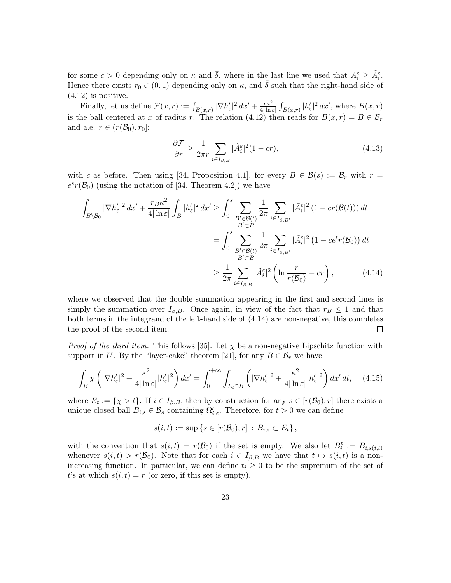for some  $c > 0$  depending only on  $\kappa$  and  $\bar{\delta}$ , where in the last line we used that  $A_i^{\varepsilon} \geq \tilde{A}_i^{\varepsilon}$ . Hence there exists  $r_0 \in (0, 1)$  depending only on  $\kappa$ , and  $\bar{\delta}$  such that the right-hand side of  $(4.12)$  is positive.

Finally, let us define  $\mathcal{F}(x,r) := \int_{B(x,r)} |\nabla h_{\varepsilon}'|^2 dx' + \frac{r\kappa^2}{4|\ln s|}$  $\frac{r\kappa^2}{4|\ln\varepsilon|}\int_{B(x,r)}|h_{\varepsilon}'|^2\,dx'$ , where  $B(x,r)$ is the ball centered at x of radius r. The relation (4.12) then reads for  $B(x, r) = B \in \mathcal{B}_r$ and a.e.  $r \in (r(\mathcal{B}_0), r_0]$ :

$$
\frac{\partial \mathcal{F}}{\partial r} \ge \frac{1}{2\pi r} \sum_{i \in I_{\beta, B}} |\tilde{A}_i^{\varepsilon}|^2 (1 - cr),\tag{4.13}
$$

with c as before. Then using [34, Proposition 4.1], for every  $B \in \mathcal{B}(s) := \mathcal{B}_r$  with  $r =$  $e^{s}r(\mathcal{B}_0)$  (using the notation of [34, Theorem 4.2]) we have

$$
\int_{B\setminus\mathcal{B}_0} |\nabla h_{\varepsilon}'|^2 dx' + \frac{r_B \kappa^2}{4|\ln \varepsilon|} \int_B |h_{\varepsilon}'|^2 dx' \ge \int_0^s \sum_{\substack{B' \in \mathcal{B}(t) \\ B' \subset B}} \frac{1}{2\pi} \sum_{i \in I_{\beta, B'}} |\tilde{A}_i^{\varepsilon}|^2 (1 - cr(\mathcal{B}(t))) dt
$$

$$
= \int_0^s \sum_{\substack{B' \subset \mathcal{B}(t) \\ B' \subset B}} \frac{1}{2\pi} \sum_{i \in I_{\beta, B'}} |\tilde{A}_i^{\varepsilon}|^2 (1 - c e^t r(\mathcal{B}_0)) dt
$$

$$
\ge \frac{1}{2\pi} \sum_{i \in I_{\beta, B}} |\tilde{A}_i^{\varepsilon}|^2 \left(\ln \frac{r}{r(\mathcal{B}_0)} - cr\right), \tag{4.14}
$$

where we observed that the double summation appearing in the first and second lines is simply the summation over  $I_{\beta,B}$ . Once again, in view of the fact that  $r_B \leq 1$  and that both terms in the integrand of the left-hand side of (4.14) are non-negative, this completes the proof of the second item.  $\Box$ 

*Proof of the third item.* This follows [35]. Let  $\chi$  be a non-negative Lipschitz function with support in U. By the "layer-cake" theorem [21], for any  $B \in \mathcal{B}_r$  we have

$$
\int_{B} \chi \left( |\nabla h_{\varepsilon}'|^{2} + \frac{\kappa^{2}}{4|\ln \varepsilon|} |h_{\varepsilon}'|^{2} \right) dx' = \int_{0}^{+\infty} \int_{E_{t} \cap B} \left( |\nabla h_{\varepsilon}'|^{2} + \frac{\kappa^{2}}{4|\ln \varepsilon|} |h_{\varepsilon}'|^{2} \right) dx' dt, \quad (4.15)
$$

where  $E_t := \{ \chi > t \}.$  If  $i \in I_{\beta,B}$ , then by construction for any  $s \in [r(\mathcal{B}_0), r]$  there exists a unique closed ball  $B_{i,s} \in \mathcal{B}_s$  containing  $\Omega'_{i,\varepsilon}$ . Therefore, for  $t > 0$  we can define

$$
s(i, t) := \sup \{ s \in [r(\mathcal{B}_0), r] : B_{i,s} \subset E_t \},
$$

with the convention that  $s(i, t) = r(\mathcal{B}_0)$  if the set is empty. We also let  $B_i^t := B_{i, s(i, t)}$ whenever  $s(i, t) > r(\mathcal{B}_0)$ . Note that for each  $i \in I_{\beta,B}$  we have that  $t \mapsto s(i, t)$  is a nonincreasing function. In particular, we can define  $t_i \geq 0$  to be the supremum of the set of t's at which  $s(i, t) = r$  (or zero, if this set is empty).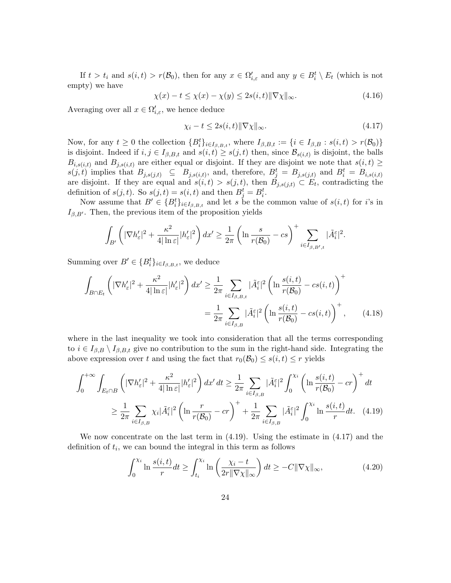If  $t > t_i$  and  $s(i, t) > r(\mathcal{B}_0)$ , then for any  $x \in \Omega'_{i, \varepsilon}$  and any  $y \in B_i^t \setminus E_t$  (which is not empty) we have

$$
\chi(x) - t \le \chi(x) - \chi(y) \le 2s(i, t) \|\nabla \chi\|_{\infty}.
$$
\n(4.16)

Averaging over all  $x \in \Omega'_{i,\varepsilon}$ , we hence deduce

$$
\chi_i - t \le 2s(i, t) \|\nabla \chi\|_{\infty}.\tag{4.17}
$$

Now, for any  $t \geq 0$  the collection  $\{B_i^t\}_{i \in I_{\beta,B,t}}$ , where  $I_{\beta,B,t} := \{i \in I_{\beta,B} : s(i,t) > r(\mathcal{B}_0)\}\$ is disjoint. Indeed if  $i, j \in I_{\beta, B, t}$  and  $s(i, t) \geq s(j, t)$  then, since  $\mathcal{B}_{s(i, t)}$  is disjoint, the balls  $B_{i,s(i,t)}$  and  $B_{j,s(i,t)}$  are either equal or disjoint. If they are disjoint we note that  $s(i,t) \geq$  $s(j,t)$  implies that  $B_{j,s(j,t)} \subseteq B_{j,s(i,t)}$ , and, therefore,  $B_j^t = B_{j,s(j,t)}$  and  $B_i^t = B_{i,s(i,t)}$ are disjoint. If they are equal and  $s(i, t) > s(j, t)$ , then  $B_{j, s(j, t)} \subset E_t$ , contradicting the definition of  $s(j, t)$ . So  $s(j, t) = s(i, t)$  and then  $B_j^t = B_i^t$ .

Now assume that  $B' \in \{B_i^t\}_{i \in I_{\beta,B,t}}$  and let s be the common value of  $s(i, t)$  for i's in  $I_{\beta,B'}$ . Then, the previous item of the proposition yields

$$
\int_{B'} \left( |\nabla h_{\varepsilon}'|^2 + \frac{\kappa^2}{4|\ln \varepsilon|} |h_{\varepsilon}'|^2 \right) dx' \ge \frac{1}{2\pi} \left( \ln \frac{s}{r(\mathcal{B}_0)} - cs \right)^+ \sum_{i \in I_{\beta, B', t}} |\tilde{A}_i^{\varepsilon}|^2.
$$

Summing over  $B' \in \{B_i^t\}_{i \in I_{\beta,B,t}}$ , we deduce

$$
\int_{B \cap E_t} \left( |\nabla h_{\varepsilon}'|^2 + \frac{\kappa^2}{4|\ln \varepsilon|} |h_{\varepsilon}'|^2 \right) dx' \ge \frac{1}{2\pi} \sum_{i \in I_{\beta, B, t}} |\tilde{A}_i^{\varepsilon}|^2 \left( \ln \frac{s(i, t)}{r(\mathcal{B}_0)} - cs(i, t) \right)^+ \n= \frac{1}{2\pi} \sum_{i \in I_{\beta, B}} |\tilde{A}_i^{\varepsilon}|^2 \left( \ln \frac{s(i, t)}{r(\mathcal{B}_0)} - cs(i, t) \right)^+, \tag{4.18}
$$

where in the last inequality we took into consideration that all the terms corresponding to  $i \in I_{\beta,B} \setminus I_{\beta,B,t}$  give no contribution to the sum in the right-hand side. Integrating the above expression over t and using the fact that  $r_0(\mathcal{B}_0) \leq s(i, t) \leq r$  yields

$$
\int_0^{+\infty} \int_{E_t \cap B} \left( |\nabla h_{\varepsilon}'|^2 + \frac{\kappa^2}{4|\ln \varepsilon|} |h_{\varepsilon}'|^2 \right) dx' dt \ge \frac{1}{2\pi} \sum_{i \in I_{\beta, B}} |\tilde{A}_i^{\varepsilon}|^2 \int_0^{\chi_i} \left( \ln \frac{s(i, t)}{r(B_0)} - cr \right)^+ dt
$$
  

$$
\ge \frac{1}{2\pi} \sum_{i \in I_{\beta, B}} \chi_i |\tilde{A}_i^{\varepsilon}|^2 \left( \ln \frac{r}{r(B_0)} - cr \right)^+ + \frac{1}{2\pi} \sum_{i \in I_{\beta, B}} |\tilde{A}_i^{\varepsilon}|^2 \int_0^{\chi_i} \ln \frac{s(i, t)}{r} dt. \quad (4.19)
$$

We now concentrate on the last term in  $(4.19)$ . Using the estimate in  $(4.17)$  and the definition of  $t_i$ , we can bound the integral in this term as follows

$$
\int_0^{\chi_i} \ln \frac{s(i,t)}{r} dt \ge \int_{t_i}^{\chi_i} \ln \left( \frac{\chi_i - t}{2r \|\nabla \chi\|_{\infty}} \right) dt \ge -C \|\nabla \chi\|_{\infty},\tag{4.20}
$$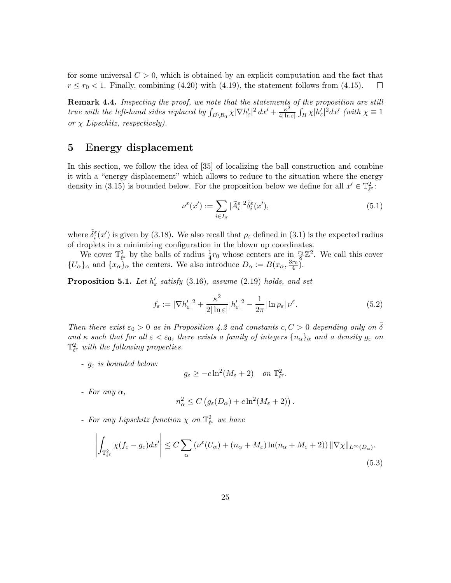for some universal  $C > 0$ , which is obtained by an explicit computation and the fact that  $r \le r_0 < 1$ . Finally, combining (4.20) with (4.19), the statement follows from (4.15).  $\Box$ 

Remark 4.4. Inspecting the proof, we note that the statements of the proposition are still true with the left-hand sides replaced by  $\int_{B\setminus\mathcal{B}_0}\chi|\nabla h_{\varepsilon}'|^2\,dx'+\frac{\kappa^2}{4|\ln \varepsilon|}$  $\frac{\kappa^2}{4|\ln\varepsilon|}\int_B\chi |h'_\varepsilon|^2dx'$  (with  $\chi\equiv 1$ or  $\chi$  Lipschitz, respectively).

### 5 Energy displacement

In this section, we follow the idea of [35] of localizing the ball construction and combine it with a "energy displacement" which allows to reduce to the situation where the energy density in (3.15) is bounded below. For the proposition below we define for all  $x' \in \mathbb{T}_{\ell^{\varepsilon}}^2$ :

$$
\nu^{\varepsilon}(x') := \sum_{i \in I_{\beta}} |\tilde{A}_i^{\varepsilon}|^2 \tilde{\delta}_i^{\varepsilon}(x'),\tag{5.1}
$$

where  $\tilde{\delta}_i^{\varepsilon}(x')$  is given by (3.18). We also recall that  $\rho_{\varepsilon}$  defined in (3.1) is the expected radius of droplets in a minimizing configuration in the blown up coordinates.

We cover  $\mathbb{T}_{\ell^{\varepsilon}}^2$  by the balls of radius  $\frac{1}{4}r_0$  whose centers are in  $\frac{r_0}{8}\mathbb{Z}^2$ . We call this cover  $\{U_{\alpha}\}_\alpha$  and  $\{x_{\alpha}\}_\alpha$  the centers. We also introduce  $D_{\alpha} := B(x_{\alpha}, \frac{3r_0}{4})$ .

**Proposition 5.1.** Let  $h'_{\varepsilon}$  satisfy (3.16), assume (2.19) holds, and set

$$
f_{\varepsilon} := |\nabla h_{\varepsilon}'|^2 + \frac{\kappa^2}{2|\ln \varepsilon|} |h_{\varepsilon}'|^2 - \frac{1}{2\pi} |\ln \rho_{\varepsilon}| \nu^{\varepsilon}.
$$
 (5.2)

Then there exist  $\varepsilon_0 > 0$  as in Proposition 4.2 and constants  $c, C > 0$  depending only on  $\overline{\delta}$ and κ such that for all  $\varepsilon < \varepsilon_0$ , there exists a family of integers  $\{n_\alpha\}_\alpha$  and a density  $g_\varepsilon$  on  $\mathbb{T}_{\ell^{\varepsilon}}^2$  with the following properties.

-  $g_{\varepsilon}$  is bounded below:

$$
g_{\varepsilon} \ge -c \ln^2(M_{\varepsilon} + 2) \quad on \; \mathbb{T}^2_{\ell^{\varepsilon}}.
$$

- For any  $\alpha$ ,

$$
n_{\alpha}^{2} \leq C \left( g_{\varepsilon}(D_{\alpha}) + c \ln^{2}(M_{\varepsilon} + 2) \right).
$$

- For any Lipschitz function  $\chi$  on  $\mathbb{T}_{\ell^{\varepsilon}}^2$  we have

$$
\left| \int_{\mathbb{T}_{\ell^{\varepsilon}}^2} \chi(f_{\varepsilon} - g_{\varepsilon}) dx' \right| \le C \sum_{\alpha} \left( \nu^{\varepsilon}(U_{\alpha}) + (n_{\alpha} + M_{\varepsilon}) \ln(n_{\alpha} + M_{\varepsilon} + 2) \right) \| \nabla \chi \|_{L^{\infty}(D_{\alpha})}.
$$
\n(5.3)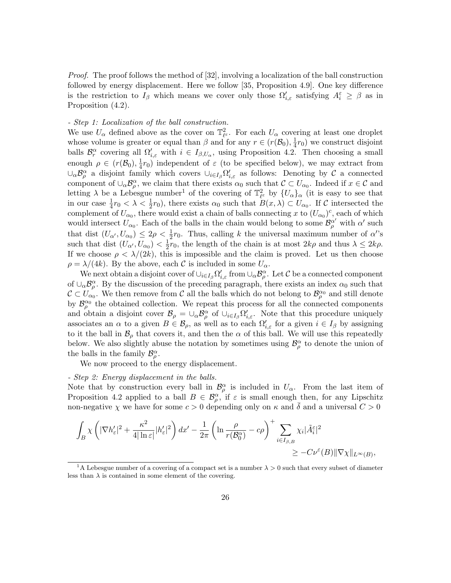Proof. The proof follows the method of [32], involving a localization of the ball construction followed by energy displacement. Here we follow [35, Proposition 4.9]. One key difference is the restriction to  $I_\beta$  which means we cover only those  $\Omega'_{i,\varepsilon}$  satisfying  $A_i^{\varepsilon} \geq \beta$  as in Proposition  $(4.2)$ .

### - Step 1: Localization of the ball construction.

We use  $U_{\alpha}$  defined above as the cover on  $\mathbb{T}_{\ell^{\varepsilon}}^2$ . For each  $U_{\alpha}$  covering at least one droplet whose volume is greater or equal than  $\beta$  and for any  $r \in (r(\mathcal{B}_0), \frac{1}{4})$  $\frac{1}{4}r_0$ ) we construct disjoint balls  $\mathcal{B}_r^{\alpha}$  covering all  $\Omega'_{i,\varepsilon}$  with  $i \in I_{\beta,U_{\alpha}}$ , using Proposition 4.2. Then choosing a small enough  $\rho \in (r(\mathcal{B}_0), \frac{1}{4})$  $\frac{1}{4}r_0$ ) independent of  $\varepsilon$  (to be specified below), we may extract from  $\cup_\alpha \mathcal{B}^\alpha_\rho$  a disjoint family which covers  $\cup_{i\in I_\beta}\Omega'_{i,\varepsilon}$  as follows: Denoting by C a connected component of  $\cup_\alpha \mathcal{B}^\alpha_\rho$ , we claim that there exists  $\alpha_0$  such that  $\mathcal{C} \subset U_{\alpha_0}$ . Indeed if  $x \in \mathcal{C}$  and letting  $\lambda$  be a Lebesgue number<sup>1</sup> of the covering of  $\mathbb{T}_{\ell^{\varepsilon}}^2$  by  $\{U_{\alpha}\}_{\alpha}$  (it is easy to see that in our case  $\frac{1}{4}r_0 < \lambda < \frac{1}{2}r_0$ , there exists  $\alpha_0$  such that  $B(x, \lambda) \subset U_{\alpha_0}$ . If C intersected the complement of  $U_{\alpha_0}$ , there would exist a chain of balls connecting x to  $(U_{\alpha_0})^c$ , each of which would intersect  $U_{\alpha_0}$ . Each of the balls in the chain would belong to some  $\mathcal{B}_{\rho}^{\alpha'}$  with  $\alpha'$  such that dist  $(U_{\alpha'}, U_{\alpha_0}) \leq 2\rho < \frac{1}{2}r_0$ . Thus, calling k the universal maximum number of  $\alpha''$ s such that dist  $(U_{\alpha'}, U_{\alpha_0}) < \frac{1}{2}$  $\frac{1}{2}r_0$ , the length of the chain is at most  $2k\rho$  and thus  $\lambda \leq 2k\rho$ . If we choose  $\rho < \lambda/(2k)$ , this is impossible and the claim is proved. Let us then choose  $\rho = \lambda/(4k)$ . By the above, each C is included in some  $U_{\alpha}$ .

We next obtain a disjoint cover of  $\cup_{i\in I_\beta}\Omega_{i,\varepsilon}'$  from  $\cup_\alpha\mathcal{B}_\rho^\alpha$ . Let C be a connected component of  $\cup_{\alpha} \mathcal{B}_{\rho}^{\alpha}$ . By the discussion of the preceding paragraph, there exists an index  $\alpha_0$  such that  $\mathcal{C} \subset U_{\alpha_0}$ . We then remove from  $\mathcal{C}$  all the balls which do not belong to  $\mathcal{B}_{\rho}^{\alpha_0}$  and still denote by  $\mathcal{B}_{\rho}^{\alpha_0}$  the obtained collection. We repeat this process for all the connected components and obtain a disjoint cover  $\mathcal{B}_{\rho} = \cup_{\alpha} \mathcal{B}_{\rho}^{\alpha}$  of  $\cup_{i \in I_{\beta}} \Omega'_{i,\varepsilon}$ . Note that this procedure uniquely associates an  $\alpha$  to a given  $B \in \mathcal{B}_{\rho}$ , as well as to each  $\Omega'_{i,\varepsilon}$  for a given  $i \in I_{\beta}$  by assigning to it the ball in  $\mathcal{B}_{\rho}$  that covers it, and then the  $\alpha$  of this ball. We will use this repeatedly below. We also slightly abuse the notation by sometimes using  $\mathcal{B}_{\rho}^{\alpha}$  to denote the union of the balls in the family  $\mathcal{B}_{\rho}^{\alpha}$ .

We now proceed to the energy displacement.

#### - Step 2: Energy displacement in the balls.

Note that by construction every ball in  $\mathcal{B}_{\rho}^{\alpha}$  is included in  $U_{\alpha}$ . From the last item of Proposition 4.2 applied to a ball  $B \in \mathcal{B}_{\rho}^{\alpha}$ , if  $\varepsilon$  is small enough then, for any Lipschitz non-negative  $\chi$  we have for some  $c > 0$  depending only on  $\kappa$  and  $\delta$  and a universal  $C > 0$ 

$$
\int_B \chi \left( |\nabla h_{\varepsilon}'|^2 + \frac{\kappa^2}{4|\ln \varepsilon|} |h_{\varepsilon}'|^2 \right) dx' - \frac{1}{2\pi} \left( \ln \frac{\rho}{r(\mathcal{B}_0^{\alpha})} - c\rho \right)^+ \sum_{i \in I_{\beta, B}} \chi_i |\tilde{A}_i^{\varepsilon}|^2
$$
\n
$$
\geq -C \nu^{\varepsilon}(B) \|\nabla \chi\|_{L^{\infty}(B)},
$$

<sup>&</sup>lt;sup>1</sup>A Lebesgue number of a covering of a compact set is a number  $\lambda > 0$  such that every subset of diameter less than  $\lambda$  is contained in some element of the covering.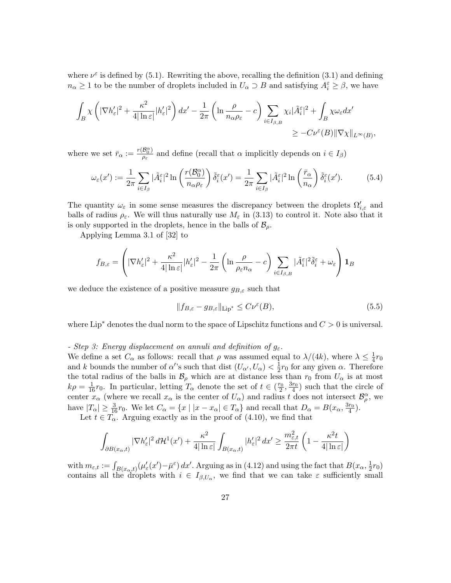where  $\nu^{\varepsilon}$  is defined by (5.1). Rewriting the above, recalling the definition (3.1) and defining  $n_{\alpha} \geq 1$  to be the number of droplets included in  $U_{\alpha} \supset B$  and satisfying  $A_i^{\varepsilon} \geq \beta$ , we have

$$
\begin{aligned} \int_{B} \chi \left( |\nabla h_{\varepsilon}'|^2 + \frac{\kappa^2}{4|\ln \varepsilon|} |h_{\varepsilon}'|^2 \right) dx' - \frac{1}{2\pi} \left( \ln \frac{\rho}{n_{\alpha}\rho_{\varepsilon}} - c \right) \sum_{i \in I_{\beta, B}} \chi_i |\tilde{A}_{i}^{\varepsilon}|^2 + \int_{B} \chi \omega_{\varepsilon} dx' \\ \geq -C \nu^{\varepsilon}(B) \|\nabla \chi\|_{L^{\infty}(B)}, \end{aligned}
$$

where we set  $\bar{r}_{\alpha} := \frac{r(\mathcal{B}_{0}^{\alpha})}{q_{\epsilon}}$  $\frac{p_{0}}{p_{\varepsilon}}$  and define (recall that  $\alpha$  implicitly depends on  $i \in I_{\beta}$ )

$$
\omega_{\varepsilon}(x') := \frac{1}{2\pi} \sum_{i \in I_{\beta}} |\tilde{A}_{i}^{\varepsilon}|^{2} \ln \left( \frac{r(\mathcal{B}_{0}^{\alpha})}{n_{\alpha} \rho_{\varepsilon}} \right) \tilde{\delta}_{i}^{\varepsilon}(x') = \frac{1}{2\pi} \sum_{i \in I_{\beta}} |\tilde{A}_{i}^{\varepsilon}|^{2} \ln \left( \frac{\bar{r}_{\alpha}}{n_{\alpha}} \right) \tilde{\delta}_{i}^{\varepsilon}(x'). \tag{5.4}
$$

The quantity  $\omega_{\varepsilon}$  in some sense measures the discrepancy between the droplets  $\Omega'_{i,\varepsilon}$  and balls of radius  $\rho_{\varepsilon}$ . We will thus naturally use  $M_{\varepsilon}$  in (3.13) to control it. Note also that it is only supported in the droplets, hence in the balls of  $\mathcal{B}_{\rho}$ .

Applying Lemma 3.1 of [32] to

$$
f_{B,\varepsilon} = \left( |\nabla h_{\varepsilon}'|^2 + \frac{\kappa^2}{4|\ln \varepsilon|} |h_{\varepsilon}'|^2 - \frac{1}{2\pi} \left( \ln \frac{\rho}{\rho_{\varepsilon} n_{\alpha}} - c \right) \sum_{i \in I_{\beta,B}} |\tilde{A}_i^{\varepsilon}|^2 \tilde{\delta}_i^{\varepsilon} + \omega_{\varepsilon} \right) \mathbf{1}_B
$$

we deduce the existence of a positive measure  $g_{B,\varepsilon}$  such that

$$
||f_{B,\varepsilon} - g_{B,\varepsilon}||_{\text{Lip}^*} \leq C\nu^{\varepsilon}(B),\tag{5.5}
$$

where Lip<sup>∗</sup> denotes the dual norm to the space of Lipschitz functions and  $C > 0$  is universal.

#### - Step 3: Energy displacement on annuli and definition of  $g_{\varepsilon}$ .

We define a set  $C_{\alpha}$  as follows: recall that  $\rho$  was assumed equal to  $\lambda/(4k)$ , where  $\lambda \leq \frac{1}{4}$  $rac{1}{4}r_0$ and k bounds the number of  $\alpha$ 's such that dist  $(U_{\alpha'}, U_{\alpha}) < \frac{1}{2}$  $\frac{1}{2}r_0$  for any given  $\alpha$ . Therefore the total radius of the balls in  $\mathcal{B}_{\rho}$  which are at distance less than  $r_0$  from  $U_{\alpha}$  is at most  $k\rho = \frac{1}{16}r_0$ . In particular, letting  $T_\alpha$  denote the set of  $t \in (\frac{r_0}{2}, \frac{3r_0}{4})$  such that the circle of center  $x_\alpha$  (where we recall  $x_\alpha$  is the center of  $U_\alpha$ ) and radius t does not intersect  $\mathcal{B}^\alpha_\rho$ , we have  $|T_{\alpha}| \geq \frac{3}{16}r_0$ . We let  $C_{\alpha} = \{x \mid |x - x_{\alpha}| \in T_{\alpha}\}\$  and recall that  $D_{\alpha} = B(x_{\alpha}, \frac{3r_0}{4})$ .

Let  $t \in T_\alpha$ . Arguing exactly as in the proof of (4.10), we find that

$$
\int_{\partial B(x_{\alpha},t)} |\nabla h_{\varepsilon}'|^2 d\mathcal{H}^1(x') + \frac{\kappa^2}{4|\ln \varepsilon|} \int_{B(x_{\alpha},t)} |h_{\varepsilon}'|^2 dx' \ge \frac{m_{\varepsilon,t}^2}{2\pi t} \left(1 - \frac{\kappa^2 t}{4|\ln \varepsilon|}\right)
$$

with  $m_{\varepsilon,t} := \int_{B(x_{\alpha},t)} (\mu_{\varepsilon}'(x') - \bar{\mu}^{\varepsilon}) dx'.$  Arguing as in (4.12) and using the fact that  $B(x_{\alpha}, \frac{1}{2})$  $rac{1}{2}r_0$ contains all the droplets with  $i \in I_{\beta,U_{\alpha}}$ , we find that we can take  $\varepsilon$  sufficiently small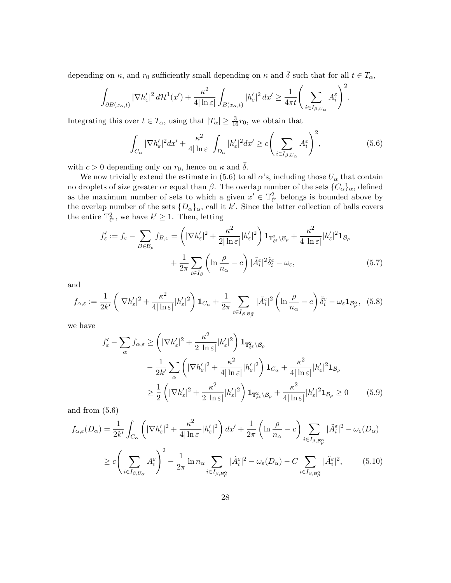depending on  $\kappa$ , and  $r_0$  sufficiently small depending on  $\kappa$  and  $\bar{\delta}$  such that for all  $t \in T_\alpha$ ,

$$
\int_{\partial B(x_{\alpha},t)}|\nabla h_{\varepsilon}'|^2\,d\mathcal{H}^1(x')+\frac{\kappa^2}{4|\ln \varepsilon|}\int_{B(x_{\alpha},t)}|h_{\varepsilon}'|^2\,dx'\geq \frac{1}{4\pi t}\Bigg(\sum_{i\in I_{\beta,U_{\alpha}}}A_i^{\varepsilon}\Bigg)^2.
$$

Integrating this over  $t \in T_\alpha$ , using that  $|T_\alpha| \geq \frac{3}{16}r_0$ , we obtain that

$$
\int_{C_{\alpha}} |\nabla h_{\varepsilon}'|^2 dx' + \frac{\kappa^2}{4|\ln \varepsilon|} \int_{D_{\alpha}} |h_{\varepsilon}'|^2 dx' \ge c \left( \sum_{i \in I_{\beta, U_{\alpha}}} A_i^{\varepsilon} \right)^2, \tag{5.6}
$$

with  $c > 0$  depending only on  $r_0$ , hence on  $\kappa$  and  $\overline{\delta}$ .

We now trivially extend the estimate in (5.6) to all  $\alpha$ 's, including those  $U_{\alpha}$  that contain no droplets of size greater or equal than  $\beta$ . The overlap number of the sets  ${C_{\alpha}}_{\alpha}$ , defined as the maximum number of sets to which a given  $x' \in \mathbb{T}_{\ell^{\varepsilon}}^2$  belongs is bounded above by the overlap number of the sets  $\{D_{\alpha}\}_\alpha$ , call it k'. Since the latter collection of balls covers the entire  $\mathbb{T}_{\ell^{\varepsilon}}^2$ , we have  $k' \geq 1$ . Then, letting

$$
f'_{\varepsilon} := f_{\varepsilon} - \sum_{B \in \mathcal{B}_{\rho}} f_{B,\varepsilon} = \left( |\nabla h'_{\varepsilon}|^2 + \frac{\kappa^2}{2|\ln \varepsilon|} |h'_{\varepsilon}|^2 \right) \mathbf{1}_{\mathbb{T}^2_{\ell^{\varepsilon}} \setminus \mathcal{B}_{\rho}} + \frac{\kappa^2}{4|\ln \varepsilon|} |h'_{\varepsilon}|^2 \mathbf{1}_{\mathcal{B}_{\rho}} + \frac{1}{2\pi} \sum_{i \in I_{\beta}} \left( \ln \frac{\rho}{n_{\alpha}} - c \right) |\tilde{A}_{i}^{\varepsilon}|^2 \tilde{\delta}_{i}^{\varepsilon} - \omega_{\varepsilon}, \tag{5.7}
$$

and

$$
f_{\alpha,\varepsilon} := \frac{1}{2k'} \left( |\nabla h_{\varepsilon}'|^2 + \frac{\kappa^2}{4|\ln \varepsilon|} |h_{\varepsilon}'|^2 \right) \mathbf{1}_{C_{\alpha}} + \frac{1}{2\pi} \sum_{i \in I_{\beta, \mathcal{B}_{\rho}^{\alpha}}} |\tilde{A}_{i}^{\varepsilon}|^2 \left( \ln \frac{\rho}{n_{\alpha}} - c \right) \tilde{\delta}_{i}^{\varepsilon} - \omega_{\varepsilon} \mathbf{1}_{\mathcal{B}_{\rho}^{\alpha}}, \tag{5.8}
$$

we have

$$
f'_{\varepsilon} - \sum_{\alpha} f_{\alpha,\varepsilon} \ge \left( |\nabla h'_{\varepsilon}|^2 + \frac{\kappa^2}{2|\ln \varepsilon|} |h'_{\varepsilon}|^2 \right) \mathbf{1}_{\mathbb{T}^2_{\ell} \times \mathcal{B}_{\rho}} - \frac{1}{2k'} \sum_{\alpha} \left( |\nabla h'_{\varepsilon}|^2 + \frac{\kappa^2}{4|\ln \varepsilon|} |h'_{\varepsilon}|^2 \right) \mathbf{1}_{C_{\alpha}} + \frac{\kappa^2}{4|\ln \varepsilon|} |h'_{\varepsilon}|^2 \mathbf{1}_{\mathcal{B}_{\rho}} \ge \frac{1}{2} \left( |\nabla h'_{\varepsilon}|^2 + \frac{\kappa^2}{2|\ln \varepsilon|} |h'_{\varepsilon}|^2 \right) \mathbf{1}_{\mathbb{T}^2_{\ell} \times \mathcal{B}_{\rho}} + \frac{\kappa^2}{4|\ln \varepsilon|} |h'_{\varepsilon}|^2 \mathbf{1}_{\mathcal{B}_{\rho}} \ge 0 \qquad (5.9)
$$

and from (5.6)

$$
f_{\alpha,\varepsilon}(D_{\alpha}) = \frac{1}{2k'} \int_{C_{\alpha}} \left( |\nabla h_{\varepsilon}'|^{2} + \frac{\kappa^{2}}{4|\ln \varepsilon|} |h_{\varepsilon}'|^{2} \right) dx' + \frac{1}{2\pi} \left( \ln \frac{\rho}{n_{\alpha}} - c \right) \sum_{i \in I_{\beta, \mathcal{B}_{\rho}^{\alpha}}} |\tilde{A}_{i}^{\varepsilon}|^{2} - \omega_{\varepsilon}(D_{\alpha})
$$
  

$$
\geq c \left( \sum_{i \in I_{\beta, U_{\alpha}}} A_{i}^{\varepsilon} \right)^{2} - \frac{1}{2\pi} \ln n_{\alpha} \sum_{i \in I_{\beta, \mathcal{B}_{\rho}^{\alpha}}} |\tilde{A}_{i}^{\varepsilon}|^{2} - \omega_{\varepsilon}(D_{\alpha}) - C \sum_{i \in I_{\beta, \mathcal{B}_{\rho}^{\alpha}}} |\tilde{A}_{i}^{\varepsilon}|^{2}, \qquad (5.10)
$$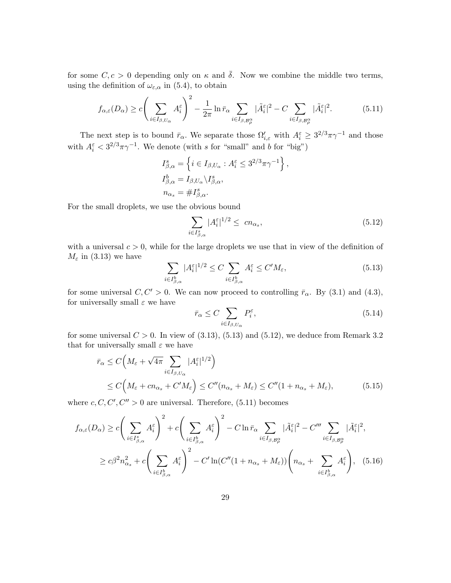for some  $C, c > 0$  depending only on  $\kappa$  and  $\bar{\delta}$ . Now we combine the middle two terms, using the definition of  $\omega_{\varepsilon,\alpha}$  in (5.4), to obtain

$$
f_{\alpha,\varepsilon}(D_{\alpha}) \ge c \left(\sum_{i \in I_{\beta,U_{\alpha}}} A_i^{\varepsilon}\right)^2 - \frac{1}{2\pi} \ln \bar{r}_{\alpha} \sum_{i \in I_{\beta,\mathcal{B}_{\beta}^{\alpha}}} |\tilde{A}_i^{\varepsilon}|^2 - C \sum_{i \in I_{\beta,\mathcal{B}_{\beta}^{\alpha}}} |\tilde{A}_i^{\varepsilon}|^2. \tag{5.11}
$$

The next step is to bound  $\bar{r}_{\alpha}$ . We separate those  $\Omega'_{i,\varepsilon}$  with  $A_i^{\varepsilon} \geq 3^{2/3}\pi\gamma^{-1}$  and those with  $A_i^{\varepsilon} < 3^{2/3}\pi\gamma^{-1}$ . We denote (with s for "small" and b for "big")

$$
I_{\beta,\alpha}^s = \left\{ i \in I_{\beta,U_\alpha} : A_i^{\varepsilon} \le 3^{2/3} \pi \gamma^{-1} \right\},
$$
  
\n
$$
I_{\beta,\alpha}^b = I_{\beta,U_\alpha} \backslash I_{\beta,\alpha}^s,
$$
  
\n
$$
n_{\alpha_s} = \# I_{\beta,\alpha}^s.
$$

For the small droplets, we use the obvious bound

$$
\sum_{i \in I_{\beta,\alpha}^s} |A_i^{\varepsilon}|^{1/2} \leq cn_{\alpha_s},\tag{5.12}
$$

with a universal  $c > 0$ , while for the large droplets we use that in view of the definition of  $M_{\varepsilon}$  in (3.13) we have

$$
\sum_{i \in I_{\beta,\alpha}^b} |A_i^{\varepsilon}|^{1/2} \le C \sum_{i \in I_{\beta,\alpha}^b} A_i^{\varepsilon} \le C'M_{\varepsilon},\tag{5.13}
$$

for some universal  $C, C' > 0$ . We can now proceed to controlling  $\bar{r}_{\alpha}$ . By (3.1) and (4.3), for universally small  $\varepsilon$  we have

$$
\bar{r}_{\alpha} \le C \sum_{i \in I_{\beta, U_{\alpha}}} P_i^{\varepsilon},\tag{5.14}
$$

for some universal  $C > 0$ . In view of  $(3.13)$ ,  $(5.13)$  and  $(5.12)$ , we deduce from Remark 3.2 that for universally small  $\varepsilon$  we have

$$
\begin{split} \bar{r}_{\alpha} &\leq C \Big( M_{\varepsilon} + \sqrt{4\pi} \sum_{i \in I_{\beta, U_{\alpha}}} |A_{i}^{\varepsilon}|^{1/2} \Big) \\ &\leq C \Big( M_{\varepsilon} + cn_{\alpha_{s}} + C'M_{\varepsilon} \Big) \leq C'' (n_{\alpha_{s}} + M_{\varepsilon}) \leq C'' (1 + n_{\alpha_{s}} + M_{\varepsilon}), \end{split} \tag{5.15}
$$

where  $c, C, C', C'' > 0$  are universal. Therefore, (5.11) becomes

$$
f_{\alpha,\varepsilon}(D_{\alpha}) \ge c \bigg(\sum_{i \in I_{\beta,\alpha}^{s}} A_{i}^{\varepsilon}\bigg)^{2} + c \bigg(\sum_{i \in I_{\beta,\alpha}^{b}} A_{i}^{\varepsilon}\bigg)^{2} - C \ln \bar{r}_{\alpha} \sum_{i \in I_{\beta,\mathcal{B}_{\beta}^{\alpha}}} |\tilde{A}_{i}^{\varepsilon}|^{2} - C'''' \sum_{i \in I_{\beta,\mathcal{B}_{\beta}^{\alpha}}} |\tilde{A}_{i}^{\varepsilon}|^{2},
$$
  

$$
\ge c\beta^{2} n_{\alpha_{s}}^{2} + c \bigg(\sum_{i \in I_{\beta,\alpha}^{b}} A_{i}^{\varepsilon}\bigg)^{2} - C' \ln(C''(1 + n_{\alpha_{s}} + M_{\varepsilon})) \bigg(n_{\alpha_{s}} + \sum_{i \in I_{\beta,\alpha}^{b}} A_{i}^{\varepsilon}\bigg), \quad (5.16)
$$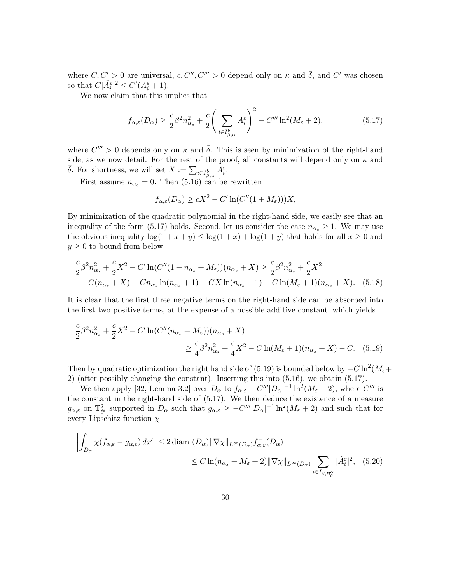where  $C, C' > 0$  are universal,  $c, C'', C''' > 0$  depend only on  $\kappa$  and  $\bar{\delta}$ , and  $C'$  was chosen so that  $C|\tilde{A}_{i}^{\varepsilon}|^{2} \leq C'(A_{i}^{\varepsilon}+1)$ .

We now claim that this implies that

$$
f_{\alpha,\varepsilon}(D_{\alpha}) \ge \frac{c}{2}\beta^2 n_{\alpha_{s}}^2 + \frac{c}{2} \left(\sum_{i \in I_{\beta,\alpha}^{b}} A_i^{\varepsilon}\right)^2 - C''' \ln^2(M_{\varepsilon} + 2),\tag{5.17}
$$

where  $C''' > 0$  depends only on  $\kappa$  and  $\bar{\delta}$ . This is seen by minimization of the right-hand side, as we now detail. For the rest of the proof, all constants will depend only on  $\kappa$  and  $\bar{\delta}$ . For shortness, we will set  $X := \sum_{i \in I_{\beta,\alpha}^b} \bar{A}_i^{\varepsilon}$ .

First assume  $n_{\alpha_s} = 0$ . Then (5.16) can be rewritten

$$
f_{\alpha,\varepsilon}(D_{\alpha}) \ge cX^2 - C'\ln(C''(1+M_{\varepsilon})))X,
$$

By minimization of the quadratic polynomial in the right-hand side, we easily see that an inequality of the form (5.17) holds. Second, let us consider the case  $n_{\alpha_s} \geq 1$ . We may use the obvious inequality  $\log(1 + x + y) \leq \log(1 + x) + \log(1 + y)$  that holds for all  $x \geq 0$  and  $y \geq 0$  to bound from below

$$
\frac{c}{2}\beta^2 n_{\alpha_s}^2 + \frac{c}{2}X^2 - C'\ln(C''(1 + n_{\alpha_s} + M_\varepsilon))(n_{\alpha_s} + X) \ge \frac{c}{2}\beta^2 n_{\alpha_s}^2 + \frac{c}{2}X^2
$$
  
-  $C(n_{\alpha_s} + X) - Cn_{\alpha_s}\ln(n_{\alpha_s} + 1) - CX\ln(n_{\alpha_s} + 1) - C\ln(M_\varepsilon + 1)(n_{\alpha_s} + X). \tag{5.18}$ 

It is clear that the first three negative terms on the right-hand side can be absorbed into the first two positive terms, at the expense of a possible additive constant, which yields

$$
\frac{c}{2}\beta^2 n_{\alpha_s}^2 + \frac{c}{2}X^2 - C'\ln(C''(n_{\alpha_s} + M_\varepsilon))(n_{\alpha_s} + X) \n\ge \frac{c}{4}\beta^2 n_{\alpha_s}^2 + \frac{c}{4}X^2 - C\ln(M_\varepsilon + 1)(n_{\alpha_s} + X) - C.
$$
 (5.19)

Then by quadratic optimization the right hand side of (5.19) is bounded below by  $-C \ln^2(M_\varepsilon +$ 2) (after possibly changing the constant). Inserting this into (5.16), we obtain (5.17).

We then apply [32, Lemma 3.2] over  $D_{\alpha}$  to  $f_{\alpha,\varepsilon} + C''' |D_{\alpha}|^{-1} \ln^2(M_{\varepsilon} + 2)$ , where  $C'''$  is the constant in the right-hand side of (5.17). We then deduce the existence of a measure  $g_{\alpha,\varepsilon}$  on  $\mathbb{T}^2_{\ell^{\varepsilon}}$  supported in  $D_{\alpha}$  such that  $g_{\alpha,\varepsilon} \geq -C'''|D_{\alpha}|^{-1}\ln^2(M_{\varepsilon}+2)$  and such that for every Lipschitz function  $\chi$ 

$$
\left| \int_{D_{\alpha}} \chi(f_{\alpha,\varepsilon} - g_{\alpha,\varepsilon}) dx' \right| \le 2 \operatorname{diam} (D_{\alpha}) \|\nabla \chi\|_{L^{\infty}(D_{\alpha})} f_{\alpha,\varepsilon}^{-}(D_{\alpha})
$$
  

$$
\le C \ln(n_{\alpha_{s}} + M_{\varepsilon} + 2) \|\nabla \chi\|_{L^{\infty}(D_{\alpha})} \sum_{i \in I_{\beta, \mathcal{B}_{\rho}^{\alpha}}} |\tilde{A}_{i}^{\varepsilon}|^{2}, \quad (5.20)
$$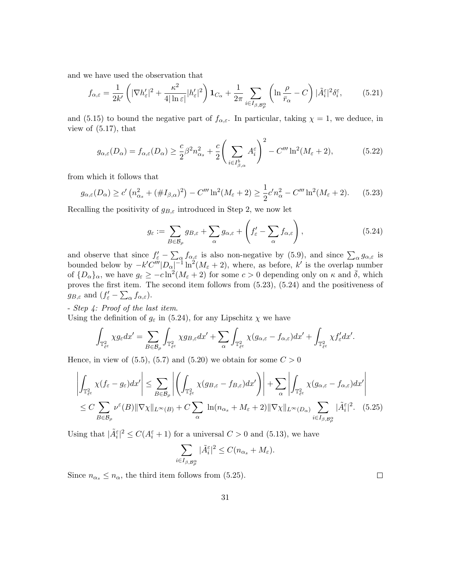and we have used the observation that

$$
f_{\alpha,\varepsilon} = \frac{1}{2k'} \left( |\nabla h_{\varepsilon}'|^2 + \frac{\kappa^2}{4|\ln \varepsilon|} |h_{\varepsilon}'|^2 \right) \mathbf{1}_{C_{\alpha}} + \frac{1}{2\pi} \sum_{i \in I_{\beta, \mathcal{B}_{\rho}^{\alpha}}} \left( \ln \frac{\rho}{\bar{r}_{\alpha}} - C \right) |\tilde{A}_{i}^{\varepsilon}|^2 \delta_{i}^{\varepsilon},\tag{5.21}
$$

and (5.15) to bound the negative part of  $f_{\alpha,\varepsilon}$ . In particular, taking  $\chi = 1$ , we deduce, in view of  $(5.17)$ , that

$$
g_{\alpha,\varepsilon}(D_{\alpha}) = f_{\alpha,\varepsilon}(D_{\alpha}) \ge \frac{c}{2} \beta^2 n_{\alpha_{s}}^2 + \frac{c}{2} \left( \sum_{i \in I_{\beta,\alpha}^{b}} A_i^{\varepsilon} \right)^2 - C''' \ln^2(M_{\varepsilon} + 2), \tag{5.22}
$$

from which it follows that

$$
g_{\alpha,\varepsilon}(D_{\alpha}) \ge c' \left( n_{\alpha_{s}}^{2} + (\#I_{\beta,\alpha})^{2} \right) - C''' \ln^{2}(M_{\varepsilon} + 2) \ge \frac{1}{2} c' n_{\alpha}^{2} - C''' \ln^{2}(M_{\varepsilon} + 2). \tag{5.23}
$$

Recalling the positivity of  $g_{B,\varepsilon}$  introduced in Step 2, we now let

$$
g_{\varepsilon} := \sum_{B \in \mathcal{B}_{\rho}} g_{B,\varepsilon} + \sum_{\alpha} g_{\alpha,\varepsilon} + \left( f_{\varepsilon}' - \sum_{\alpha} f_{\alpha,\varepsilon} \right), \tag{5.24}
$$

and observe that since  $f'_\varepsilon - \sum_\alpha f_{\alpha,\varepsilon}$  is also non-negative by (5.9), and since  $\sum_\alpha g_{\alpha,\varepsilon}$  is bounded below by  $-k'C'''|D_{\alpha}|^{-1}\ln^2(M_{\varepsilon}+2)$ , where, as before, k' is the overlap number of  ${D_{\alpha}}_{\alpha}$ , we have  $g_{\varepsilon} \ge -c \ln^2(M_{\varepsilon} + 2)$  for some  $c > 0$  depending only on  $\kappa$  and  $\bar{\delta}$ , which proves the first item. The second item follows from (5.23), (5.24) and the positiveness of  $g_{B,\varepsilon}$  and  $(f'_{\varepsilon}-\sum_{\alpha}f_{\alpha,\varepsilon}).$ 

- Step 4: Proof of the last item.

Using the definition of  $g_{\varepsilon}$  in (5.24), for any Lipschitz  $\chi$  we have

$$
\int_{\mathbb{T}^2_{\ell^{\varepsilon}}} \chi g_{\varepsilon} dx' = \sum_{B \in \mathcal{B}_{\rho}} \int_{\mathbb{T}^2_{\ell^{\varepsilon}}} \chi g_{B,\varepsilon} dx' + \sum_{\alpha} \int_{\mathbb{T}^2_{\ell^{\varepsilon}}} \chi (g_{\alpha,\varepsilon} - f_{\alpha,\varepsilon}) dx' + \int_{\mathbb{T}^2_{\ell^{\varepsilon}}} \chi f'_{\varepsilon} dx'.
$$

Hence, in view of  $(5.5)$ ,  $(5.7)$  and  $(5.20)$  we obtain for some  $C > 0$ 

$$
\left| \int_{\mathbb{T}_{\ell^{\varepsilon}}^2} \chi(f_{\varepsilon} - g_{\varepsilon}) dx' \right| \leq \sum_{B \in \mathcal{B}_{\rho}} \left| \left( \int_{\mathbb{T}_{\ell^{\varepsilon}}^2} \chi(g_{B,\varepsilon} - f_{B,\varepsilon}) dx' \right) \right| + \sum_{\alpha} \left| \int_{\mathbb{T}_{\ell^{\varepsilon}}^2} \chi(g_{\alpha,\varepsilon} - f_{\alpha,\varepsilon}) dx' \right|
$$
  

$$
\leq C \sum_{B \in \mathcal{B}_{\rho}} \nu^{\varepsilon}(B) \|\nabla \chi\|_{L^{\infty}(B)} + C \sum_{\alpha} \ln(n_{\alpha_{s}} + M_{\varepsilon} + 2) \|\nabla \chi\|_{L^{\infty}(D_{\alpha})} \sum_{i \in I_{\beta, \mathcal{B}_{\rho}^{\alpha}}} |\tilde{A}_{i}^{\varepsilon}|^{2}.
$$
 (5.25)

Using that  $|\tilde{A}_{i}^{\varepsilon}|^{2} \leq C(A_{i}^{\varepsilon}+1)$  for a universal  $C > 0$  and (5.13), we have

$$
\sum_{i \in I_{\beta, \mathcal{B}_{\beta}^{\alpha}}} |\tilde{A}_{i}^{\varepsilon}|^{2} \leq C(n_{\alpha_{s}} + M_{\varepsilon}).
$$

Since  $n_{\alpha_s} \leq n_{\alpha}$ , the third item follows from (5.25).

 $\Box$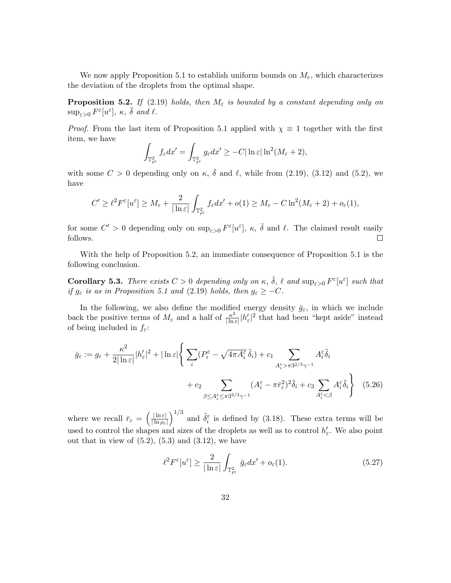We now apply Proposition 5.1 to establish uniform bounds on  $M_{\varepsilon}$ , which characterizes the deviation of the droplets from the optimal shape.

**Proposition 5.2.** If (2.19) holds, then  $M_{\varepsilon}$  is bounded by a constant depending only on  $\sup_{\varepsilon>0} F^{\varepsilon}[u^{\varepsilon}], \kappa, \bar{\delta} \text{ and } \ell.$ 

*Proof.* From the last item of Proposition 5.1 applied with  $\chi \equiv 1$  together with the first item, we have

$$
\int_{\mathbb{T}_{\ell^{\varepsilon}}^2} f_{\varepsilon} dx' = \int_{\mathbb{T}_{\ell^{\varepsilon}}^2} g_{\varepsilon} dx' \geq -C |\ln \varepsilon| \ln^2(M_{\varepsilon} + 2),
$$

with some  $C > 0$  depending only on  $\kappa$ ,  $\bar{\delta}$  and  $\ell$ , while from (2.19), (3.12) and (5.2), we have

$$
C' \geq \ell^2 F^{\varepsilon}[u^{\varepsilon}] \geq M_{\varepsilon} + \frac{2}{|\ln \varepsilon|} \int_{\mathbb{T}_{\ell^{\varepsilon}}^2} f_{\varepsilon} dx' + o(1) \geq M_{\varepsilon} - C \ln^2(M_{\varepsilon} + 2) + o_{\varepsilon}(1),
$$

for some  $C' > 0$  depending only on  $\sup_{\varepsilon > 0} F^{\varepsilon}[u^{\varepsilon}], \kappa, \bar{\delta}$  and  $\ell$ . The claimed result easily follows.  $\Box$ 

With the help of Proposition 5.2, an immediate consequence of Proposition 5.1 is the following conclusion.

**Corollary 5.3.** There exists  $C > 0$  depending only on  $\kappa$ ,  $\bar{\delta}$ ,  $\ell$  and  $\sup_{\varepsilon > 0} F^{\varepsilon}[u^{\varepsilon}]$  such that if  $g_{\varepsilon}$  is as in Proposition 5.1 and (2.19) holds, then  $g_{\varepsilon} \geq -C$ .

In the following, we also define the modified energy density  $\bar{g}_{\varepsilon}$ , in which we include back the positive terms of  $M_{\varepsilon}$  and a half of  $\frac{\kappa^2}{\ln n}$  $\frac{\kappa^2}{|\ln \varepsilon|} |h'_{\varepsilon}|^2$  that had been "kept aside" instead of being included in  $f_{\varepsilon}$ :

$$
\bar{g}_{\varepsilon} := g_{\varepsilon} + \frac{\kappa^2}{2|\ln \varepsilon|} |h'_{\varepsilon}|^2 + |\ln \varepsilon| \left\{ \sum_{i} (P_i^{\varepsilon} - \sqrt{4\pi A_i^{\varepsilon}} \, \tilde{\delta}_i) + c_1 \sum_{A_i^{\varepsilon} > \pi 3^{2/3} \gamma^{-1}} A_i^{\varepsilon} \tilde{\delta}_i + c_2 \sum_{\beta \le A_i^{\varepsilon} \le \pi 3^{2/3} \gamma^{-1}} (A_i^{\varepsilon} - \pi \bar{r}_{\varepsilon}^2)^2 \tilde{\delta}_i + c_3 \sum_{A_i^{\varepsilon} < \beta} A_i^{\varepsilon} \tilde{\delta}_i \right\} \tag{5.26}
$$

where we recall  $\bar{r}_{\varepsilon} = \left(\frac{|\ln \varepsilon|}{|\ln \rho_{\varepsilon}|}\right)$  $|\ln \rho_{\varepsilon}|$  $\int_{0}^{1/3}$  and  $\tilde{\delta}_{i}^{\varepsilon}$  is defined by (3.18). These extra terms will be used to control the shapes and sizes of the droplets as well as to control  $h'_{\varepsilon}$ . We also point out that in view of  $(5.2)$ ,  $(5.3)$  and  $(3.12)$ , we have

$$
\ell^2 F^{\varepsilon}[u^{\varepsilon}] \ge \frac{2}{|\ln \varepsilon|} \int_{\mathbb{T}_{\ell^{\varepsilon}}^2} \bar{g}_{\varepsilon} dx' + o_{\varepsilon}(1). \tag{5.27}
$$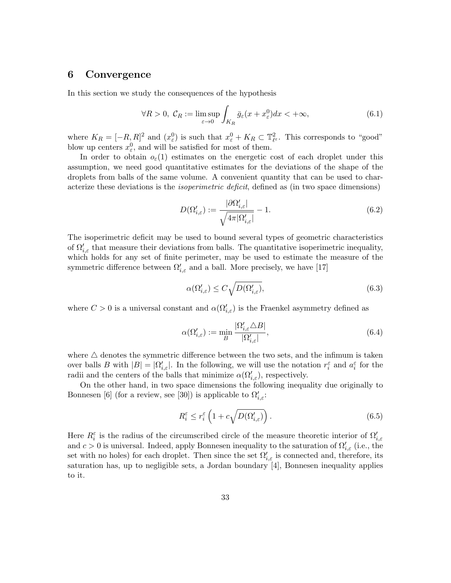### 6 Convergence

In this section we study the consequences of the hypothesis

$$
\forall R > 0, \ C_R := \limsup_{\varepsilon \to 0} \int_{K_R} \bar{g}_{\varepsilon}(x + x_{\varepsilon}^0) dx < +\infty,
$$
\n(6.1)

where  $K_R = [-R, R]^2$  and  $(x_\varepsilon^0)$  is such that  $x_\varepsilon^0 + K_R \subset \mathbb{T}_{\ell^{\varepsilon}}^2$ . This corresponds to "good" blow up centers  $x_{\varepsilon}^0$ , and will be satisfied for most of them.

In order to obtain  $o_{\varepsilon}(1)$  estimates on the energetic cost of each droplet under this assumption, we need good quantitative estimates for the deviations of the shape of the droplets from balls of the same volume. A convenient quantity that can be used to characterize these deviations is the isoperimetric deficit, defined as (in two space dimensions)

$$
D(\Omega_{i,\varepsilon}') := \frac{|\partial \Omega_{i,\varepsilon}'|}{\sqrt{4\pi |\Omega_{i,\varepsilon}'|}} - 1.
$$
\n(6.2)

The isoperimetric deficit may be used to bound several types of geometric characteristics of  $\Omega'_{i,\varepsilon}$  that measure their deviations from balls. The quantitative isoperimetric inequality, which holds for any set of finite perimeter, may be used to estimate the measure of the symmetric difference between  $\Omega'_{i,\varepsilon}$  and a ball. More precisely, we have [17]

$$
\alpha(\Omega_{i,\varepsilon}') \le C\sqrt{D(\Omega_{i,\varepsilon}')},\tag{6.3}
$$

where  $C > 0$  is a universal constant and  $\alpha(\Omega_{i,\varepsilon}')$  is the Fraenkel asymmetry defined as

$$
\alpha(\Omega_{i,\varepsilon}') := \min_{B} \frac{|\Omega_{i,\varepsilon}' \triangle B|}{|\Omega_{i,\varepsilon}'|},\tag{6.4}
$$

where  $\triangle$  denotes the symmetric difference between the two sets, and the infimum is taken over balls B with  $|B| = |\Omega'_{i,\varepsilon}|$ . In the following, we will use the notation  $r_i^{\varepsilon}$  and  $a_i^{\varepsilon}$  for the radii and the centers of the balls that minimize  $\alpha(\Omega_{i,\varepsilon}')$ , respectively.

On the other hand, in two space dimensions the following inequality due originally to Bonnesen [6] (for a review, see [30]) is applicable to  $\Omega'_{i,\varepsilon}$ :

$$
R_i^{\varepsilon} \le r_i^{\varepsilon} \left( 1 + c \sqrt{D(\Omega_{i,\varepsilon}')} \right). \tag{6.5}
$$

Here  $R_i^{\varepsilon}$  is the radius of the circumscribed circle of the measure theoretic interior of  $\Omega'_{i,\varepsilon}$ and  $c > 0$  is universal. Indeed, apply Bonnesen inequality to the saturation of  $\Omega'_{i,\varepsilon}$  (i.e., the set with no holes) for each droplet. Then since the set  $\Omega'_{i,\varepsilon}$  is connected and, therefore, its saturation has, up to negligible sets, a Jordan boundary [4], Bonnesen inequality applies to it.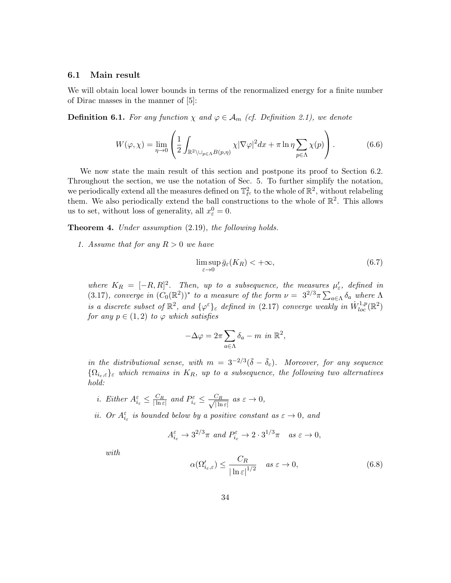#### 6.1 Main result

We will obtain local lower bounds in terms of the renormalized energy for a finite number of Dirac masses in the manner of [5]:

**Definition 6.1.** For any function  $\chi$  and  $\varphi \in A_m$  (cf. Definition 2.1), we denote

$$
W(\varphi,\chi) = \lim_{\eta \to 0} \left( \frac{1}{2} \int_{\mathbb{R}^2 \setminus \bigcup_{p \in \Lambda} B(p,\eta)} \chi |\nabla \varphi|^2 dx + \pi \ln \eta \sum_{p \in \Lambda} \chi(p) \right). \tag{6.6}
$$

We now state the main result of this section and postpone its proof to Section 6.2. Throughout the section, we use the notation of Sec. 5. To further simplify the notation, we periodically extend all the measures defined on  $\mathbb{T}_{\ell^{\varepsilon}}^2$  to the whole of  $\mathbb{R}^2$ , without relabeling them. We also periodically extend the ball constructions to the whole of  $\mathbb{R}^2$ . This allows us to set, without loss of generality, all  $x_{\varepsilon}^0 = 0$ .

Theorem 4. Under assumption  $(2.19)$ , the following holds.

1. Assume that for any  $R > 0$  we have

$$
\limsup_{\varepsilon \to 0} \bar{g}_{\varepsilon}(K_R) < +\infty,\tag{6.7}
$$

where  $K_R = [-R, R]^2$ . Then, up to a subsequence, the measures  $\mu'_\varepsilon$ , defined in (3.17), converge in  $(C_0(\mathbb{R}^2))^*$  to a measure of the form  $\nu = 3^{2/3}\pi \sum_{a \in \Lambda} \delta_a$  where  $\Lambda$ is a discrete subset of  $\mathbb{R}^2$ , and  $\{\varphi^{\varepsilon}\}_{\varepsilon}$  defined in (2.17) converge weakly in  $\dot{W}^{1,p}_{loc}(\mathbb{R}^2)$ for any  $p \in (1, 2)$  to  $\varphi$  which satisfies

$$
-\Delta \varphi = 2\pi \sum_{a \in \Lambda} \delta_a - m \, \text{ in } \mathbb{R}^2,
$$

in the distributional sense, with  $m = 3^{-2/3}(\bar{\delta} - \bar{\delta}_c)$ . Moreover, for any sequence  ${\Omega_{i_{\varepsilon,\varepsilon}}}_{\varepsilon}$  which remains in  $K_R$ , up to a subsequence, the following two alternatives hold:

- *i.* Either  $A_{i_{\varepsilon}}^{\varepsilon} \leq \frac{C_R}{|\ln \varepsilon|}$  and  $P_{i_{\varepsilon}}^{\varepsilon} \leq \frac{C_R}{\sqrt{|\ln \varepsilon}|}$  $\frac{C_R}{|\ln \varepsilon|}$  as  $\varepsilon \to 0$ ,
- *ii.* Or  $A_{i_{\varepsilon}}^{\varepsilon}$  is bounded below by a positive constant as  $\varepsilon \to 0$ , and

$$
A_{i_{\varepsilon}}^{\varepsilon} \to 3^{2/3}\pi \text{ and } P_{i_{\varepsilon}}^{\varepsilon} \to 2 \cdot 3^{1/3}\pi \text{ as } \varepsilon \to 0,
$$

with

$$
\alpha(\Omega_{i_{\varepsilon},\varepsilon}') \le \frac{C_R}{|\ln \varepsilon|^{1/2}} \quad \text{as } \varepsilon \to 0,
$$
\n(6.8)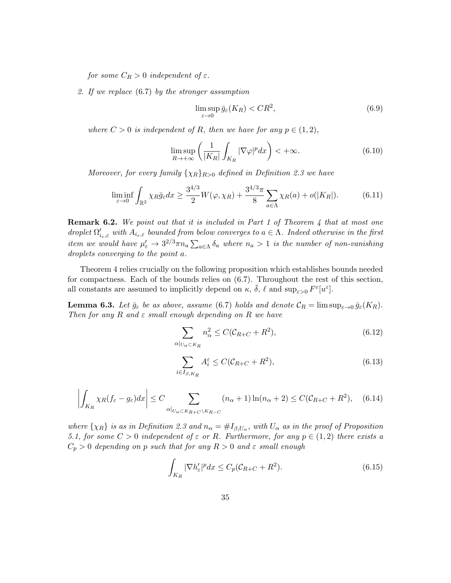for some  $C_R > 0$  independent of  $\varepsilon$ .

2. If we replace (6.7) by the stronger assumption

$$
\limsup_{\varepsilon \to 0} \bar{g}_{\varepsilon}(K_R) < CR^2,\tag{6.9}
$$

where  $C > 0$  is independent of R, then we have for any  $p \in (1, 2)$ ,

$$
\limsup_{R \to +\infty} \left( \frac{1}{|K_R|} \int_{K_R} |\nabla \varphi|^p dx \right) < +\infty. \tag{6.10}
$$

Moreover, for every family  $\{\chi_R\}_{R>0}$  defined in Definition 2.3 we have

$$
\liminf_{\varepsilon \to 0} \int_{\mathbb{R}^2} \chi_R \bar{g}_{\varepsilon} dx \ge \frac{3^{4/3}}{2} W(\varphi, \chi_R) + \frac{3^{4/3} \pi}{8} \sum_{a \in \Lambda} \chi_R(a) + o(|K_R|). \tag{6.11}
$$

**Remark 6.2.** We point out that it is included in Part 1 of Theorem 4 that at most one droplet  $\Omega'_{i_{\varepsilon},\varepsilon}$  with  $A_{i_{\varepsilon},\varepsilon}$  bounded from below converges to  $a \in \Lambda$ . Indeed otherwise in the first item we would have  $\mu'_\varepsilon \to 3^{2/3} \pi n_a \sum_{a \in \Lambda} \delta_a$  where  $n_a > 1$  is the number of non-vanishing droplets converging to the point a.

Theorem 4 relies crucially on the following proposition which establishes bounds needed for compactness. Each of the bounds relies on (6.7). Throughout the rest of this section, all constants are assumed to implicitly depend on  $\kappa$ ,  $\bar{\delta}$ ,  $\ell$  and  $\sup_{\varepsilon>0} F^{\varepsilon}[u^{\varepsilon}]$ .

**Lemma 6.3.** Let  $\bar{g}_{\varepsilon}$  be as above, assume (6.7) holds and denote  $\mathcal{C}_R = \limsup_{\varepsilon \to 0} \bar{g}_{\varepsilon}(K_R)$ . Then for any R and  $\varepsilon$  small enough depending on R we have

$$
\sum_{\alpha|_{U_{\alpha}\subset K_R}} n_{\alpha}^2 \le C(\mathcal{C}_{R+C} + R^2),\tag{6.12}
$$

$$
\sum_{i \in I_{\beta, K_R}} A_i^{\varepsilon} \le C(\mathcal{C}_{R+C} + R^2),\tag{6.13}
$$

$$
\left| \int_{K_R} \chi_R(f_\varepsilon - g_\varepsilon) dx \right| \le C \sum_{\alpha|_{U_\alpha \subset K_{R+C} \backslash K_{R-C}}} (n_\alpha + 1) \ln(n_\alpha + 2) \le C(C_{R+C} + R^2), \quad (6.14)
$$

where  $\{\chi_R\}$  is as in Definition 2.3 and  $n_\alpha = \#I_{\beta,U_\alpha}$ , with  $U_\alpha$  as in the proof of Proposition 5.1, for some  $C > 0$  independent of  $\varepsilon$  or R. Furthermore, for any  $p \in (1,2)$  there exists a  $C_p > 0$  depending on p such that for any  $R > 0$  and  $\varepsilon$  small enough

$$
\int_{K_R} |\nabla h_{\varepsilon}'|^p dx \le C_p (\mathcal{C}_{R+C} + R^2). \tag{6.15}
$$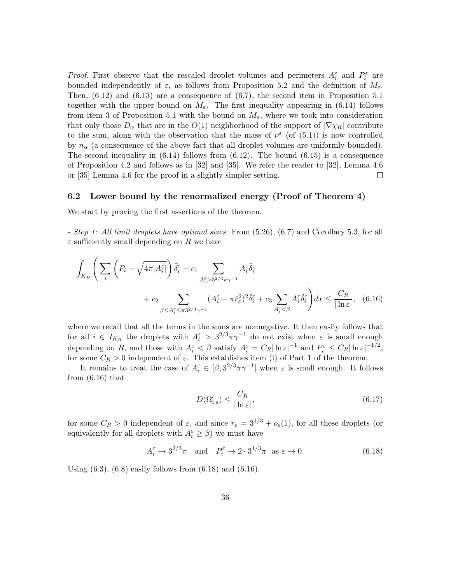*Proof.* First observe that the rescaled droplet volumes and perimeters  $A_i^{\varepsilon}$  and  $P_i^{\varepsilon}$  are bounded independently of  $\varepsilon$ , as follows from Proposition 5.2 and the definition of  $M_{\varepsilon}$ . Then,  $(6.12)$  and  $(6.13)$  are a consequence of  $(6.7)$ , the second item in Proposition 5.1 together with the upper bound on  $M_{\varepsilon}$ . The first inequality appearing in (6.14) follows from item 3 of Proposition 5.1 with the bound on  $M_{\varepsilon}$ , where we took into consideration that only those  $D_{\alpha}$  that are in the  $O(1)$  neighborhood of the support of  $|\nabla \chi_R|$  contribute to the sum, along with the observation that the mass of  $\nu^{\varepsilon}$  (of (5.1)) is now controlled by  $n_{\alpha}$  (a consequence of the above fact that all droplet volumes are uniformly bounded). The second inequality in  $(6.14)$  follows from  $(6.12)$ . The bound  $(6.15)$  is a consequence of Proposition 4.2 and follows as in [32] and [35]. We refer the reader to [32], Lemma 4.6 or [35] Lemma 4.6 for the proof in a slightly simpler setting.  $\Box$ 

### 6.2 Lower bound by the renormalized energy (Proof of Theorem 4)

We start by proving the first assertions of the theorem.

- Step 1: All limit droplets have optimal sizes. From (5.26), (6.7) and Corollary 5.3, for all  $\varepsilon$  sufficiently small depending on R we have

$$
\int_{K_R} \left( \sum_{i} \left( P_i - \sqrt{4\pi |A_i^{\varepsilon}|} \right) \tilde{\delta}_i^{\varepsilon} + c_1 \sum_{A_i^{\varepsilon} > 3^{2/3}\pi\gamma^{-1}} A_i^{\varepsilon} \tilde{\delta}_i^{\varepsilon} + c_2 \sum_{\beta \le A_i^{\varepsilon} \le \pi 3^{2/3}\gamma^{-1}} (A_i^{\varepsilon} - \pi \bar{r}_{\varepsilon}^2)^2 \tilde{\delta}_i^{\varepsilon} + c_3 \sum_{A_i^{\varepsilon} < \beta} A_i^{\varepsilon} \tilde{\delta}_i^{\varepsilon} \right) dx \le \frac{C_R}{|\ln \varepsilon|}, \quad (6.16)
$$

where we recall that all the terms in the sums are nonnegative. It then easily follows that for all  $i \in I_{K_R}$  the droplets with  $A_i^{\varepsilon} > 3^{2/3} \pi \gamma^{-1}$  do not exist when  $\varepsilon$  is small enough depending on R, and those with  $A_i^{\varepsilon} < \beta$  satisfy  $A_i^{\varepsilon} = C_R |\ln \varepsilon|^{-1}$  and  $P_i^{\varepsilon} \le C_R |\ln \varepsilon|^{-1/2}$ , for some  $C_R > 0$  independent of  $\varepsilon$ . This establishes item (i) of Part 1 of the theorem.

It remains to treat the case of  $A_i^{\varepsilon} \in [\beta, 3^{2/3}\pi\gamma^{-1}]$  when  $\varepsilon$  is small enough. It follows from  $(6.16)$  that

$$
D(\Omega_{i,\varepsilon}') \le \frac{C_R}{|\ln \varepsilon|},\tag{6.17}
$$

for some  $C_R > 0$  independent of  $\varepsilon$ , and since  $\bar{r}_{\varepsilon} = 3^{1/3} + o_{\varepsilon}(1)$ , for all these droplets (or equivalently for all droplets with  $A_i^{\varepsilon} \ge \beta$ ) we must have

$$
A_i^{\varepsilon} \to 3^{2/3}\pi \quad \text{and} \quad P_i^{\varepsilon} \to 2 \cdot 3^{1/3}\pi \quad \text{as } \varepsilon \to 0. \tag{6.18}
$$

Using  $(6.3)$ ,  $(6.8)$  easily follows from  $(6.18)$  and  $(6.16)$ .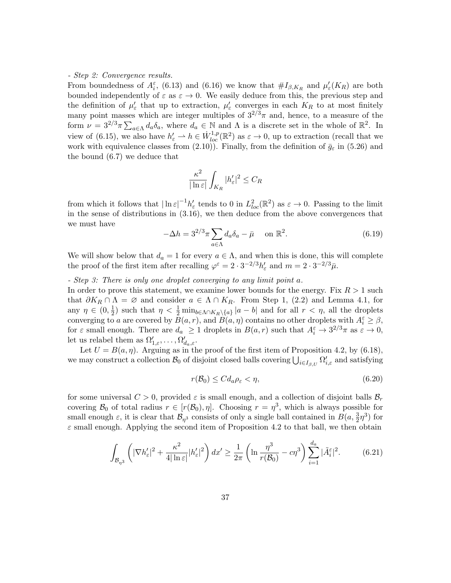#### - Step 2: Convergence results.

From boundedness of  $A_i^{\varepsilon}$ , (6.13) and (6.16) we know that  $\#I_{\beta,K_R}$  and  $\mu'_{\varepsilon}(K_R)$  are both bounded independently of  $\varepsilon$  as  $\varepsilon \to 0$ . We easily deduce from this, the previous step and the definition of  $\mu'_{\varepsilon}$  that up to extraction,  $\mu'_{\varepsilon}$  converges in each  $K_R$  to at most finitely many point masses which are integer multiples of  $3^{2/3}\pi$  and, hence, to a measure of the form  $\nu = 3^{2/3}\pi \sum_{a \in \Lambda} d_a \delta_a$ , where  $d_a \in \mathbb{N}$  and  $\Lambda$  is a discrete set in the whole of  $\mathbb{R}^2$ . In view of (6.15), we also have  $h'_\varepsilon \to h \in \dot{W}_{loc}^{1,p}(\mathbb{R}^2)$  as  $\varepsilon \to 0$ , up to extraction (recall that we work with equivalence classes from (2.10)). Finally, from the definition of  $\bar{g}_{\varepsilon}$  in (5.26) and the bound (6.7) we deduce that

$$
\frac{\kappa^2}{|\ln \varepsilon|} \int_{K_R} |h_{\varepsilon}'|^2 \leq C_R
$$

from which it follows that  $|\ln \varepsilon|^{-1} h_{\varepsilon}'$  tends to 0 in  $L^2_{loc}(\mathbb{R}^2)$  as  $\varepsilon \to 0$ . Passing to the limit in the sense of distributions in (3.16), we then deduce from the above convergences that we must have

$$
-\Delta h = 3^{2/3}\pi \sum_{a \in \Lambda} d_a \delta_a - \bar{\mu} \quad \text{on } \mathbb{R}^2.
$$
 (6.19)

We will show below that  $d_a = 1$  for every  $a \in \Lambda$ , and when this is done, this will complete the proof of the first item after recalling  $\varphi^{\varepsilon} = 2 \cdot 3^{-2/3} h_{\varepsilon}'$  and  $m = 2 \cdot 3^{-2/3} \bar{\mu}$ .

### - Step 3: There is only one droplet converging to any limit point a.

In order to prove this statement, we examine lower bounds for the energy. Fix  $R > 1$  such that  $\partial K_R \cap \Lambda = \emptyset$  and consider  $a \in \Lambda \cap K_R$ . From Step 1, (2.2) and Lemma 4.1, for any  $\eta \in (0, \frac{1}{2})$  $\frac{1}{2}$ ) such that  $\eta < \frac{1}{2} \min_{b \in \Lambda \cap K_R \setminus \{a\}} |a - b|$  and for all  $r < \eta$ , all the droplets converging to a are covered by  $\overline{B}(a,r)$ , and  $\overline{B}(a,\eta)$  contains no other droplets with  $A_i^{\varepsilon} \geq \beta$ , for  $\varepsilon$  small enough. There are  $d_a \geq 1$  droplets in  $B(a, r)$  such that  $A_i^{\varepsilon} \to 3^{2/3}\pi$  as  $\varepsilon \to 0$ , let us relabel them as  $\Omega'_{1,\varepsilon}, \ldots, \Omega'_{d_a,\varepsilon}$ .

Let  $U = B(a, \eta)$ . Arguing as in the proof of the first item of Proposition 4.2, by (6.18), we may construct a collection  $\mathcal{B}_0$  of disjoint closed balls covering  $\bigcup_{i\in I_{\beta,U}} \Omega'_{i,\varepsilon}$  and satisfying

$$
r(\mathcal{B}_0) \le C d_a \rho_\varepsilon < \eta,\tag{6.20}
$$

for some universal  $C > 0$ , provided  $\varepsilon$  is small enough, and a collection of disjoint balls  $\mathcal{B}_r$ covering  $\mathcal{B}_0$  of total radius  $r \in [r(\mathcal{B}_0), \eta]$ . Choosing  $r = \eta^3$ , which is always possible for small enough  $\varepsilon$ , it is clear that  $\mathcal{B}_{\eta^3}$  consists of only a single ball contained in  $B(a, \frac{3}{2}\eta^3)$  for  $\varepsilon$  small enough. Applying the second item of Proposition 4.2 to that ball, we then obtain

$$
\int_{\mathcal{B}_{\eta^3}} \left( |\nabla h_{\varepsilon}'|^2 + \frac{\kappa^2}{4|\ln \varepsilon|} |h_{\varepsilon}'|^2 \right) dx' \ge \frac{1}{2\pi} \left( \ln \frac{\eta^3}{r(\mathcal{B}_0)} - c\eta^3 \right) \sum_{i=1}^{d_a} |\tilde{A}_i^{\varepsilon}|^2. \tag{6.21}
$$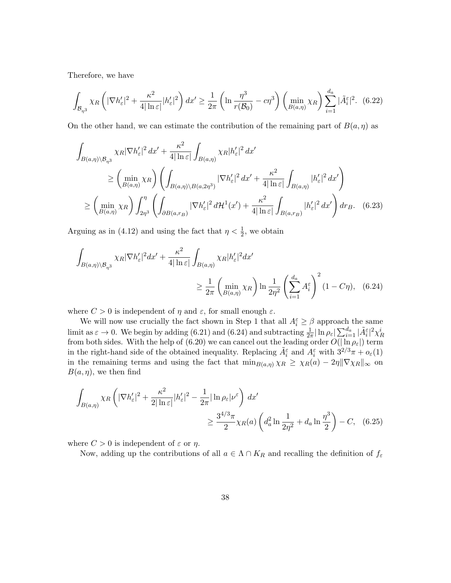Therefore, we have

$$
\int_{\mathcal{B}_{\eta^3}} \chi_R\left( |\nabla h_{\varepsilon}'|^2 + \frac{\kappa^2}{4|\ln \varepsilon|} |h_{\varepsilon}'|^2 \right) dx' \ge \frac{1}{2\pi} \left( \ln \frac{\eta^3}{r(\mathcal{B}_0)} - c\eta^3 \right) \left( \min_{B(a,\eta)} \chi_R \right) \sum_{i=1}^{d_a} |\tilde{A}_i^{\varepsilon}|^2. \tag{6.22}
$$

On the other hand, we can estimate the contribution of the remaining part of  $B(a, \eta)$  as

$$
\int_{B(a,\eta)\backslash \mathcal{B}_{\eta^3}} \chi_R |\nabla h_{\varepsilon}'|^2 dx' + \frac{\kappa^2}{4|\ln \varepsilon|} \int_{B(a,\eta)} \chi_R |h_{\varepsilon}'|^2 dx' \n\geq \left( \min_{B(a,\eta)} \chi_R \right) \left( \int_{B(a,\eta)\backslash B(a,2\eta^3)} |\nabla h_{\varepsilon}'|^2 dx' + \frac{\kappa^2}{4|\ln \varepsilon|} \int_{B(a,\eta)} |h_{\varepsilon}'|^2 dx' \right) \n\geq \left( \min_{B(a,\eta)} \chi_R \right) \int_{2\eta^3}^{\eta} \left( \int_{\partial B(a,r_B)} |\nabla h_{\varepsilon}'|^2 d\mathcal{H}^1(x') + \frac{\kappa^2}{4|\ln \varepsilon|} \int_{B(a,r_B)} |h_{\varepsilon}'|^2 dx' \right) dr_B. \tag{6.23}
$$

Arguing as in (4.12) and using the fact that  $\eta < \frac{1}{2}$ , we obtain

$$
\int_{B(a,\eta)\backslash \mathcal{B}_{\eta^3}} \chi_R |\nabla h_{\varepsilon}'|^2 dx' + \frac{\kappa^2}{4|\ln \varepsilon|} \int_{B(a,\eta)} \chi_R |h_{\varepsilon}'|^2 dx' \geq \frac{1}{2\pi} \left( \min_{B(a,\eta)} \chi_R \right) \ln \frac{1}{2\eta^2} \left( \sum_{i=1}^{d_a} A_i^{\varepsilon} \right)^2 (1 - C\eta), \quad (6.24)
$$

where  $C > 0$  is independent of  $\eta$  and  $\varepsilon$ , for small enough  $\varepsilon$ .

We will now use crucially the fact shown in Step 1 that all  $A_i^{\varepsilon} \geq \beta$  approach the same limit as  $\varepsilon \to 0$ . We begin by adding (6.21) and (6.24) and subtracting  $\frac{1}{2\pi} |\ln \rho_{\varepsilon}| \sum_{i=1}^{d_a} |\tilde{A}_i^{\varepsilon}|^2 \chi^i_R$  from both sides. With the help of (6.20) we can cancel out the leading order  $O(|\ln \rho_{\varepsilon}|)$  te in the right-hand side of the obtained inequality. Replacing  $\tilde{A}_{i}^{\varepsilon}$  and  $A_{i}^{\varepsilon}$  with  $3^{2/3}\pi + o_{\varepsilon}(1)$ in the remaining terms and using the fact that  $\min_{B(a,\eta)} \chi_R \geq \chi_R(a) - 2\eta \|\nabla \chi_R\|_{\infty}$  on  $B(a, \eta)$ , we then find

$$
\int_{B(a,\eta)} \chi_R \left( |\nabla h_{\varepsilon}'|^2 + \frac{\kappa^2}{2|\ln \varepsilon|} |h_{\varepsilon}'|^2 - \frac{1}{2\pi} |\ln \rho_{\varepsilon}| \nu^{\varepsilon} \right) dx' \ge \frac{3^{4/3}\pi}{2} \chi_R(a) \left( d_a^2 \ln \frac{1}{2\eta^2} + d_a \ln \frac{\eta^3}{2} \right) - C, \quad (6.25)
$$

where  $C > 0$  is independent of  $\varepsilon$  or  $\eta$ .

Now, adding up the contributions of all  $a \in \Lambda \cap K_R$  and recalling the definition of  $f_{\varepsilon}$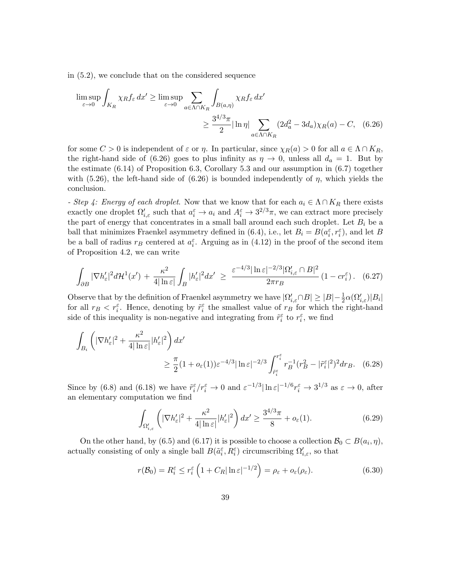in (5.2), we conclude that on the considered sequence

$$
\limsup_{\varepsilon \to 0} \int_{K_R} \chi_R f_{\varepsilon} dx' \ge \limsup_{\varepsilon \to 0} \sum_{a \in \Lambda \cap K_R} \int_{B(a,\eta)} \chi_R f_{\varepsilon} dx'
$$

$$
\ge \frac{3^{4/3} \pi}{2} |\ln \eta| \sum_{a \in \Lambda \cap K_R} (2d_a^2 - 3d_a) \chi_R(a) - C, \quad (6.26)
$$

for some  $C > 0$  is independent of  $\varepsilon$  or  $\eta$ . In particular, since  $\chi_R(a) > 0$  for all  $a \in \Lambda \cap K_R$ , the right-hand side of (6.26) goes to plus infinity as  $\eta \to 0$ , unless all  $d_a = 1$ . But by the estimate (6.14) of Proposition 6.3, Corollary 5.3 and our assumption in (6.7) together with (5.26), the left-hand side of (6.26) is bounded independently of  $\eta$ , which yields the conclusion.

- Step 4: Energy of each droplet. Now that we know that for each  $a_i \in \Lambda \cap K_R$  there exists exactly one droplet  $\Omega'_{i,\varepsilon}$  such that  $a_i^{\varepsilon} \to a_i$  and  $A_i^{\varepsilon} \to 3^{2/3}\pi$ , we can extract more precisely the part of energy that concentrates in a small ball around each such droplet. Let  $B_i$  be a ball that minimizes Fraenkel asymmetry defined in (6.4), i.e., let  $B_i = B(a_i^{\varepsilon}, r_i^{\varepsilon})$ , and let B be a ball of radius  $r_B$  centered at  $a_i^{\varepsilon}$ . Arguing as in (4.12) in the proof of the second item of Proposition 4.2, we can write

$$
\int_{\partial B} |\nabla h_{\varepsilon}'|^2 d\mathcal{H}^1(x') + \frac{\kappa^2}{4|\ln \varepsilon|} \int_B |h_{\varepsilon}'|^2 dx' \ge \frac{\varepsilon^{-4/3} |\ln \varepsilon|^{-2/3} |\Omega_{i,\varepsilon}' \cap B|^2}{2\pi r_B} (1 - c r_i^{\varepsilon}). \tag{6.27}
$$

Observe that by the definition of Fraenkel asymmetry we have  $|\Omega'_{i,\varepsilon}\cap B|\geq |B|-\frac{1}{2}\alpha(\Omega'_{i,\varepsilon})|B_i|$ for all  $r_B < r_i^{\varepsilon}$ . Hence, denoting by  $\tilde{r}_i^{\varepsilon}$  the smallest value of  $r_B$  for which the right-hand side of this inequality is non-negative and integrating from  $\tilde{r}_i^{\varepsilon}$  to  $r_i^{\varepsilon}$ , we find

$$
\int_{B_i} \left( |\nabla h_{\varepsilon}'|^2 + \frac{\kappa^2}{4|\ln \varepsilon|} |h_{\varepsilon}'|^2 \right) dx'
$$
\n
$$
\geq \frac{\pi}{2} (1 + o_{\varepsilon}(1)) \varepsilon^{-4/3} |\ln \varepsilon|^{-2/3} \int_{\tilde{r}_i}^{\tilde{r}_i} r_B^{-1} (r_B^2 - |\tilde{r}_i^{\varepsilon}|^2)^2 dr_B. \tag{6.28}
$$

Since by (6.8) and (6.18) we have  $\tilde{r}_i^{\varepsilon}/r_i^{\varepsilon} \to 0$  and  $\varepsilon^{-1/3}|\ln \varepsilon|^{-1/6}r_i^{\varepsilon} \to 3^{1/3}$  as  $\varepsilon \to 0$ , after an elementary computation we find

$$
\int_{\Omega'_{i,\varepsilon}} \left( |\nabla h_{\varepsilon}'|^2 + \frac{\kappa^2}{4|\ln \varepsilon|} |h_{\varepsilon}'|^2 \right) dx' \ge \frac{3^{4/3}\pi}{8} + o_{\varepsilon}(1). \tag{6.29}
$$

On the other hand, by (6.5) and (6.17) it is possible to choose a collection  $\mathcal{B}_0 \subset B(a_i, \eta)$ , actually consisting of only a single ball  $B(\tilde{a}_i^{\varepsilon}, R_i^{\varepsilon})$  circumscribing  $\Omega'_{i,\varepsilon}$ , so that

$$
r(\mathcal{B}_0) = R_i^{\varepsilon} \le r_i^{\varepsilon} \left( 1 + C_R |\ln \varepsilon|^{-1/2} \right) = \rho_{\varepsilon} + o_{\varepsilon}(\rho_{\varepsilon}). \tag{6.30}
$$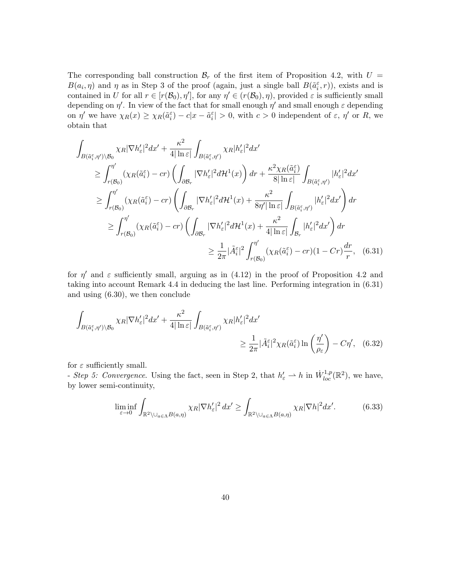The corresponding ball construction  $\mathcal{B}_r$  of the first item of Proposition 4.2, with  $U =$  $B(a_i, \eta)$  and  $\eta$  as in Step 3 of the proof (again, just a single ball  $B(\tilde{a}_i^{\varepsilon}, r)$ ), exists and is contained in U for all  $r \in [r(\mathcal{B}_0), \eta']$ , for any  $\eta' \in (r(\mathcal{B}_0), \eta)$ , provided  $\varepsilon$  is sufficiently small depending on  $\eta'$ . In view of the fact that for small enough  $\eta'$  and small enough  $\varepsilon$  depending on  $\eta'$  we have  $\chi_R(x) \geq \chi_R(\tilde{a}_i^{\varepsilon}) - c|x - \tilde{a}_i^{\varepsilon}| > 0$ , with  $c > 0$  independent of  $\varepsilon$ ,  $\eta'$  or R, we obtain that

$$
\int_{B(\tilde{a}_{i}^{\varepsilon},\eta')\backslash\mathcal{B}_{0}} \chi_{R} |\nabla h'_{\varepsilon}|^{2} dx' + \frac{\kappa^{2}}{4|\ln \varepsilon|} \int_{B(\tilde{a}_{i}^{\varepsilon},\eta')}\chi_{R} |h'_{\varepsilon}|^{2} dx' \n\geq \int_{r(\mathcal{B}_{0})}^{\eta'} (\chi_{R}(\tilde{a}_{i}^{\varepsilon}) - cr) \left( \int_{\partial\mathcal{B}_{r}} |\nabla h'_{\varepsilon}|^{2} d\mathcal{H}^{1}(x) \right) dr + \frac{\kappa^{2} \chi_{R}(\tilde{a}_{i}^{\varepsilon})}{8|\ln \varepsilon|} \int_{B(\tilde{a}_{i}^{\varepsilon},\eta')}|h'_{\varepsilon}|^{2} dx' \n\geq \int_{r(\mathcal{B}_{0})}^{\eta'} (\chi_{R}(\tilde{a}_{i}^{\varepsilon}) - cr) \left( \int_{\partial\mathcal{B}_{r}} |\nabla h'_{\varepsilon}|^{2} d\mathcal{H}^{1}(x) + \frac{\kappa^{2}}{8\eta' |\ln \varepsilon|} \int_{B(\tilde{a}_{i}^{\varepsilon},\eta')}|h'_{\varepsilon}|^{2} dx' \right) dr \n\geq \int_{r(\mathcal{B}_{0})}^{\eta'} (\chi_{R}(\tilde{a}_{i}^{\varepsilon}) - cr) \left( \int_{\partial\mathcal{B}_{r}} |\nabla h'_{\varepsilon}|^{2} d\mathcal{H}^{1}(x) + \frac{\kappa^{2}}{4|\ln \varepsilon|} \int_{\mathcal{B}_{r}} |h'_{\varepsilon}|^{2} dx' \right) dr \n\geq \frac{1}{2\pi} |\tilde{A}_{i}^{\varepsilon}|^{2} \int_{r(\mathcal{B}_{0})}^{\eta'} (\chi_{R}(\tilde{a}_{i}^{\varepsilon}) - cr)(1 - Cr) \frac{dr}{r}, \quad (6.31)
$$

for  $\eta'$  and  $\varepsilon$  sufficiently small, arguing as in (4.12) in the proof of Proposition 4.2 and taking into account Remark 4.4 in deducing the last line. Performing integration in (6.31) and using (6.30), we then conclude

$$
\int_{B(\tilde{a}_{i}^{\varepsilon},\eta')\backslash\mathcal{B}_{0}} \chi_{R} |\nabla h'_{\varepsilon}|^{2} dx' + \frac{\kappa^{2}}{4|\ln \varepsilon|} \int_{B(\tilde{a}_{i}^{\varepsilon},\eta')}\chi_{R} |h'_{\varepsilon}|^{2} dx' \ge \frac{1}{2\pi} |\tilde{A}_{i}^{\varepsilon}|^{2} \chi_{R}(\tilde{a}_{i}^{\varepsilon}) \ln \left(\frac{\eta'}{\rho_{\varepsilon}}\right) - C\eta', \quad (6.32)
$$

for  $\varepsilon$  sufficiently small.

- Step 5: Convergence. Using the fact, seen in Step 2, that  $h'_\varepsilon \rightharpoonup h$  in  $\dot{W}^{1,p}_{loc}(\mathbb{R}^2)$ , we have, by lower semi-continuity,

$$
\liminf_{\varepsilon \to 0} \int_{\mathbb{R}^2 \setminus \bigcup_{a \in \Lambda} B(a,\eta)} \chi_R |\nabla h_{\varepsilon}'|^2 \, dx' \ge \int_{\mathbb{R}^2 \setminus \bigcup_{a \in \Lambda} B(a,\eta)} \chi_R |\nabla h|^2 \, dx'. \tag{6.33}
$$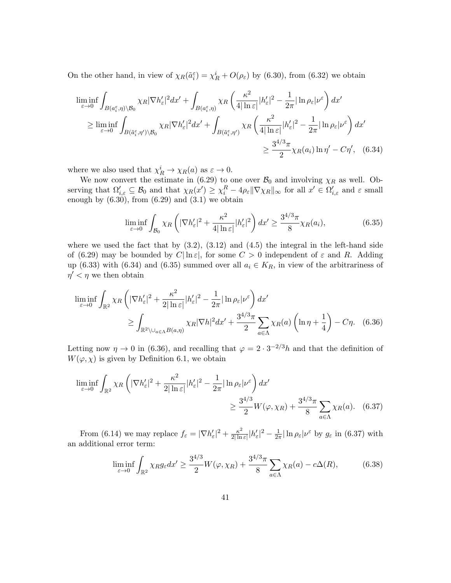On the other hand, in view of  $\chi_R(\tilde{a}_i^{\varepsilon}) = \chi_R^i + O(\rho_{\varepsilon})$  by (6.30), from (6.32) we obtain

$$
\liminf_{\varepsilon \to 0} \int_{B(a_{\varepsilon}^{\varepsilon}, \eta) \setminus \mathcal{B}_0} \chi_R |\nabla h_{\varepsilon}'|^2 dx' + \int_{B(a_{\varepsilon}^{\varepsilon}, \eta)} \chi_R \left( \frac{\kappa^2}{4|\ln \varepsilon|} |h_{\varepsilon}'|^2 - \frac{1}{2\pi} |\ln \rho_{\varepsilon}| \nu^{\varepsilon} \right) dx'
$$
\n
$$
\geq \liminf_{\varepsilon \to 0} \int_{B(\tilde{a}_{\varepsilon}^{\varepsilon}, \eta') \setminus \mathcal{B}_0} \chi_R |\nabla h_{\varepsilon}'|^2 dx' + \int_{B(\tilde{a}_{\varepsilon}^{\varepsilon}, \eta')} \chi_R \left( \frac{\kappa^2}{4|\ln \varepsilon|} |h_{\varepsilon}'|^2 - \frac{1}{2\pi} |\ln \rho_{\varepsilon}| \nu^{\varepsilon} \right) dx'
$$
\n
$$
\geq \frac{3^{4/3} \pi}{2} \chi_R(a_i) \ln \eta' - C \eta', \quad (6.34)
$$

where we also used that  $\chi_R^i \to \chi_R(a)$  as  $\varepsilon \to 0$ .

We now convert the estimate in (6.29) to one over  $\mathcal{B}_0$  and involving  $\chi_R$  as well. Observing that  $\Omega'_{i,\varepsilon} \subseteq \mathcal{B}_0$  and that  $\chi_R(x') \geq \chi_i^R - 4\rho_{\varepsilon} ||\nabla \chi_R||_{\infty}$  for all  $x' \in \Omega'_{i,\varepsilon}$  and  $\varepsilon$  small enough by  $(6.30)$ , from  $(6.29)$  and  $(3.1)$  we obtain

$$
\liminf_{\varepsilon \to 0} \int_{\mathcal{B}_0} \chi_R \left( |\nabla h_{\varepsilon}'|^2 + \frac{\kappa^2}{4|\ln \varepsilon|} |h_{\varepsilon}'|^2 \right) dx' \ge \frac{3^{4/3} \pi}{8} \chi_R(a_i),\tag{6.35}
$$

where we used the fact that by  $(3.2)$ ,  $(3.12)$  and  $(4.5)$  the integral in the left-hand side of (6.29) may be bounded by  $C|\ln \varepsilon|$ , for some  $C > 0$  independent of  $\varepsilon$  and R. Adding up (6.33) with (6.34) and (6.35) summed over all  $a_i \in K_R$ , in view of the arbitrariness of  $\eta' < \eta$  we then obtain

$$
\liminf_{\varepsilon \to 0} \int_{\mathbb{R}^2} \chi_R \left( |\nabla h_{\varepsilon}'|^2 + \frac{\kappa^2}{2|\ln \varepsilon|} |h_{\varepsilon}'|^2 - \frac{1}{2\pi} |\ln \rho_{\varepsilon}| \nu^{\varepsilon} \right) dx'
$$
\n
$$
\geq \int_{\mathbb{R}^2 \setminus \cup_{a \in \Lambda} B(a,\eta)} \chi_R |\nabla h|^2 dx' + \frac{3^{4/3} \pi}{2} \sum_{a \in \Lambda} \chi_R(a) \left( \ln \eta + \frac{1}{4} \right) - C\eta. \tag{6.36}
$$

Letting now  $\eta \to 0$  in (6.36), and recalling that  $\varphi = 2 \cdot 3^{-2/3} h$  and that the definition of  $W(\varphi, \chi)$  is given by Definition 6.1, we obtain

$$
\liminf_{\varepsilon \to 0} \int_{\mathbb{R}^2} \chi_R \left( |\nabla h_{\varepsilon}'|^2 + \frac{\kappa^2}{2|\ln \varepsilon|} |h_{\varepsilon}'|^2 - \frac{1}{2\pi} |\ln \rho_{\varepsilon}| \nu^{\varepsilon} \right) dx' \ge \frac{3^{4/3}}{2} W(\varphi, \chi_R) + \frac{3^{4/3}\pi}{8} \sum_{a \in \Lambda} \chi_R(a). \tag{6.37}
$$

From (6.14) we may replace  $f_{\varepsilon} = |\nabla h_{\varepsilon}'|^2 + \frac{\kappa^2}{2|\ln \varepsilon|}$  $\frac{\kappa^2}{2|\ln\varepsilon|}|h_{\varepsilon}'|^2-\frac{1}{2\pi}$  $\frac{1}{2\pi}|\ln\rho_{\varepsilon}|\nu^{\varepsilon}$  by  $g_{\varepsilon}$  in (6.37) with an additional error term:

$$
\liminf_{\varepsilon \to 0} \int_{\mathbb{R}^2} \chi_R g_{\varepsilon} dx' \ge \frac{3^{4/3}}{2} W(\varphi, \chi_R) + \frac{3^{4/3} \pi}{8} \sum_{a \in \Lambda} \chi_R(a) - c \Delta(R), \tag{6.38}
$$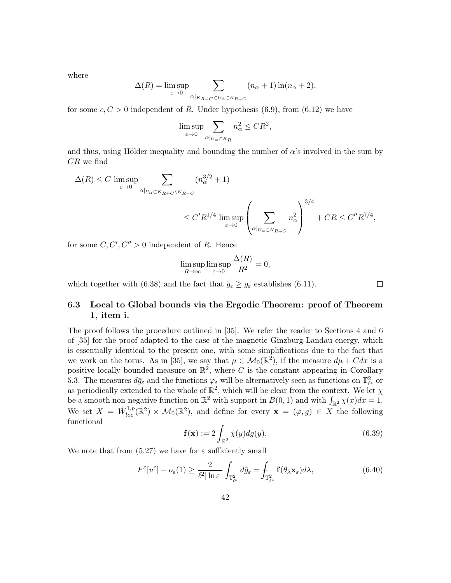where

$$
\Delta(R) = \limsup_{\varepsilon \to 0} \sum_{\alpha|_{K_{R-C} \subset U_{\alpha} \subset K_{R+C}}} (n_{\alpha} + 1) \ln(n_{\alpha} + 2),
$$

for some  $c, C > 0$  independent of R. Under hypothesis (6.9), from (6.12) we have

$$
\limsup_{\varepsilon \to 0} \sum_{\alpha|_{U_{\alpha} \subset K_R}} n_{\alpha}^2 \leq CR^2,
$$

and thus, using Hölder inequality and bounding the number of  $\alpha$ 's involved in the sum by  $CR$  we find

$$
\Delta(R) \le C \limsup_{\varepsilon \to 0} \sum_{\alpha |_{U_{\alpha} \subset K_{R+C} \backslash K_{R-C}}} (n_{\alpha}^{3/2} + 1)
$$
  

$$
\le C'R^{1/4} \limsup_{\varepsilon \to 0} \left( \sum_{\alpha |_{U_{\alpha} \subset K_{R+C}}} n_{\alpha}^2 \right)^{3/4} + CR \le C''R^{7/4},
$$

for some  $C, C', C'' > 0$  independent of R. Hence

$$
\limsup_{R \to \infty} \limsup_{\varepsilon \to 0} \frac{\Delta(R)}{R^2} = 0,
$$

which together with (6.38) and the fact that  $\bar{g}_{\varepsilon} \geq g_{\varepsilon}$  establishes (6.11).

 $\Box$ 

### 6.3 Local to Global bounds via the Ergodic Theorem: proof of Theorem 1, item i.

The proof follows the procedure outlined in [35]. We refer the reader to Sections 4 and 6 of [35] for the proof adapted to the case of the magnetic Ginzburg-Landau energy, which is essentially identical to the present one, with some simplifications due to the fact that we work on the torus. As in [35], we say that  $\mu \in \mathcal{M}_0(\mathbb{R}^2)$ , if the measure  $d\mu + Cdx$  is a positive locally bounded measure on  $\mathbb{R}^2$ , where C is the constant appearing in Corollary 5.3. The measures  $d\bar{g}_{\varepsilon}$  and the functions  $\varphi_{\varepsilon}$  will be alternatively seen as functions on  $\mathbb{T}^2_{\ell^{\varepsilon}}$  or as periodically extended to the whole of  $\mathbb{R}^2$ , which will be clear from the context. We let  $\chi$ be a smooth non-negative function on  $\mathbb{R}^2$  with support in  $B(0, 1)$  and with  $\int_{\mathbb{R}^2} \chi(x) dx = 1$ . We set  $X = \dot{W}_{loc}^{1,p}(\mathbb{R}^2) \times \mathcal{M}_0(\mathbb{R}^2)$ , and define for every  $\mathbf{x} = (\varphi, g) \in X$  the following functional

$$
\mathbf{f}(\mathbf{x}) := 2 \int_{\mathbb{R}^2} \chi(y) dg(y). \tag{6.39}
$$

We note that from  $(5.27)$  we have for  $\varepsilon$  sufficiently small

$$
F^{\varepsilon}[u^{\varepsilon}] + o_{\varepsilon}(1) \ge \frac{2}{\ell^2 |\ln \varepsilon|} \int_{\mathbb{T}^2_{\ell^{\varepsilon}}} d\bar{g}_{\varepsilon} = \int_{\mathbb{T}^2_{\ell^{\varepsilon}}} \mathbf{f}(\theta_{\lambda} \mathbf{x}_{\varepsilon}) d\lambda, \tag{6.40}
$$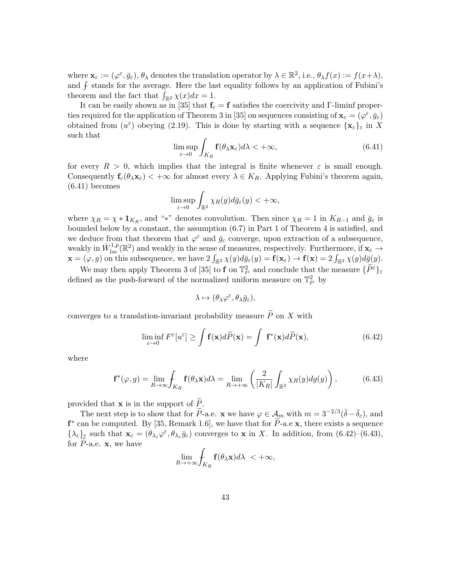where  $\mathbf{x}_{\varepsilon} := (\varphi^{\varepsilon}, \bar{g}_{\varepsilon}), \theta_{\lambda}$  denotes the translation operator by  $\lambda \in \mathbb{R}^{2}$ , i.e.,  $\theta_{\lambda} f(x) := f(x + \lambda)$ , and  $\oint$  stands for the average. Here the last equality follows by an application of Fubini's theorem and the fact that  $\int_{\mathbb{R}^2} \chi(x) dx = 1$ .

It can be easily shown as in [35] that  $f_{\epsilon} = f$  satisfies the coercivity and Γ-liminf properties required for the application of Theorem 3 in [35] on sequences consisting of  $\mathbf{x}_{\varepsilon} = (\varphi^{\varepsilon}, \bar{g}_{\varepsilon})$ obtained from  $(u^{\varepsilon})$  obeying (2.19). This is done by starting with a sequence  $\{x_{\varepsilon}\}_{\varepsilon}$  in X such that

$$
\limsup_{\varepsilon \to 0} \int_{K_R} \mathbf{f}(\theta_\lambda \mathbf{x}_\varepsilon) d\lambda < +\infty,
$$
\n(6.41)

for every  $R > 0$ , which implies that the integral is finite whenever  $\varepsilon$  is small enough. Consequently  $f_{\varepsilon}(\theta_{\lambda} x_{\varepsilon}) < +\infty$  for almost every  $\lambda \in K_R$ . Applying Fubini's theorem again, (6.41) becomes

$$
\limsup_{\varepsilon \to 0} \int_{\mathbb{R}^2} \chi_R(y) d\bar{g}_{\varepsilon}(y) < +\infty,
$$

where  $\chi_R = \chi * \mathbf{1}_{K_R}$ , and "\*" denotes convolution. Then since  $\chi_R = 1$  in  $K_{R-1}$  and  $\bar{g}_{\varepsilon}$  is bounded below by a constant, the assumption (6.7) in Part 1 of Theorem 4 is satisfied, and we deduce from that theorem that  $\varphi^{\varepsilon}$  and  $\bar{g}_{\varepsilon}$  converge, upon extraction of a subsequence, weakly in  $\dot{W}_{loc}^{1,p}(\mathbb{R}^2)$  and weakly in the sense of measures, respectively. Furthermore, if  $\mathbf{x}_{\varepsilon} \to$  $\mathbf{x} = (\varphi, g)$  on this subsequence, we have  $2 \int_{\mathbb{R}^2} \chi(y) d\bar{g}_{\varepsilon}(y) = \mathbf{f}(\mathbf{x}_{\varepsilon}) \to \mathbf{f}(\mathbf{x}) = 2 \int_{\mathbb{R}^2} \chi(y) d\bar{g}(y)$ .

We may then apply Theorem 3 of [35] to **f** on  $\mathbb{T}_{\ell}^2$  and conclude that the measure  $\{\widetilde{P}^{\varepsilon}\}_{\varepsilon}$ defined as the push-forward of the normalized uniform measure on  $\mathbb{T}_{\ell^{\varepsilon}}^2$  by

$$
\lambda \mapsto (\theta_\lambda \varphi^\varepsilon, \theta_\lambda \bar{g}_\varepsilon),
$$

converges to a translation-invariant probability measure  $\widetilde{P}$  on X with

$$
\liminf_{\varepsilon \to 0} F^{\varepsilon}[u^{\varepsilon}] \ge \int \mathbf{f}(\mathbf{x}) d\widetilde{P}(\mathbf{x}) = \int \mathbf{f}^*(\mathbf{x}) d\widetilde{P}(\mathbf{x}), \tag{6.42}
$$

where

$$
\mathbf{f}^*(\varphi, g) = \lim_{R \to \infty} \int_{K_R} \mathbf{f}(\theta_\lambda \mathbf{x}) d\lambda = \lim_{R \to +\infty} \left( \frac{2}{|K_R|} \int_{\mathbb{R}^2} \chi_R(y) dg(y) \right), \tag{6.43}
$$

provided that **x** is in the support of  $\widetilde{P}$ .

The next step is to show that for  $\widetilde{P}$ -a.e.  $\mathbf x$  we have  $\varphi \in \mathcal A_m$  with  $m = 3^{-2/3}(\bar{\delta} - \bar{\delta}_c)$ , and  $f^*$  can be computed. By [35, Remark 1.6], we have that for  $\tilde{P}$ -a.e x, there exists a sequence  $\{\lambda_{\varepsilon}\}_{\varepsilon}$  such that  $\mathbf{x}_{\varepsilon} = (\theta_{\lambda_{\varepsilon}}\varphi^{\varepsilon}, \theta_{\lambda_{\varepsilon}}\bar{g}_{\varepsilon})$  converges to **x** in X. In addition, from  $(6.42)-(6.43)$ , for  $P$ -a.e.  $x$ , we have

$$
\lim_{R\to+\infty}\int_{K_R} \mathbf{f}(\theta_\lambda \mathbf{x})d\lambda < +\infty,
$$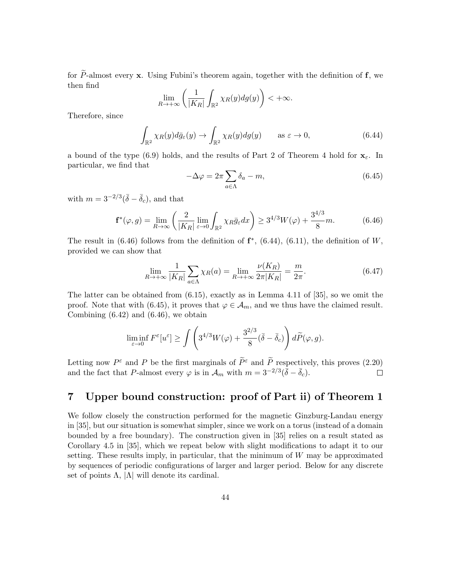for  $\tilde{P}$ -almost every **x**. Using Fubini's theorem again, together with the definition of **f**, we then find

$$
\lim_{R\to+\infty}\left(\frac{1}{|K_R|}\int_{\mathbb{R}^2}\chi_R(y)dg(y)\right)<+\infty.
$$

Therefore, since

$$
\int_{\mathbb{R}^2} \chi_R(y) d\bar{g}_{\varepsilon}(y) \to \int_{\mathbb{R}^2} \chi_R(y) dg(y) \quad \text{as } \varepsilon \to 0,
$$
\n(6.44)

a bound of the type (6.9) holds, and the results of Part 2 of Theorem 4 hold for  $\mathbf{x}_{\varepsilon}$ . In particular, we find that

$$
-\Delta \varphi = 2\pi \sum_{a \in \Lambda} \delta_a - m,\tag{6.45}
$$

with  $m = 3^{-2/3}(\bar{\delta} - \bar{\delta}_c)$ , and that

$$
\mathbf{f}^*(\varphi, g) = \lim_{R \to \infty} \left( \frac{2}{|K_R|} \lim_{\varepsilon \to 0} \int_{\mathbb{R}^2} \chi_R \bar{g}_{\varepsilon} dx \right) \ge 3^{4/3} W(\varphi) + \frac{3^{4/3}}{8} m. \tag{6.46}
$$

The result in  $(6.46)$  follows from the definition of  $f^*$ ,  $(6.44)$ ,  $(6.11)$ , the definition of W, provided we can show that

$$
\lim_{R \to +\infty} \frac{1}{|K_R|} \sum_{a \in \Lambda} \chi_R(a) = \lim_{R \to +\infty} \frac{\nu(K_R)}{2\pi |K_R|} = \frac{m}{2\pi}.
$$
\n(6.47)

The latter can be obtained from (6.15), exactly as in Lemma 4.11 of [35], so we omit the proof. Note that with (6.45), it proves that  $\varphi \in A_m$ , and we thus have the claimed result. Combining  $(6.42)$  and  $(6.46)$ , we obtain

$$
\liminf_{\varepsilon \to 0} F^{\varepsilon}[u^{\varepsilon}] \ge \int \left( 3^{4/3} W(\varphi) + \frac{3^{2/3}}{8} (\bar{\delta} - \bar{\delta}_{c}) \right) d\widetilde{P}(\varphi, g).
$$

Letting now  $P^{\varepsilon}$  and P be the first marginals of  $\tilde{P}^{\varepsilon}$  and  $\tilde{P}$  respectively, this proves (2.20) and the fact that P-almost every  $\varphi$  is in  $\mathcal{A}_m$  with  $m = 3^{-2/3}(\bar{\delta} - \bar{\delta}_c)$ .

# 7 Upper bound construction: proof of Part ii) of Theorem 1

We follow closely the construction performed for the magnetic Ginzburg-Landau energy in [35], but our situation is somewhat simpler, since we work on a torus (instead of a domain bounded by a free boundary). The construction given in [35] relies on a result stated as Corollary 4.5 in [35], which we repeat below with slight modifications to adapt it to our setting. These results imply, in particular, that the minimum of W may be approximated by sequences of periodic configurations of larger and larger period. Below for any discrete set of points  $\Lambda$ ,  $|\Lambda|$  will denote its cardinal.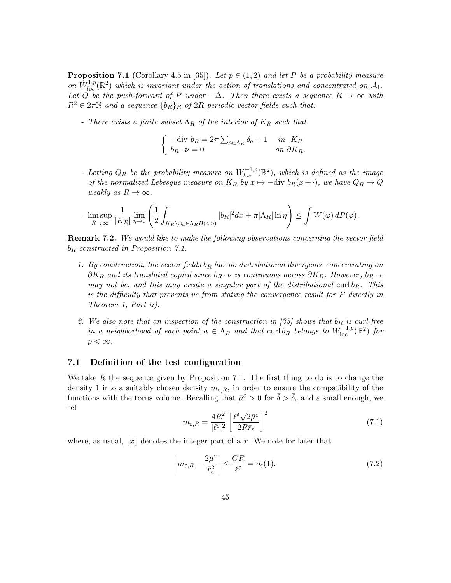**Proposition 7.1** (Corollary 4.5 in [35]). Let  $p \in (1,2)$  and let P be a probability measure on  $\hat{W}_{loc}^{1,p}(\mathbb{R}^2)$  which is invariant under the action of translations and concentrated on  $\mathcal{A}_1$ . Let  $Q^{\text{loc}}$  be the push-forward of P under  $-\Delta$ . Then there exists a sequence  $R \to \infty$  with  $R^2 \in 2\pi\mathbb{N}$  and a sequence  $\{b_R\}_R$  of  $2R$ -periodic vector fields such that:

- There exists a finite subset  $\Lambda_R$  of the interior of  $K_R$  such that

$$
\begin{cases}\n-\text{div } b_R = 2\pi \sum_{a \in \Lambda_R} \delta_a - 1 & \text{in } K_R \\
b_R \cdot \nu = 0 & \text{on } \partial K_R.\n\end{cases}
$$

- Letting  $Q_R$  be the probability measure on  $W^{-1,p}_{loc}(\mathbb{R}^2)$ , which is defined as the image of the normalized Lebesgue measure on  $K_R$  by  $x \mapsto -\text{div } b_R(x + \cdot)$ , we have  $Q_R \to Q$ weakly as  $R \to \infty$ .

$$
\text{-}\; \limsup_{R \to \infty} \frac{1}{|K_R|} \lim_{\eta \to 0} \left( \frac{1}{2} \int_{K_R \backslash \cup_a \in \Lambda_R} |b_R|^2 dx + \pi |\Lambda_R| \ln \eta \right) \leq \int W(\varphi) \, dP(\varphi).
$$

**Remark 7.2.** We would like to make the following observations concerning the vector field  $b_R$  constructed in Proposition 7.1.

- 1. By construction, the vector fields  $b_R$  has no distributional divergence concentrating on  $\partial K_R$  and its translated copied since  $b_R \cdot \nu$  is continuous across  $\partial K_R$ . However,  $b_R \cdot \tau$ may not be, and this may create a singular part of the distributional curl  $b_R$ . This is the difficulty that prevents us from stating the convergence result for P directly in Theorem 1, Part ii).
- 2. We also note that an inspection of the construction in [35] shows that  $b_R$  is curl-free in a neighborhood of each point  $a \in \Lambda_R$  and that  $\text{curl } b_R$  belongs to  $W^{-1,p}_{\text{loc}}(\mathbb{R}^2)$  for  $p < \infty$ .

### 7.1 Definition of the test configuration

We take R the sequence given by Proposition 7.1. The first thing to do is to change the density 1 into a suitably chosen density  $m_{\varepsilon,R}$ , in order to ensure the compatibility of the functions with the torus volume. Recalling that  $\bar{\mu}^{\varepsilon} > 0$  for  $\bar{\delta} > \bar{\delta}_{c}$  and  $\varepsilon$  small enough, we set

$$
m_{\varepsilon,R} = \frac{4R^2}{|\ell^{\varepsilon}|^2} \left[ \frac{\ell^{\varepsilon} \sqrt{2\bar{\mu}^{\varepsilon}}}{2R\bar{r}_{\varepsilon}} \right]^2
$$
 (7.1)

where, as usual,  $|x|$  denotes the integer part of a x. We note for later that

$$
\left| m_{\varepsilon,R} - \frac{2\bar{\mu}^{\varepsilon}}{\bar{r}_{\varepsilon}^2} \right| \leq \frac{CR}{\ell^{\varepsilon}} = o_{\varepsilon}(1). \tag{7.2}
$$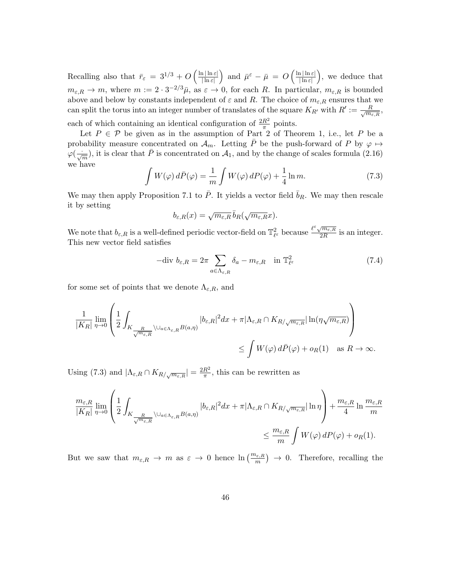Recalling also that  $\bar{r}_{\varepsilon} = 3^{1/3} + O\left(\frac{\ln|\ln \varepsilon|}{|\ln \varepsilon|}\right)$  $\frac{\ln |\ln \varepsilon|}{|\ln \varepsilon|}$  and  $\bar{\mu}^{\varepsilon} - \bar{\mu} = O\left(\frac{\ln |\ln \varepsilon|}{|\ln \varepsilon|}\right)$  $\frac{\ln |\ln \varepsilon|}{\ln \varepsilon}$ , we deduce that  $m_{\varepsilon,R} \to m$ , where  $m := 2 \cdot 3^{-2/3} \bar{\mu}$ , as  $\varepsilon \to 0$ , for each R. In particular,  $m_{\varepsilon,R}$  is bounded above and below by constants independent of  $\varepsilon$  and R. The choice of  $m_{\varepsilon,R}$  ensures that we can split the torus into an integer number of translates of the square  $K_{R'}$  with  $R' := \frac{R}{\sqrt{m_{\varepsilon,R}}},$ each of which containing an identical configuration of  $\frac{2R^2}{\pi}$  points.

Let  $P \in \mathcal{P}$  be given as in the assumption of Part 2 of Theorem 1, i.e., let P be a probability measure concentrated on  $\mathcal{A}_m$ . Letting P be the push-forward of P by  $\varphi \mapsto$  $\varphi(\frac{\cdot}{\sqrt{m}})$ , it is clear that  $\bar{P}$  is concentrated on  $\mathcal{A}_1$ , and by the change of scales formula (2.16) we have

$$
\int W(\varphi) d\bar{P}(\varphi) = \frac{1}{m} \int W(\varphi) dP(\varphi) + \frac{1}{4} \ln m.
$$
 (7.3)

We may then apply Proposition 7.1 to  $\bar{P}$ . It yields a vector field  $\bar{b}_R$ . We may then rescale it by setting

$$
b_{\varepsilon,R}(x) = \sqrt{m_{\varepsilon,R}} \,\overline{b}_R(\sqrt{m_{\varepsilon,R}}x).
$$

We note that  $b_{\varepsilon,R}$  is a well-defined periodic vector-field on  $\mathbb{T}^2_{\ell^{\varepsilon}}$  because  $\frac{\ell^{\varepsilon}\sqrt{m_{\varepsilon,R}}}{2R}$  $\frac{\sqrt{m_{\varepsilon,R}}}{2R}$  is an integer. This new vector field satisfies

$$
-\text{div } b_{\varepsilon,R} = 2\pi \sum_{a \in \Lambda_{\varepsilon,R}} \delta_a - m_{\varepsilon,R} \quad \text{in } \mathbb{T}^2_{\ell^{\varepsilon}}
$$
\n
$$
(7.4)
$$

for some set of points that we denote  $\Lambda_{\varepsilon,R}$ , and

$$
\frac{1}{|K_R|} \lim_{\eta \to 0} \left( \frac{1}{2} \int_{K_{\frac{R}{\sqrt{m_{\varepsilon,R}}}} \setminus \cup_{a \in \Lambda_{\varepsilon,R}} B(a,\eta)} |b_{\varepsilon,R}|^2 dx + \pi |\Lambda_{\varepsilon,R} \cap K_{R/\sqrt{m_{\varepsilon,R}}} |\ln(\eta \sqrt{m_{\varepsilon,R}}) \right) \le \int W(\varphi) d\bar{P}(\varphi) + o_R(1) \quad \text{as } R \to \infty.
$$

Using (7.3) and  $|\Lambda_{\varepsilon,R} \cap K_{R/\sqrt{m_{\varepsilon,R}}}| = \frac{2R^2}{\pi}$  $\frac{R^2}{\pi}$ , this can be rewritten as

$$
\label{eq:R1} \begin{split} \frac{m_{\varepsilon,R}}{|K_R|}\lim_{\eta\to 0}\left(\frac{1}{2}\int_{K_{\frac{R}{\sqrt{m_{\varepsilon,R}}}}\backslash\cup_{a\in\Lambda_{\varepsilon,R}}B(a,\eta)}|b_{\varepsilon,R}|^2dx+\pi|\Lambda_{\varepsilon,R}\cap K_{R/\sqrt{m_{\varepsilon,R}}}| \ln\eta\right)+\frac{m_{\varepsilon,R}}{4}\ln\frac{m_{\varepsilon,R}}{m}\\ &\leq \frac{m_{\varepsilon,R}}{m}\int W(\varphi)\,dP(\varphi)+o_R(1). \end{split}
$$

But we saw that  $m_{\varepsilon,R} \to m$  as  $\varepsilon \to 0$  hence  $\ln\left(\frac{m_{\varepsilon,R}}{m}\right) \to 0$ . Therefore, recalling the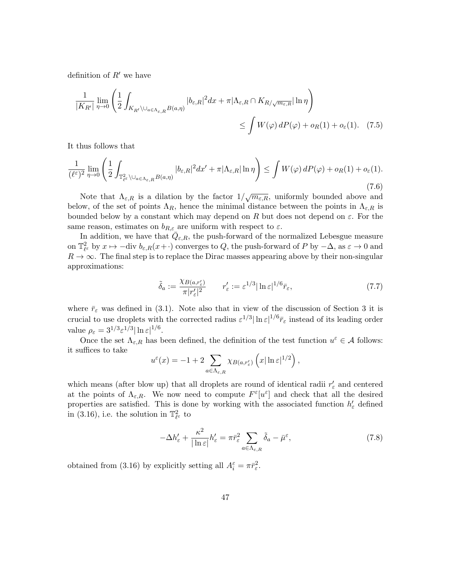definition of  $R'$  we have

$$
\frac{1}{|K_{R'}|} \lim_{\eta \to 0} \left( \frac{1}{2} \int_{K_{R'} \setminus \bigcup_{a \in \Lambda_{\varepsilon,R}} B(a,\eta)} |b_{\varepsilon,R}|^2 dx + \pi |\Lambda_{\varepsilon,R} \cap K_{R/\sqrt{m_{\varepsilon,R}}} |\ln \eta \right) \le \int W(\varphi) \, dP(\varphi) + o_R(1) + o_{\varepsilon}(1). \tag{7.5}
$$

It thus follows that

$$
\frac{1}{(\ell^{\varepsilon})^2} \lim_{\eta \to 0} \left( \frac{1}{2} \int_{\mathbb{T}^2_{\ell^{\varepsilon}} \backslash \cup_{a \in \Lambda_{\varepsilon,R}} B(a,\eta)} |b_{\varepsilon,R}|^2 dx' + \pi |\Lambda_{\varepsilon,R}| \ln \eta \right) \le \int W(\varphi) \, dP(\varphi) + o_R(1) + o_{\varepsilon}(1).
$$
\n(7.6)

Note that  $\Lambda_{\varepsilon,R}$  is a dilation by the factor  $1/\sqrt{m_{\varepsilon,R}}$ , uniformly bounded above and below, of the set of points  $\Lambda_R$ , hence the minimal distance between the points in  $\Lambda_{\varepsilon,R}$  is bounded below by a constant which may depend on R but does not depend on  $\varepsilon$ . For the same reason, estimates on  $b_{R,\varepsilon}$  are uniform with respect to  $\varepsilon$ .

In addition, we have that  $\overline{Q}_{\varepsilon,R}$ , the push-forward of the normalized Lebesgue measure on  $\mathbb{T}^2_{\ell^{\varepsilon}}$  by  $x \mapsto -\text{div } b_{\varepsilon,R}(x+\cdot)$  converges to  $Q$ , the push-forward of P by  $-\Delta$ , as  $\varepsilon \to 0$  and  $R \to \infty$ . The final step is to replace the Dirac masses appearing above by their non-singular approximations:

$$
\tilde{\delta}_a := \frac{\chi_{B(a,r'_\varepsilon)}}{\pi |r'_\varepsilon|^2} \qquad r'_\varepsilon := \varepsilon^{1/3} |\ln \varepsilon|^{1/6} \bar{r}_\varepsilon,\tag{7.7}
$$

where  $\bar{r}_{\varepsilon}$  was defined in (3.1). Note also that in view of the discussion of Section 3 it is crucial to use droplets with the corrected radius  $\varepsilon^{1/3} |\ln \varepsilon|^{1/6} \bar{r}_{\varepsilon}$  instead of its leading order value  $\rho_{\varepsilon} = 3^{1/3} \varepsilon^{1/3} |\ln \varepsilon|^{1/6}.$ 

Once the set  $\Lambda_{\varepsilon,R}$  has been defined, the definition of the test function  $u^{\varepsilon} \in A$  follows: it suffices to take

$$
u^{\varepsilon}(x) = -1 + 2 \sum_{a \in \Lambda_{\varepsilon,R}} \chi_{B(a,r'_{\varepsilon})} \left( x |\ln \varepsilon|^{1/2} \right),
$$

which means (after blow up) that all droplets are round of identical radii  $r'_{\varepsilon}$  and centered at the points of  $\Lambda_{\varepsilon,R}$ . We now need to compute  $F^{\varepsilon}[u^{\varepsilon}]$  and check that all the desired properties are satisfied. This is done by working with the associated function  $h'_\varepsilon$  defined in (3.16), i.e. the solution in  $\mathbb{T}_{\ell^{\varepsilon}}^{2}$  to

$$
-\Delta h_{\varepsilon}^{\prime} + \frac{\kappa^2}{|\ln \varepsilon|} h_{\varepsilon}^{\prime} = \pi \bar{r}_{\varepsilon}^2 \sum_{a \in \Lambda_{\varepsilon,R}} \tilde{\delta}_a - \bar{\mu}^{\varepsilon}, \tag{7.8}
$$

obtained from (3.16) by explicitly setting all  $A_i^{\varepsilon} = \pi \bar{r}_{\varepsilon}^2$ .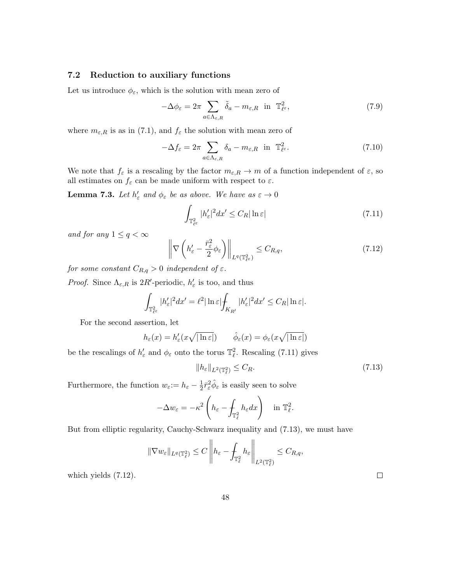### 7.2 Reduction to auxiliary functions

Let us introduce  $\phi_{\varepsilon}$ , which is the solution with mean zero of

$$
-\Delta\phi_{\varepsilon} = 2\pi \sum_{a \in \Lambda_{\varepsilon,R}} \tilde{\delta}_a - m_{\varepsilon,R} \quad \text{in} \quad \mathbb{T}_{\ell^{\varepsilon}}^2,\tag{7.9}
$$

where  $m_{\varepsilon,R}$  is as in (7.1), and  $f_{\varepsilon}$  the solution with mean zero of

$$
-\Delta f_{\varepsilon} = 2\pi \sum_{a \in \Lambda_{\varepsilon,R}} \delta_a - m_{\varepsilon,R} \text{ in } \mathbb{T}^2_{\ell^{\varepsilon}}.
$$
 (7.10)

We note that  $f_{\varepsilon}$  is a rescaling by the factor  $m_{\varepsilon,R} \to m$  of a function independent of  $\varepsilon$ , so all estimates on  $f_{\varepsilon}$  can be made uniform with respect to  $\varepsilon$ .

**Lemma 7.3.** Let  $h'_{\varepsilon}$  and  $\phi_{\varepsilon}$  be as above. We have as  $\varepsilon \to 0$ 

$$
\int_{\mathbb{T}_{\ell^{\varepsilon}}^2} |h_{\varepsilon}'|^2 dx' \le C_R |\ln \varepsilon| \tag{7.11}
$$

and for any  $1 \leq q < \infty$ 

$$
\left\| \nabla \left( h_{\varepsilon}' - \frac{\bar{r}_{\varepsilon}^2}{2} \phi_{\varepsilon} \right) \right\|_{L^q(\mathbb{T}_{\varepsilon}^2)} \leq C_{R,q},\tag{7.12}
$$

for some constant  $C_{R,q} > 0$  independent of  $\varepsilon$ .

*Proof.* Since  $\Lambda_{\varepsilon,R}$  is  $2R'$ -periodic,  $h'_{\varepsilon}$  is too, and thus

$$
\int_{\mathbb{T}^2_{\ell^{\varepsilon}}}|h'_\varepsilon|^2dx'=\ell^2|\ln\varepsilon|\int_{K_{R'}}|h'_\varepsilon|^2dx'\leq C_R|\ln\varepsilon|.
$$

For the second assertion, let

$$
h_{\varepsilon}(x) = h'_{\varepsilon}(x\sqrt{|\ln \varepsilon|}) \qquad \hat{\phi}_{\varepsilon}(x) = \phi_{\varepsilon}(x\sqrt{|\ln \varepsilon|})
$$

be the rescalings of  $h'_{\varepsilon}$  and  $\phi_{\varepsilon}$  onto the torus  $\mathbb{T}^2_{\ell}$ . Rescaling (7.11) gives

$$
||h_{\varepsilon}||_{L^{2}(\mathbb{T}_{\ell}^{2})} \leq C_{R}.\tag{7.13}
$$

Furthermore, the function  $w_{\varepsilon} := h_{\varepsilon} - \frac{1}{2}$  $\frac{1}{2}\bar{r}_{\varepsilon}^{2}\hat{\phi}_{\varepsilon}$  is easily seen to solve

$$
-\Delta w_{\varepsilon} = -\kappa^2 \left( h_{\varepsilon} - \int_{\mathbb{T}_{\ell}^2} h_{\varepsilon} dx \right) \quad \text{in } \mathbb{T}_{\ell}^2.
$$

But from elliptic regularity, Cauchy-Schwarz inequality and (7.13), we must have

$$
\|\nabla w_{\varepsilon}\|_{L^{q}(\mathbb{T}_{\ell}^{2})}\leq C\left\|h_{\varepsilon}-\int_{\mathbb{T}_{\ell}^{2}}h_{\varepsilon}\right\|_{L^{2}(\mathbb{T}_{\ell}^{2})}\leq C_{R,q},
$$

which yields (7.12).

48

 $\Box$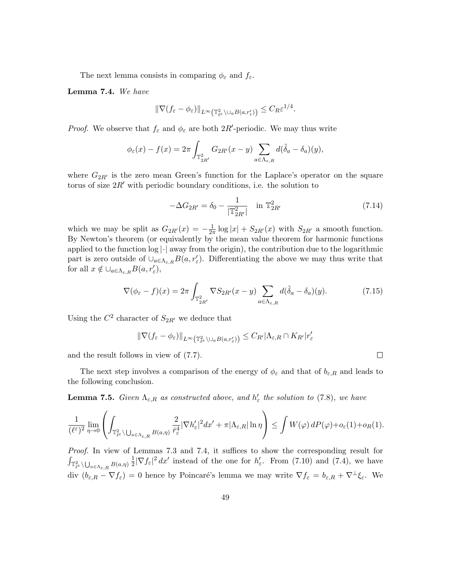The next lemma consists in comparing  $\phi_{\varepsilon}$  and  $f_{\varepsilon}$ .

Lemma 7.4. We have

$$
\|\nabla (f_{\varepsilon}-\phi_{\varepsilon})\|_{L^{\infty}\left(\mathbb{T}^2_{\ell^{\varepsilon}}\setminus \cup_a B(a,r'_{\varepsilon})\right)}\leq C_R\varepsilon^{1/4}.
$$

*Proof.* We observe that  $f_{\varepsilon}$  and  $\phi_{\varepsilon}$  are both 2R'-periodic. We may thus write

$$
\phi_{\varepsilon}(x) - f(x) = 2\pi \int_{\mathbb{T}_{2R'}^2} G_{2R'}(x - y) \sum_{a \in \Lambda_{\varepsilon, R}} d(\tilde{\delta}_a - \delta_a)(y),
$$

where  $G_{2R'}$  is the zero mean Green's function for the Laplace's operator on the square torus of size  $2R'$  with periodic boundary conditions, i.e. the solution to

$$
-\Delta G_{2R'} = \delta_0 - \frac{1}{|\mathbb{T}_{2R'}^2|} \quad \text{in } \mathbb{T}_{2R'}^2 \tag{7.14}
$$

 $\Box$ 

which we may be split as  $G_{2R'}(x) = -\frac{1}{2x}$  $\frac{1}{2\pi} \log |x| + S_{2R'}(x)$  with  $S_{2R'}$  a smooth function. By Newton's theorem (or equivalently by the mean value theorem for harmonic functions applied to the function  $log |·|$  away from the origin), the contribution due to the logarithmic part is zero outside of  $\cup_{a \in \Lambda_{\varepsilon,R}} B(a, r'_{\varepsilon})$ . Differentiating the above we may thus write that for all  $x \notin \bigcup_{a \in \Lambda_{\varepsilon,R}} B(a, r'_{\varepsilon}),$ 

$$
\nabla(\phi_{\varepsilon} - f)(x) = 2\pi \int_{\mathbb{T}_{2R'}^2} \nabla S_{2R'}(x - y) \sum_{a \in \Lambda_{\varepsilon, R}} d(\tilde{\delta}_a - \delta_a)(y). \tag{7.15}
$$

Using the  $C^2$  character of  $S_{2R'}$  we deduce that

 $\|\nabla (f_{\varepsilon} - \phi_{\varepsilon})\|_{L^{\infty}(\mathbb{T}^2_{\ell^{\varepsilon}}\setminus \cup_a B(a,r'_{\varepsilon}))} \leq C_{R'} |\Lambda_{\varepsilon,R}\cap K_{R'}| r'_{\varepsilon}$ 

and the result follows in view of (7.7).

The next step involves a comparison of the energy of  $\phi_{\varepsilon}$  and that of  $b_{\varepsilon,R}$  and leads to the following conclusion.

**Lemma 7.5.** Given  $\Lambda_{\varepsilon,R}$  as constructed above, and  $h'_{\varepsilon}$  the solution to (7.8), we have

$$
\frac{1}{(\ell^{\varepsilon})^2} \lim_{\eta \to 0} \left( \int_{\mathbb{T}^2_{\ell^{\varepsilon}} \backslash \bigcup_{a \in \Lambda_{\varepsilon,R}} B(a,\eta)} \frac{2}{\bar{r}^4_{\varepsilon}} |\nabla h_{\varepsilon}'|^2 dx' + \pi |\Lambda_{\varepsilon,R}| \ln \eta \right) \leq \int W(\varphi) \, dP(\varphi) + o_{\varepsilon}(1) + o_{R}(1).
$$

Proof. In view of Lemmas 7.3 and 7.4, it suffices to show the corresponding result for  $\int_{\mathbb{T}_{\ell}^2} \int_{\mathbb{U}_{a \in \Lambda_{\varepsilon,R}}} B(a,\eta)$ 1  $\frac{1}{2}|\nabla f_{\varepsilon}|^2 dx'$  instead of the one for  $h'_{\varepsilon}$ . From (7.10) and (7.4), we have div  $(b_{\varepsilon,R} - \nabla f_{\varepsilon}) = 0$  hence by Poincaré's lemma we may write  $\nabla f_{\varepsilon} = b_{\varepsilon,R} + \nabla^{\perp} \xi_{\varepsilon}$ . We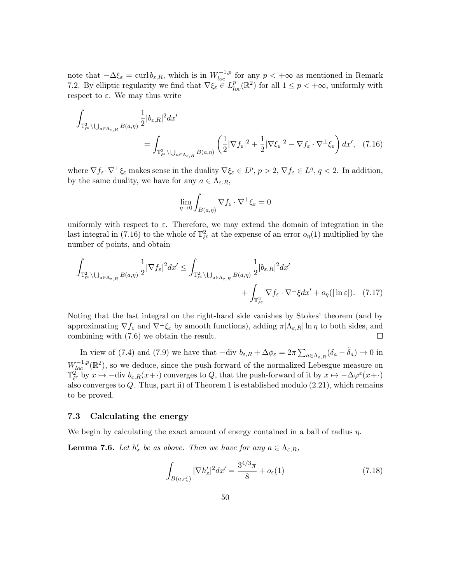note that  $-\Delta \xi_{\varepsilon} = \text{curl } b_{\varepsilon,R}$ , which is in  $W_{loc}^{-1,p}$  for any  $p < +\infty$  as mentioned in Remark 7.2. By elliptic regularity we find that  $\nabla \xi_{\varepsilon} \in L^p_{loc}(\mathbb{R}^2)$  for all  $1 \leq p < +\infty$ , uniformly with respect to  $\varepsilon$ . We may thus write

$$
\int_{\mathbb{T}_{\ell}^2 \backslash \bigcup_{a \in \Lambda_{\varepsilon,R}} B(a,\eta)} \frac{1}{2} |b_{\varepsilon,R}|^2 dx' = \int_{\mathbb{T}_{\ell}^2 \backslash \bigcup_{a \in \Lambda_{\varepsilon,R}} B(a,\eta)} \left( \frac{1}{2} |\nabla f_{\varepsilon}|^2 + \frac{1}{2} |\nabla \xi_{\varepsilon}|^2 - \nabla f_{\varepsilon} \cdot \nabla^{\perp} \xi_{\varepsilon} \right) dx', \quad (7.16)
$$

where  $\nabla f_{\varepsilon} \cdot \nabla^{\perp} \xi_{\varepsilon}$  makes sense in the duality  $\nabla \xi_{\varepsilon} \in L^p$ ,  $p > 2$ ,  $\nabla f_{\varepsilon} \in L^q$ ,  $q < 2$ . In addition, by the same duality, we have for any  $a \in \Lambda_{\varepsilon,R}$ ,

$$
\lim_{\eta\to 0} \int_{B(a,\eta)} \nabla f_\varepsilon \cdot \nabla^\perp \xi_\varepsilon = 0
$$

uniformly with respect to  $\varepsilon$ . Therefore, we may extend the domain of integration in the last integral in (7.16) to the whole of  $\mathbb{T}_{\ell^{\varepsilon}}^2$  at the expense of an error  $o_{\eta}(1)$  multiplied by the number of points, and obtain

$$
\int_{\mathbb{T}^2_{\ell^{\varepsilon}}\backslash\bigcup_{a\in\Lambda_{\varepsilon,R}}B(a,\eta)}\frac{1}{2}|\nabla f_{\varepsilon}|^2dx' \leq \int_{\mathbb{T}^2_{\ell^{\varepsilon}}\backslash\bigcup_{a\in\Lambda_{\varepsilon,R}}B(a,\eta)}\frac{1}{2}|b_{\varepsilon,R}|^2dx' + \int_{\mathbb{T}^2_{\ell^{\varepsilon}}\backslash\mathbb{T}^2_{\ell^{\varepsilon}}\setminus\mathbb{T}^2_{\ell^{\varepsilon}}\setminus\bigcup_{a\in\Lambda_{\varepsilon,R}}B(a,\eta)}\frac{1}{2}|b_{\varepsilon,R}|^2dx' + o_{\eta}(|\ln \varepsilon|). \tag{7.17}
$$

Noting that the last integral on the right-hand side vanishes by Stokes' theorem (and by approximating  $\nabla f_{\varepsilon}$  and  $\nabla^{\perp}\xi_{\varepsilon}$  by smooth functions), adding  $\pi|\Lambda_{\varepsilon,R}| \ln \eta$  to both sides, and combining with (7.6) we obtain the result.  $\Box$ 

In view of (7.4) and (7.9) we have that  $-\text{div } b_{\varepsilon,R} + \Delta \phi_{\varepsilon} = 2\pi \sum_{a \in \Lambda_{\varepsilon,R}} (\delta_a - \tilde{\delta}_a) \to 0$  in  $W_{loc}^{-1,p}(\mathbb{R}^2)$ , so we deduce, since the push-forward of the normalized Lebesgue measure on  $\mathbb{T}^2_{\ell^{\varepsilon}}$  by  $x \mapsto -\text{div } b_{\varepsilon,R}(x+ \cdot)$  converges to  $Q$ , that the push-forward of it by  $x \mapsto -\Delta\varphi^{\varepsilon}(x+ \cdot)$ also converges to  $Q$ . Thus, part ii) of Theorem 1 is established modulo  $(2.21)$ , which remains to be proved.

### 7.3 Calculating the energy

We begin by calculating the exact amount of energy contained in a ball of radius  $\eta$ .

**Lemma 7.6.** Let  $h'_{\varepsilon}$  be as above. Then we have for any  $a \in \Lambda_{\varepsilon,R}$ ,

$$
\int_{B(a,r'_{\varepsilon})} |\nabla h'_{\varepsilon}|^2 dx' = \frac{3^{4/3}\pi}{8} + o_{\varepsilon}(1)
$$
\n(7.18)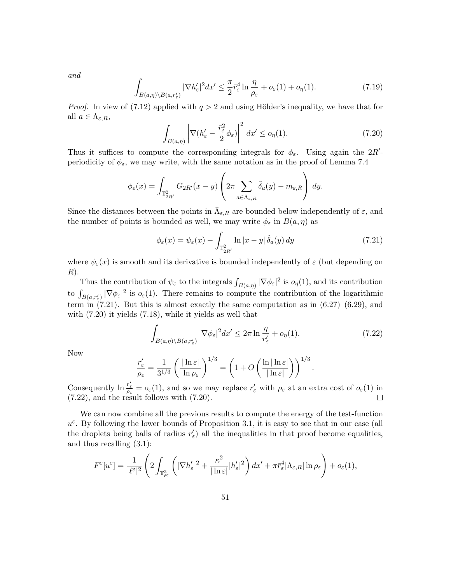and

$$
\int_{B(a,\eta)\backslash B(a,r'_{\varepsilon})} |\nabla h'_{\varepsilon}|^2 dx' \leq \frac{\pi}{2} \bar{r}_{\varepsilon}^4 \ln \frac{\eta}{\rho_{\varepsilon}} + o_{\varepsilon}(1) + o_{\eta}(1). \tag{7.19}
$$

*Proof.* In view of (7.12) applied with  $q > 2$  and using Hölder's inequality, we have that for all  $a \in \Lambda_{\varepsilon,R}$ ,

$$
\int_{B(a,\eta)} \left| \nabla (h'_{\varepsilon} - \frac{\bar{r}_{\varepsilon}^2}{2} \phi_{\varepsilon}) \right|^2 dx' \le o_{\eta}(1). \tag{7.20}
$$

Thus it suffices to compute the corresponding integrals for  $\phi_{\varepsilon}$ . Using again the 2R'periodicity of  $\phi_{\varepsilon}$ , we may write, with the same notation as in the proof of Lemma 7.4

$$
\phi_{\varepsilon}(x) = \int_{\mathbb{T}_{2R'}^2} G_{2R'}(x-y) \left(2\pi \sum_{a \in \bar{\Lambda}_{\varepsilon,R}} \tilde{\delta}_a(y) - m_{\varepsilon,R}\right) dy.
$$

Since the distances between the points in  $\bar{\Lambda}_{\varepsilon,R}$  are bounded below independently of  $\varepsilon$ , and the number of points is bounded as well, we may write  $\phi_{\varepsilon}$  in  $B(a, \eta)$  as

$$
\phi_{\varepsilon}(x) = \psi_{\varepsilon}(x) - \int_{\mathbb{T}_{2R'}^2} \ln|x - y| \, \tilde{\delta}_a(y) \, dy \tag{7.21}
$$

where  $\psi_{\varepsilon}(x)$  is smooth and its derivative is bounded independently of  $\varepsilon$  (but depending on  $R$ ).

Thus the contribution of  $\psi_{\varepsilon}$  to the integrals  $\int_{B(a,\eta)} |\nabla \phi_{\varepsilon}|^2$  is  $o_{\eta}(1)$ , and its contribution to  $\int_{B(a,r'_\varepsilon)} |\nabla \phi_\varepsilon|^2$  is  $o_\varepsilon(1)$ . There remains to compute the contribution of the logarithmic term in  $(7.21)$ . But this is almost exactly the same computation as in  $(6.27)$ – $(6.29)$ , and with (7.20) it yields (7.18), while it yields as well that

$$
\int_{B(a,\eta)\setminus B(a,r'_{\varepsilon})} |\nabla \phi_{\varepsilon}|^2 dx' \leq 2\pi \ln \frac{\eta}{r'_{\varepsilon}} + o_{\eta}(1). \tag{7.22}
$$

.

Now

$$
\frac{r_{\varepsilon}'}{\rho_{\varepsilon}} = \frac{1}{3^{1/3}} \left( \frac{|\ln \varepsilon|}{|\ln \rho_{\varepsilon}|} \right)^{1/3} = \left( 1 + O\left( \frac{\ln |\ln \varepsilon|}{|\ln \varepsilon|} \right) \right)^{1/3}
$$

Consequently  $\ln \frac{r'_\varepsilon}{\rho_\varepsilon} = o_\varepsilon(1)$ , and so we may replace  $r'_\varepsilon$  with  $\rho_\varepsilon$  at an extra cost of  $o_\varepsilon(1)$  in (7.22), and the result follows with (7.20).

We can now combine all the previous results to compute the energy of the test-function  $u^{\varepsilon}$ . By following the lower bounds of Proposition 3.1, it is easy to see that in our case (all the droplets being balls of radius  $r'_{\varepsilon}$ ) all the inequalities in that proof become equalities, and thus recalling (3.1):

$$
F^{\varepsilon}[u^{\varepsilon}] = \frac{1}{|\ell^{\varepsilon}|^2} \left( 2 \int_{\mathbb{T}^2_{\ell^{\varepsilon}}} \left( |\nabla h_{\varepsilon}'|^2 + \frac{\kappa^2}{|\ln \varepsilon|} |h_{\varepsilon}'|^2 \right) dx' + \pi \bar{r}_{\varepsilon}^4 |\Lambda_{\varepsilon,R}| \ln \rho_{\varepsilon} \right) + o_{\varepsilon}(1),
$$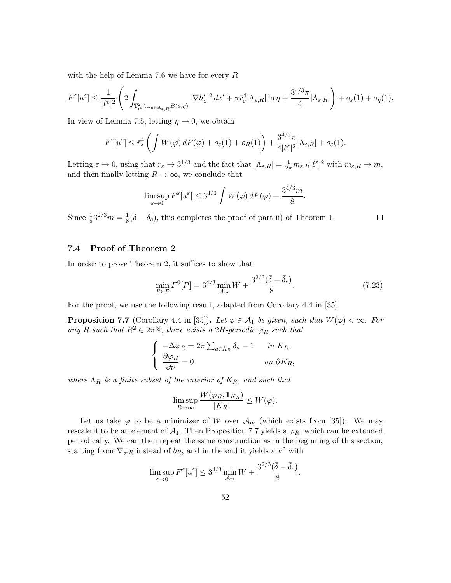with the help of Lemma 7.6 we have for every R

$$
F^{\varepsilon}[u^{\varepsilon}] \leq \frac{1}{|\ell^{\varepsilon}|^{2}} \left( 2 \int_{\mathbb{T}^2_{\ell^{\varepsilon}} \backslash \cup_{a \in \Lambda_{\varepsilon,R}} B(a,\eta)} |\nabla h_{\varepsilon}'|^2 dx' + \pi \bar{r}_{\varepsilon}^4 |\Lambda_{\varepsilon,R}| \ln \eta + \frac{3^{4/3} \pi}{4} |\Lambda_{\varepsilon,R}| \right) + o_{\varepsilon}(1) + o_{\eta}(1).
$$

In view of Lemma 7.5, letting  $\eta \to 0$ , we obtain

$$
F^{\varepsilon}[u^{\varepsilon}] \leq \bar{r}_{\varepsilon}^{4} \left( \int W(\varphi) dP(\varphi) + o_{\varepsilon}(1) + o_{R}(1) \right) + \frac{3^{4/3}\pi}{4|\ell^{\varepsilon}|^{2}} |\Lambda_{\varepsilon,R}| + o_{\varepsilon}(1).
$$

Letting  $\varepsilon \to 0$ , using that  $\bar{r}_{\varepsilon} \to 3^{1/3}$  and the fact that  $|\Lambda_{\varepsilon,R}| = \frac{1}{2\pi} m_{\varepsilon,R} |\ell^{\varepsilon}|^2$  with  $m_{\varepsilon,R} \to m$ , and then finally letting  $R \to \infty$ , we conclude that

$$
\limsup_{\varepsilon \to 0} F^{\varepsilon}[u^{\varepsilon}] \le 3^{4/3} \int W(\varphi) dP(\varphi) + \frac{3^{4/3}m}{8}.
$$

 $\frac{1}{8}(\bar{\delta}-\bar{\delta_c})$ , this completes the proof of part ii) of Theorem 1.

### $\Box$

### 7.4 Proof of Theorem 2

Since  $\frac{1}{8}3^{2/3}m = \frac{1}{8}$ 

In order to prove Theorem 2, it suffices to show that

$$
\min_{P \in \mathcal{P}} F^0[P] = 3^{4/3} \min_{\mathcal{A}_m} W + \frac{3^{2/3} (\bar{\delta} - \bar{\delta}_c)}{8}.
$$
\n(7.23)

For the proof, we use the following result, adapted from Corollary 4.4 in [35].

**Proposition 7.7** (Corollary 4.4 in [35]). Let  $\varphi \in A_1$  be given, such that  $W(\varphi) < \infty$ . For any R such that  $R^2 \in 2\pi\mathbb{N}$ , there exists a 2R-periodic  $\varphi_R$  such that

$$
\begin{cases}\n-\Delta \varphi_R = 2\pi \sum_{a \in \Lambda_R} \delta_a - 1 & \text{in } K_R, \\
\frac{\partial \varphi_R}{\partial \nu} = 0 & \text{on } \partial K_R,\n\end{cases}
$$

where  $\Lambda_R$  is a finite subset of the interior of  $K_R$ , and such that

$$
\limsup_{R \to \infty} \frac{W(\varphi_R, \mathbf{1}_{K_R})}{|K_R|} \le W(\varphi).
$$

Let us take  $\varphi$  to be a minimizer of W over  $\mathcal{A}_m$  (which exists from [35]). We may rescale it to be an element of  $A_1$ . Then Proposition 7.7 yields a  $\varphi_R$ , which can be extended periodically. We can then repeat the same construction as in the beginning of this section, starting from  $\nabla \varphi_R$  instead of  $b_R$ , and in the end it yields a  $u^{\varepsilon}$  with

$$
\limsup_{\varepsilon \to 0} F^{\varepsilon}[u^{\varepsilon}] \le 3^{4/3} \min_{\mathcal{A}_m} W + \frac{3^{2/3}(\bar{\delta} - \bar{\delta}_c)}{8}.
$$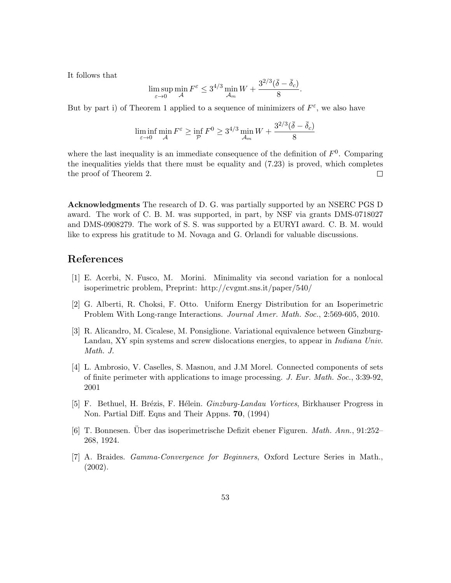It follows that

$$
\limsup_{\varepsilon \to 0} \min_{\mathcal{A}} F^{\varepsilon} \le 3^{4/3} \min_{\mathcal{A}_m} W + \frac{3^{2/3} (\bar{\delta} - \bar{\delta}_c)}{8}.
$$

But by part i) of Theorem 1 applied to a sequence of minimizers of  $F^{\varepsilon}$ , we also have

$$
\liminf_{\varepsilon \to 0} \min_{\mathcal{A}} F^{\varepsilon} \ge \inf_{\mathcal{P}} F^0 \ge 3^{4/3} \min_{\mathcal{A}_m} W + \frac{3^{2/3} (\bar{\delta} - \bar{\delta}_c)}{8}
$$

where the last inequality is an immediate consequence of the definition of  $F^0$ . Comparing the inequalities yields that there must be equality and (7.23) is proved, which completes the proof of Theorem 2.  $\Box$ 

Acknowledgments The research of D. G. was partially supported by an NSERC PGS D award. The work of C. B. M. was supported, in part, by NSF via grants DMS-0718027 and DMS-0908279. The work of S. S. was supported by a EURYI award. C. B. M. would like to express his gratitude to M. Novaga and G. Orlandi for valuable discussions.

### References

- [1] E. Acerbi, N. Fusco, M. Morini. Minimality via second variation for a nonlocal isoperimetric problem, Preprint: http://cvgmt.sns.it/paper/540/
- [2] G. Alberti, R. Choksi, F. Otto. Uniform Energy Distribution for an Isoperimetric Problem With Long-range Interactions. Journal Amer. Math. Soc., 2:569-605, 2010.
- [3] R. Alicandro, M. Cicalese, M. Ponsiglione. Variational equivalence between Ginzburg-Landau, XY spin systems and screw dislocations energies, to appear in Indiana Univ. Math. J.
- [4] L. Ambrosio, V. Caselles, S. Masnou, and J.M Morel. Connected components of sets of finite perimeter with applications to image processing. J. Eur. Math. Soc., 3:39-92, 2001
- [5] F. Bethuel, H. Brézis, F. Hélein. *Ginzburg-Landau Vortices*, Birkhauser Progress in Non. Partial Diff. Eqns and Their Appns. 70, (1994)
- [6] T. Bonnesen. Über das isoperimetrische Defizit ebener Figuren. *Math. Ann.*, 91:252– 268, 1924.
- [7] A. Braides. Gamma-Convergence for Beginners, Oxford Lecture Series in Math., (2002).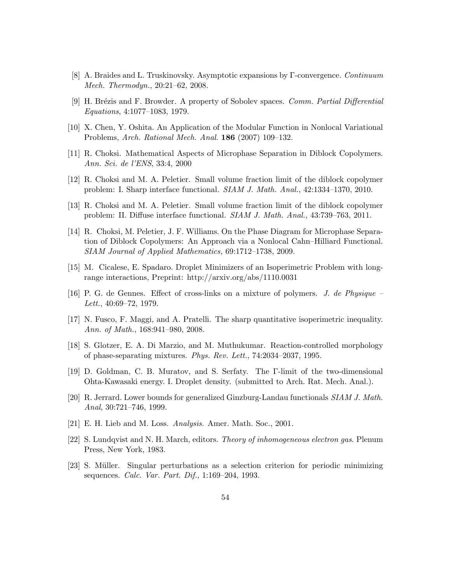- [8] A. Braides and L. Truskinovsky. Asymptotic expansions by Γ-convergence. Continuum Mech. Thermodyn., 20:21–62, 2008.
- [9] H. Brézis and F. Browder. A property of Sobolev spaces. Comm. Partial Differential Equations, 4:1077–1083, 1979.
- [10] X. Chen, Y. Oshita. An Application of the Modular Function in Nonlocal Variational Problems, Arch. Rational Mech. Anal. 186 (2007) 109–132.
- [11] R. Choksi. Mathematical Aspects of Microphase Separation in Diblock Copolymers. Ann. Sci. de l'ENS, 33:4, 2000
- [12] R. Choksi and M. A. Peletier. Small volume fraction limit of the diblock copolymer problem: I. Sharp interface functional. SIAM J. Math. Anal., 42:1334–1370, 2010.
- [13] R. Choksi and M. A. Peletier. Small volume fraction limit of the diblock copolymer problem: II. Diffuse interface functional. SIAM J. Math. Anal., 43:739–763, 2011.
- [14] R. Choksi, M. Peletier, J. F. Williams. On the Phase Diagram for Microphase Separation of Diblock Copolymers: An Approach via a Nonlocal Cahn–Hilliard Functional. SIAM Journal of Applied Mathematics, 69:1712–1738, 2009.
- [15] M. Cicalese, E. Spadaro. Droplet Minimizers of an Isoperimetric Problem with longrange interactions, Preprint: http://arxiv.org/abs/1110.0031
- [16] P. G. de Gennes. Effect of cross-links on a mixture of polymers. J. de Physique Lett., 40:69–72, 1979.
- [17] N. Fusco, F. Maggi, and A. Pratelli. The sharp quantitative isoperimetric inequality. Ann. of Math., 168:941–980, 2008.
- [18] S. Glotzer, E. A. Di Marzio, and M. Muthukumar. Reaction-controlled morphology of phase-separating mixtures. Phys. Rev. Lett., 74:2034–2037, 1995.
- [19] D. Goldman, C. B. Muratov, and S. Serfaty. The Γ-limit of the two-dimensional Ohta-Kawasaki energy. I. Droplet density. (submitted to Arch. Rat. Mech. Anal.).
- [20] R. Jerrard. Lower bounds for generalized Ginzburg-Landau functionals SIAM J. Math. Anal, 30:721–746, 1999.
- [21] E. H. Lieb and M. Loss. Analysis. Amer. Math. Soc., 2001.
- [22] S. Lundqvist and N. H. March, editors. Theory of inhomogeneous electron gas. Plenum Press, New York, 1983.
- [23] S. M¨uller. Singular perturbations as a selection criterion for periodic minimizing sequences. Calc. Var. Part. Dif., 1:169–204, 1993.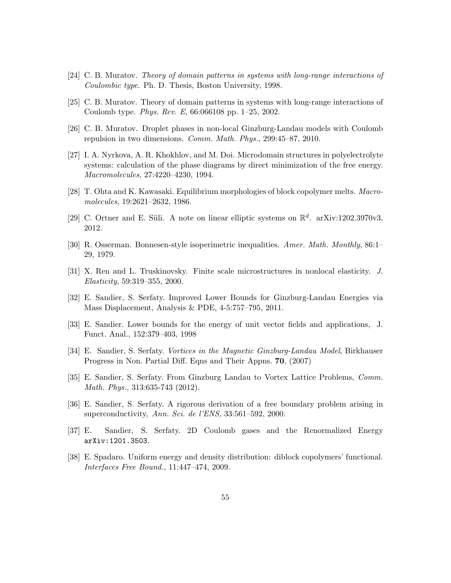- [24] C. B. Muratov. Theory of domain patterns in systems with long-range interactions of Coulombic type. Ph. D. Thesis, Boston University, 1998.
- [25] C. B. Muratov. Theory of domain patterns in systems with long-range interactions of Coulomb type. Phys. Rev. E, 66:066108 pp. 1–25, 2002.
- [26] C. B. Muratov. Droplet phases in non-local Ginzburg-Landau models with Coulomb repulsion in two dimensions. Comm. Math. Phys., 299:45–87, 2010.
- [27] I. A. Nyrkova, A. R. Khokhlov, and M. Doi. Microdomain structures in polyelectrolyte systems: calculation of the phase diagrams by direct minimization of the free energy. Macromolecules, 27:4220–4230, 1994.
- [28] T. Ohta and K. Kawasaki. Equilibrium morphologies of block copolymer melts. Macromolecules, 19:2621–2632, 1986.
- [29] C. Ortner and E. Süli. A note on linear elliptic systems on  $\mathbb{R}^d$ . arXiv:1202.3970v3, 2012.
- [30] R. Osserman. Bonnesen-style isoperimetric inequalities. Amer. Math. Monthly, 86:1– 29, 1979.
- [31] X. Ren and L. Truskinovsky. Finite scale microstructures in nonlocal elasticity. J. Elasticity, 59:319–355, 2000.
- [32] E. Sandier, S. Serfaty. Improved Lower Bounds for Ginzburg-Landau Energies via Mass Displacement, Analysis & PDE, 4-5:757–795, 2011.
- [33] E. Sandier. Lower bounds for the energy of unit vector fields and applications, J. Funct. Anal., 152:379–403, 1998
- [34] E. Sandier, S. Serfaty. Vortices in the Magnetic Ginzburg-Landau Model, Birkhauser Progress in Non. Partial Diff. Eqns and Their Appns. 70, (2007)
- [35] E. Sandier, S. Serfaty. From Ginzburg Landau to Vortex Lattice Problems, Comm. Math. Phys., 313:635-743 (2012).
- [36] E. Sandier, S. Serfaty. A rigorous derivation of a free boundary problem arising in superconductivity, Ann. Sci. de l'ENS, 33:561–592, 2000.
- [37] E. Sandier, S. Serfaty. 2D Coulomb gases and the Renormalized Energy arXiv:1201.3503.
- [38] E. Spadaro. Uniform energy and density distribution: diblock copolymers' functional. Interfaces Free Bound., 11:447–474, 2009.